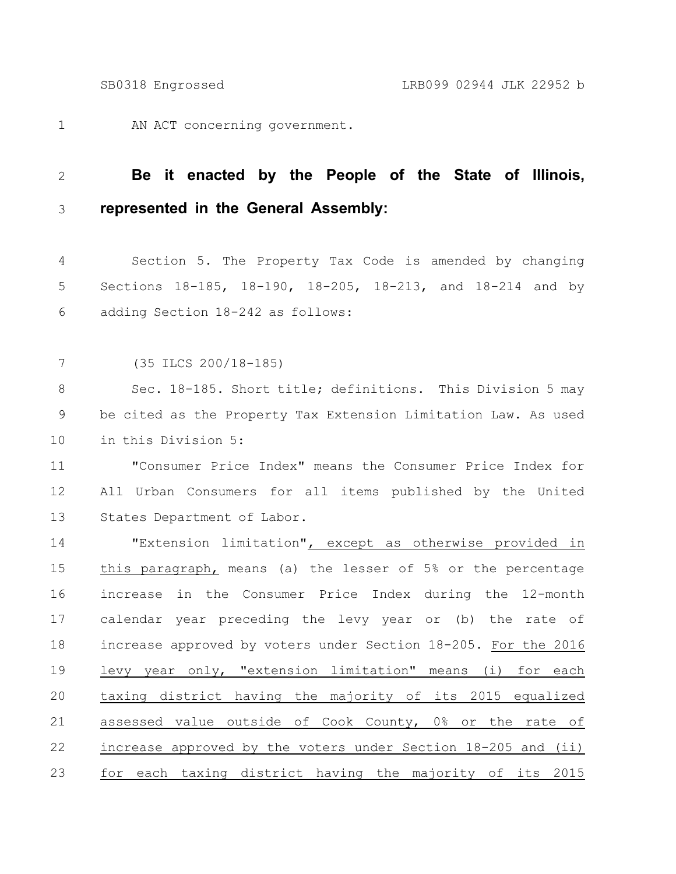AN ACT concerning government. 1

## **Be it enacted by the People of the State of Illinois, represented in the General Assembly:** 2 3

Section 5. The Property Tax Code is amended by changing Sections 18-185, 18-190, 18-205, 18-213, and 18-214 and by adding Section 18-242 as follows: 4 5 6

(35 ILCS 200/18-185) 7

Sec. 18-185. Short title; definitions. This Division 5 may be cited as the Property Tax Extension Limitation Law. As used in this Division 5: 8 9 10

"Consumer Price Index" means the Consumer Price Index for All Urban Consumers for all items published by the United States Department of Labor. 11 12 13

"Extension limitation", except as otherwise provided in this paragraph, means (a) the lesser of 5% or the percentage increase in the Consumer Price Index during the 12-month calendar year preceding the levy year or (b) the rate of increase approved by voters under Section 18-205. For the 2016 levy year only, "extension limitation" means (i) for each taxing district having the majority of its 2015 equalized assessed value outside of Cook County, 0% or the rate of increase approved by the voters under Section 18-205 and (ii) for each taxing district having the majority of its 2015 14 15 16 17 18 19 20 21 22 23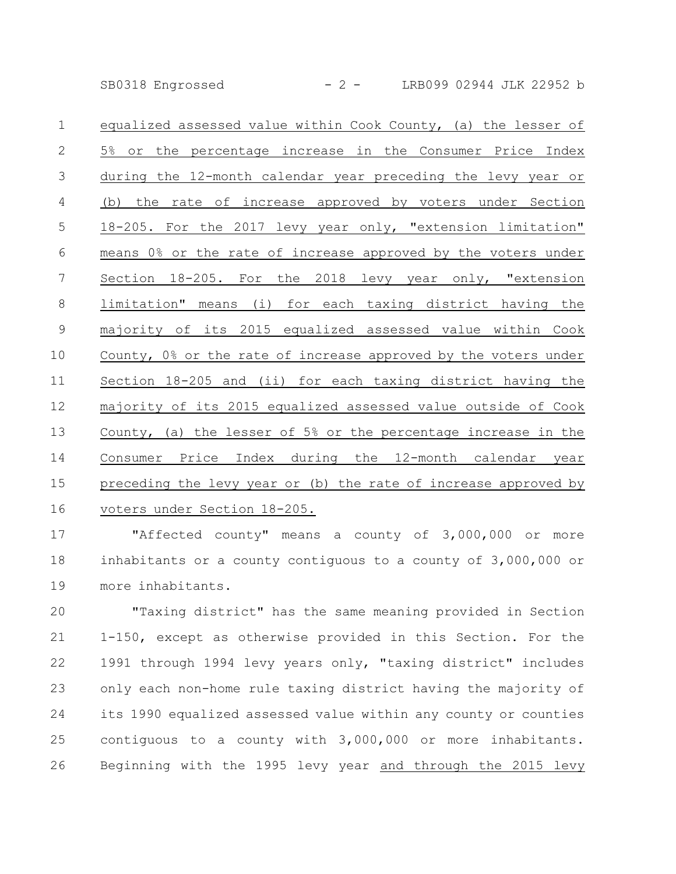SB0318 Engrossed - 2 - LRB099 02944 JLK 22952 b

equalized assessed value within Cook County, (a) the lesser of 5% or the percentage increase in the Consumer Price Index during the 12-month calendar year preceding the levy year or (b) the rate of increase approved by voters under Section 18-205. For the 2017 levy year only, "extension limitation" means 0% or the rate of increase approved by the voters under Section 18-205. For the 2018 levy year only, "extension limitation" means (i) for each taxing district having the majority of its 2015 equalized assessed value within Cook County, 0% or the rate of increase approved by the voters under Section 18-205 and (ii) for each taxing district having the majority of its 2015 equalized assessed value outside of Cook County, (a) the lesser of 5% or the percentage increase in the Consumer Price Index during the 12-month calendar year preceding the levy year or (b) the rate of increase approved by voters under Section 18-205. 1 2 3 4 5 6 7 8 9 10 11 12 13 14 15 16

"Affected county" means a county of 3,000,000 or more inhabitants or a county contiguous to a county of 3,000,000 or more inhabitants. 17 18 19

"Taxing district" has the same meaning provided in Section 1-150, except as otherwise provided in this Section. For the 1991 through 1994 levy years only, "taxing district" includes only each non-home rule taxing district having the majority of its 1990 equalized assessed value within any county or counties contiguous to a county with 3,000,000 or more inhabitants. Beginning with the 1995 levy year and through the 2015 levy 20 21 22 23 24 25 26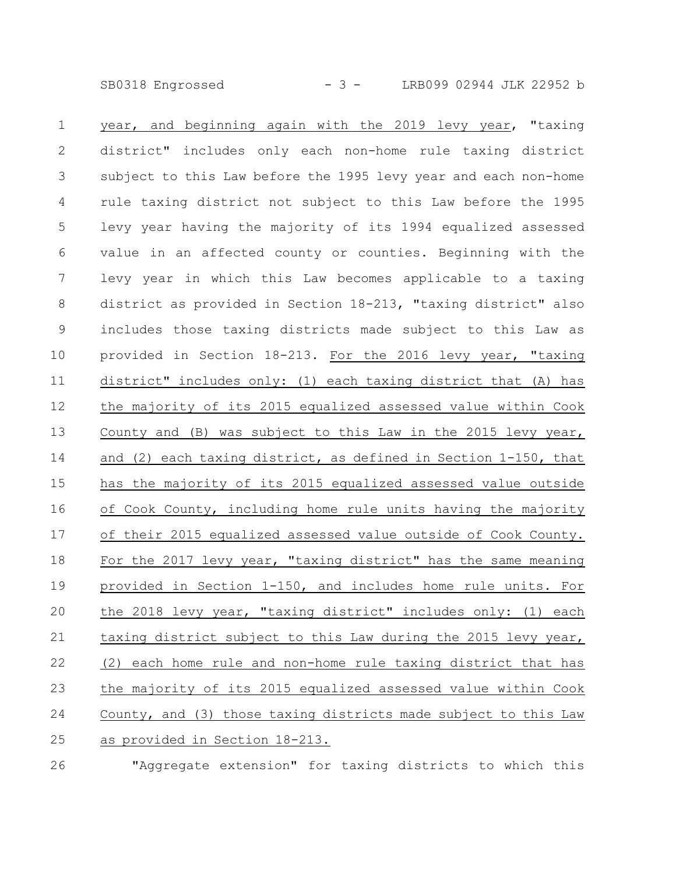SB0318 Engrossed - 3 - LRB099 02944 JLK 22952 b

year, and beginning again with the 2019 levy year, "taxing district" includes only each non-home rule taxing district subject to this Law before the 1995 levy year and each non-home rule taxing district not subject to this Law before the 1995 levy year having the majority of its 1994 equalized assessed value in an affected county or counties. Beginning with the levy year in which this Law becomes applicable to a taxing district as provided in Section 18-213, "taxing district" also includes those taxing districts made subject to this Law as provided in Section 18-213. For the 2016 levy year, "taxing district" includes only: (1) each taxing district that (A) has the majority of its 2015 equalized assessed value within Cook County and (B) was subject to this Law in the 2015 levy year, and (2) each taxing district, as defined in Section 1-150, that has the majority of its 2015 equalized assessed value outside of Cook County, including home rule units having the majority of their 2015 equalized assessed value outside of Cook County. For the 2017 levy year, "taxing district" has the same meaning provided in Section 1-150, and includes home rule units. For the 2018 levy year, "taxing district" includes only: (1) each taxing district subject to this Law during the 2015 levy year, (2) each home rule and non-home rule taxing district that has the majority of its 2015 equalized assessed value within Cook County, and (3) those taxing districts made subject to this Law as provided in Section 18-213. 1 2 3 4 5 6 7 8 9 10 11 12 13 14 15 16 17 18 19 20 21 22 23 24 25

26

"Aggregate extension" for taxing districts to which this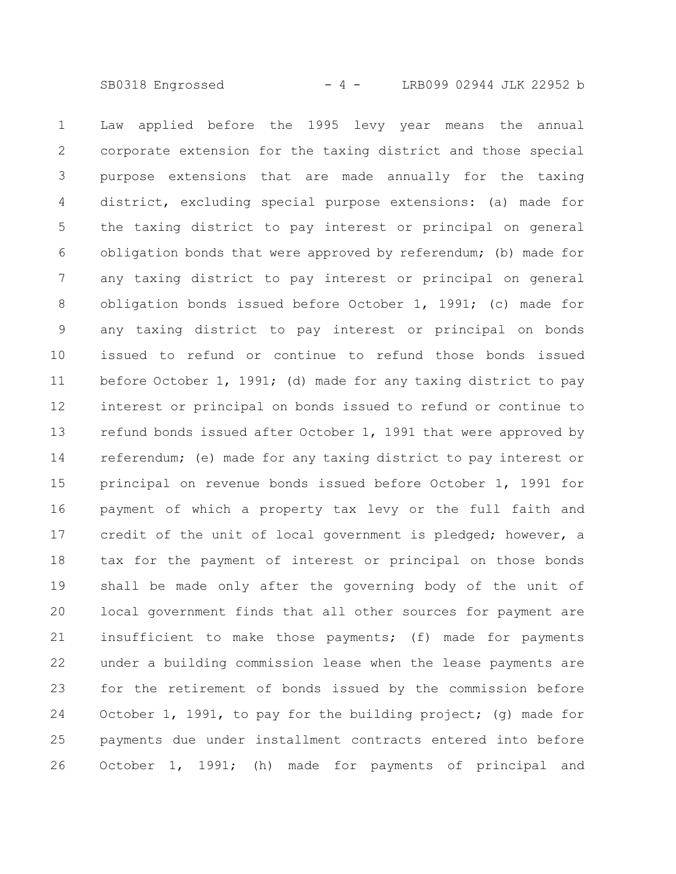SB0318 Engrossed - 4 - LRB099 02944 JLK 22952 b

Law applied before the 1995 levy year means the annual corporate extension for the taxing district and those special purpose extensions that are made annually for the taxing district, excluding special purpose extensions: (a) made for the taxing district to pay interest or principal on general obligation bonds that were approved by referendum; (b) made for any taxing district to pay interest or principal on general obligation bonds issued before October 1, 1991; (c) made for any taxing district to pay interest or principal on bonds issued to refund or continue to refund those bonds issued before October 1, 1991; (d) made for any taxing district to pay interest or principal on bonds issued to refund or continue to refund bonds issued after October 1, 1991 that were approved by referendum; (e) made for any taxing district to pay interest or principal on revenue bonds issued before October 1, 1991 for payment of which a property tax levy or the full faith and credit of the unit of local government is pledged; however, a tax for the payment of interest or principal on those bonds shall be made only after the governing body of the unit of local government finds that all other sources for payment are insufficient to make those payments; (f) made for payments under a building commission lease when the lease payments are for the retirement of bonds issued by the commission before October 1, 1991, to pay for the building project; (g) made for payments due under installment contracts entered into before October 1, 1991; (h) made for payments of principal and 1 2 3 4 5 6 7 8 9 10 11 12 13 14 15 16 17 18 19 20 21 22 23 24 25 26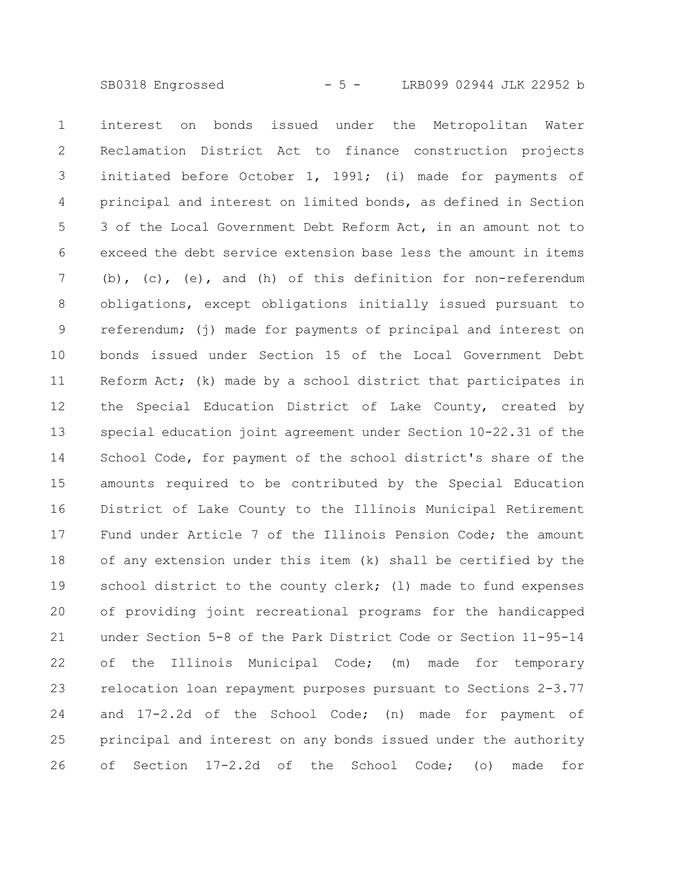SB0318 Engrossed - 5 - LRB099 02944 JLK 22952 b

interest on bonds issued under the Metropolitan Water Reclamation District Act to finance construction projects initiated before October 1, 1991; (i) made for payments of principal and interest on limited bonds, as defined in Section 3 of the Local Government Debt Reform Act, in an amount not to exceed the debt service extension base less the amount in items (b), (c), (e), and (h) of this definition for non-referendum obligations, except obligations initially issued pursuant to referendum; (j) made for payments of principal and interest on bonds issued under Section 15 of the Local Government Debt Reform Act; (k) made by a school district that participates in the Special Education District of Lake County, created by special education joint agreement under Section 10-22.31 of the School Code, for payment of the school district's share of the amounts required to be contributed by the Special Education District of Lake County to the Illinois Municipal Retirement Fund under Article 7 of the Illinois Pension Code; the amount of any extension under this item (k) shall be certified by the school district to the county clerk; (1) made to fund expenses of providing joint recreational programs for the handicapped under Section 5-8 of the Park District Code or Section 11-95-14 of the Illinois Municipal Code; (m) made for temporary relocation loan repayment purposes pursuant to Sections 2-3.77 and 17-2.2d of the School Code; (n) made for payment of principal and interest on any bonds issued under the authority of Section 17-2.2d of the School Code; (o) made for 1 2 3 4 5 6 7 8 9 10 11 12 13 14 15 16 17 18 19 20 21 22 23 24 25 26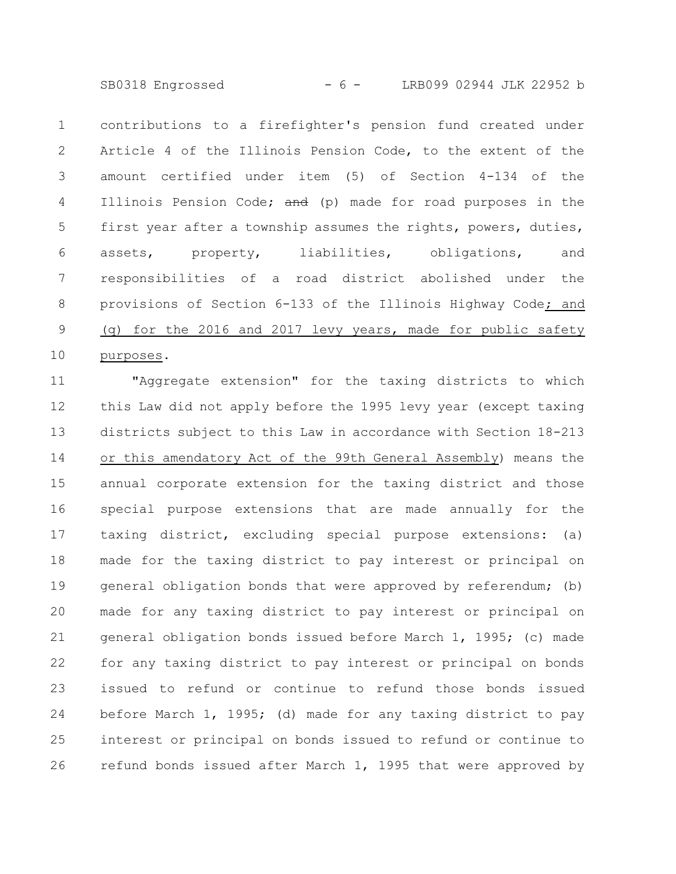SB0318 Engrossed - 6 - LRB099 02944 JLK 22952 b

contributions to a firefighter's pension fund created under Article 4 of the Illinois Pension Code, to the extent of the amount certified under item (5) of Section 4-134 of the Illinois Pension Code; and (p) made for road purposes in the first year after a township assumes the rights, powers, duties, assets, property, liabilities, obligations, and responsibilities of a road district abolished under the provisions of Section 6-133 of the Illinois Highway Code; and (q) for the 2016 and 2017 levy years, made for public safety purposes. 1 2 3 4 5 6 7 8 9 10

"Aggregate extension" for the taxing districts to which this Law did not apply before the 1995 levy year (except taxing districts subject to this Law in accordance with Section 18-213 or this amendatory Act of the 99th General Assembly) means the annual corporate extension for the taxing district and those special purpose extensions that are made annually for the taxing district, excluding special purpose extensions: (a) made for the taxing district to pay interest or principal on general obligation bonds that were approved by referendum; (b) made for any taxing district to pay interest or principal on general obligation bonds issued before March 1, 1995; (c) made for any taxing district to pay interest or principal on bonds issued to refund or continue to refund those bonds issued before March 1, 1995; (d) made for any taxing district to pay interest or principal on bonds issued to refund or continue to refund bonds issued after March 1, 1995 that were approved by 11 12 13 14 15 16 17 18 19 20 21 22 23 24 25 26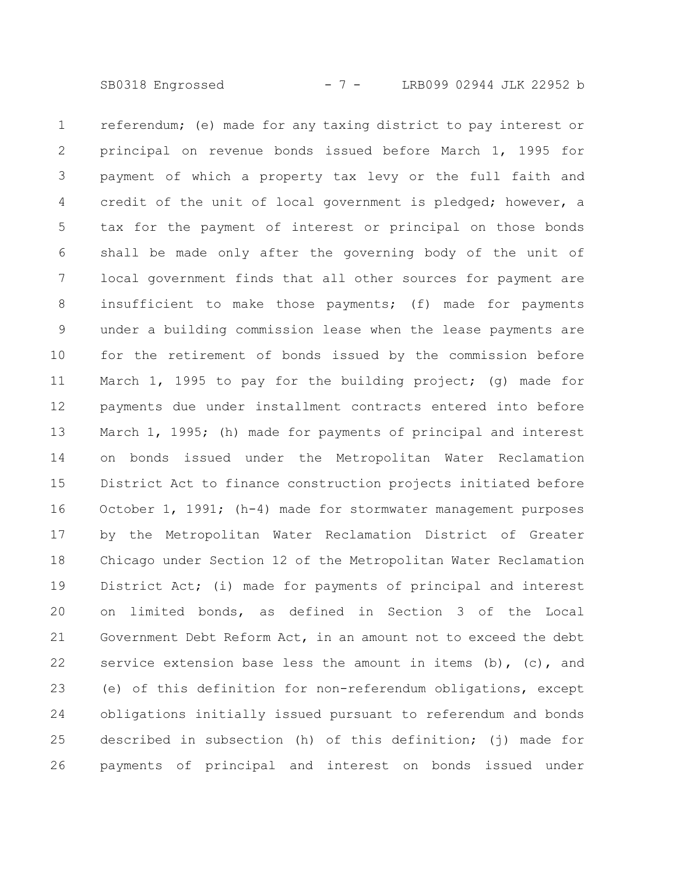SB0318 Engrossed - 7 - LRB099 02944 JLK 22952 b

referendum; (e) made for any taxing district to pay interest or principal on revenue bonds issued before March 1, 1995 for payment of which a property tax levy or the full faith and credit of the unit of local government is pledged; however, a tax for the payment of interest or principal on those bonds shall be made only after the governing body of the unit of local government finds that all other sources for payment are insufficient to make those payments; (f) made for payments under a building commission lease when the lease payments are for the retirement of bonds issued by the commission before March 1, 1995 to pay for the building project; (g) made for payments due under installment contracts entered into before March 1, 1995; (h) made for payments of principal and interest on bonds issued under the Metropolitan Water Reclamation District Act to finance construction projects initiated before October 1, 1991; (h-4) made for stormwater management purposes by the Metropolitan Water Reclamation District of Greater Chicago under Section 12 of the Metropolitan Water Reclamation District Act; (i) made for payments of principal and interest on limited bonds, as defined in Section 3 of the Local Government Debt Reform Act, in an amount not to exceed the debt service extension base less the amount in items  $(b)$ ,  $(c)$ , and (e) of this definition for non-referendum obligations, except obligations initially issued pursuant to referendum and bonds described in subsection (h) of this definition; (j) made for payments of principal and interest on bonds issued under 1 2 3 4 5 6 7 8 9 10 11 12 13 14 15 16 17 18 19 20 21 22 23 24 25 26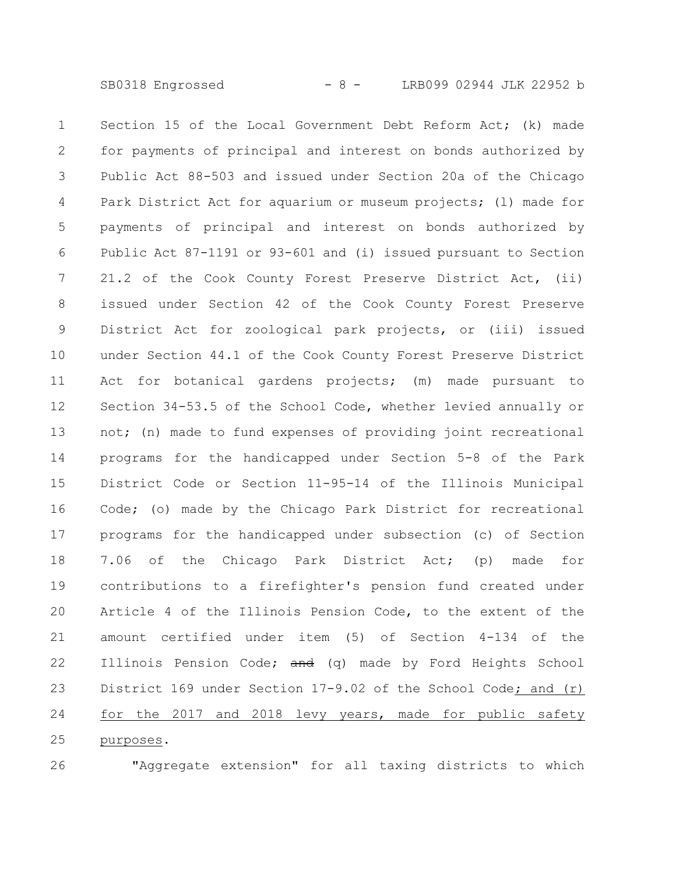SB0318 Engrossed - 8 - LRB099 02944 JLK 22952 b

Section 15 of the Local Government Debt Reform Act; (k) made for payments of principal and interest on bonds authorized by Public Act 88-503 and issued under Section 20a of the Chicago Park District Act for aquarium or museum projects; (l) made for payments of principal and interest on bonds authorized by Public Act 87-1191 or 93-601 and (i) issued pursuant to Section 21.2 of the Cook County Forest Preserve District Act, (ii) issued under Section 42 of the Cook County Forest Preserve District Act for zoological park projects, or (iii) issued under Section 44.1 of the Cook County Forest Preserve District Act for botanical gardens projects; (m) made pursuant to Section 34-53.5 of the School Code, whether levied annually or not; (n) made to fund expenses of providing joint recreational programs for the handicapped under Section 5-8 of the Park District Code or Section 11-95-14 of the Illinois Municipal Code; (o) made by the Chicago Park District for recreational programs for the handicapped under subsection (c) of Section 7.06 of the Chicago Park District Act; (p) made for contributions to a firefighter's pension fund created under Article 4 of the Illinois Pension Code, to the extent of the amount certified under item (5) of Section 4-134 of the Illinois Pension Code;  $\frac{d}{dt}(q)$  made by Ford Heights School District 169 under Section 17-9.02 of the School Code; and (r) for the 2017 and 2018 levy years, made for public safety purposes. 1 2 3 4 5 6 7 8 9 10 11 12 13 14 15 16 17 18 19 20 21 22 23 24 25

26

"Aggregate extension" for all taxing districts to which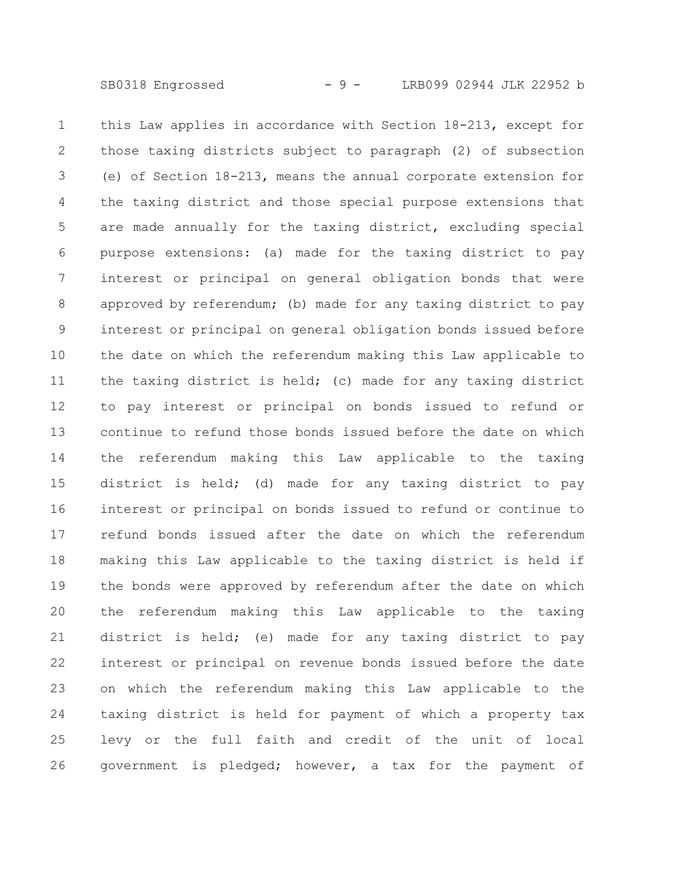SB0318 Engrossed - 9 - LRB099 02944 JLK 22952 b

this Law applies in accordance with Section 18-213, except for those taxing districts subject to paragraph (2) of subsection (e) of Section 18-213, means the annual corporate extension for the taxing district and those special purpose extensions that are made annually for the taxing district, excluding special purpose extensions: (a) made for the taxing district to pay interest or principal on general obligation bonds that were approved by referendum; (b) made for any taxing district to pay interest or principal on general obligation bonds issued before the date on which the referendum making this Law applicable to the taxing district is held; (c) made for any taxing district to pay interest or principal on bonds issued to refund or continue to refund those bonds issued before the date on which the referendum making this Law applicable to the taxing district is held; (d) made for any taxing district to pay interest or principal on bonds issued to refund or continue to refund bonds issued after the date on which the referendum making this Law applicable to the taxing district is held if the bonds were approved by referendum after the date on which the referendum making this Law applicable to the taxing district is held; (e) made for any taxing district to pay interest or principal on revenue bonds issued before the date on which the referendum making this Law applicable to the taxing district is held for payment of which a property tax levy or the full faith and credit of the unit of local government is pledged; however, a tax for the payment of 1 2 3 4 5 6 7 8 9 10 11 12 13 14 15 16 17 18 19 20 21 22 23 24 25 26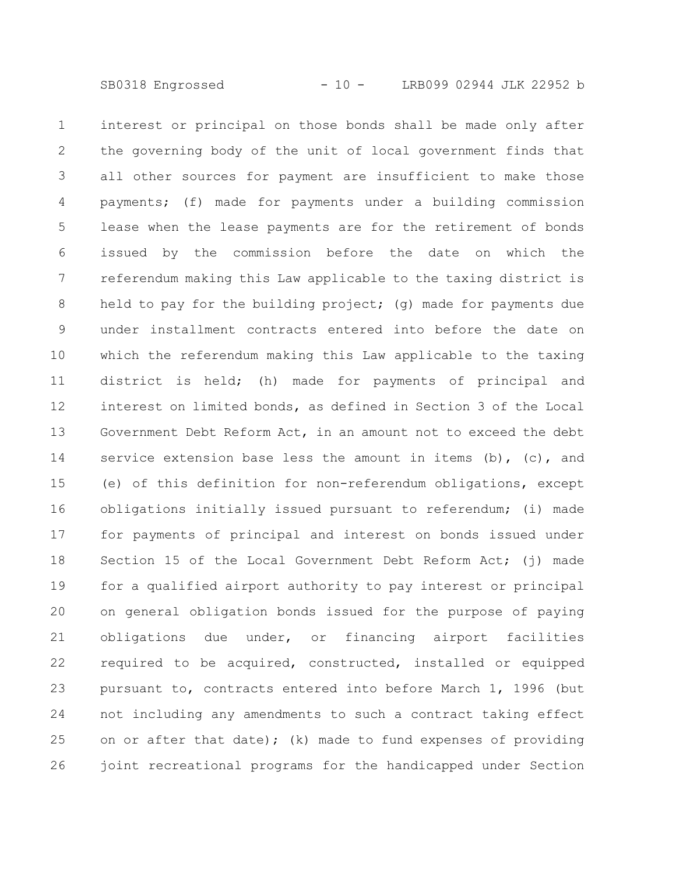interest or principal on those bonds shall be made only after the governing body of the unit of local government finds that all other sources for payment are insufficient to make those payments; (f) made for payments under a building commission lease when the lease payments are for the retirement of bonds issued by the commission before the date on which the referendum making this Law applicable to the taxing district is held to pay for the building project; (g) made for payments due under installment contracts entered into before the date on which the referendum making this Law applicable to the taxing district is held; (h) made for payments of principal and interest on limited bonds, as defined in Section 3 of the Local Government Debt Reform Act, in an amount not to exceed the debt service extension base less the amount in items  $(b)$ ,  $(c)$ , and (e) of this definition for non-referendum obligations, except obligations initially issued pursuant to referendum; (i) made for payments of principal and interest on bonds issued under Section 15 of the Local Government Debt Reform Act; (j) made for a qualified airport authority to pay interest or principal on general obligation bonds issued for the purpose of paying obligations due under, or financing airport facilities required to be acquired, constructed, installed or equipped pursuant to, contracts entered into before March 1, 1996 (but not including any amendments to such a contract taking effect on or after that date); (k) made to fund expenses of providing joint recreational programs for the handicapped under Section 1 2 3 4 5 6 7 8 9 10 11 12 13 14 15 16 17 18 19 20 21 22 23 24 25 26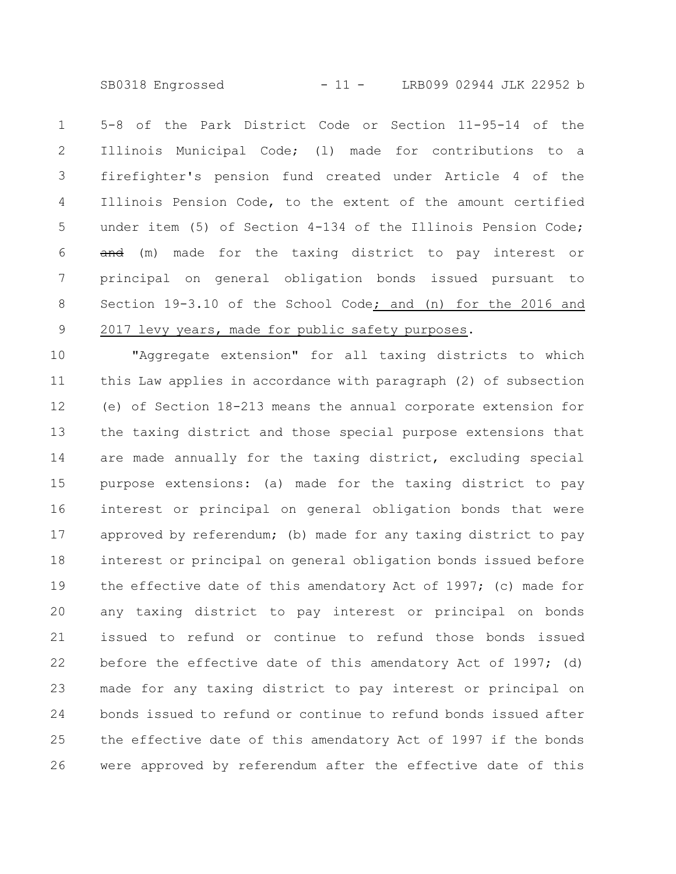SB0318 Engrossed - 11 - LRB099 02944 JLK 22952 b

5-8 of the Park District Code or Section 11-95-14 of the Illinois Municipal Code; (l) made for contributions to a firefighter's pension fund created under Article 4 of the Illinois Pension Code, to the extent of the amount certified under item (5) of Section 4-134 of the Illinois Pension Code; and (m) made for the taxing district to pay interest or principal on general obligation bonds issued pursuant to Section 19-3.10 of the School Code; and (n) for the 2016 and 2017 levy years, made for public safety purposes. 1 2 3 4 5 6 7 8 9

"Aggregate extension" for all taxing districts to which this Law applies in accordance with paragraph (2) of subsection (e) of Section 18-213 means the annual corporate extension for the taxing district and those special purpose extensions that are made annually for the taxing district, excluding special purpose extensions: (a) made for the taxing district to pay interest or principal on general obligation bonds that were approved by referendum; (b) made for any taxing district to pay interest or principal on general obligation bonds issued before the effective date of this amendatory Act of 1997; (c) made for any taxing district to pay interest or principal on bonds issued to refund or continue to refund those bonds issued before the effective date of this amendatory Act of 1997; (d) made for any taxing district to pay interest or principal on bonds issued to refund or continue to refund bonds issued after the effective date of this amendatory Act of 1997 if the bonds were approved by referendum after the effective date of this 10 11 12 13 14 15 16 17 18 19 20 21 22 23 24 25 26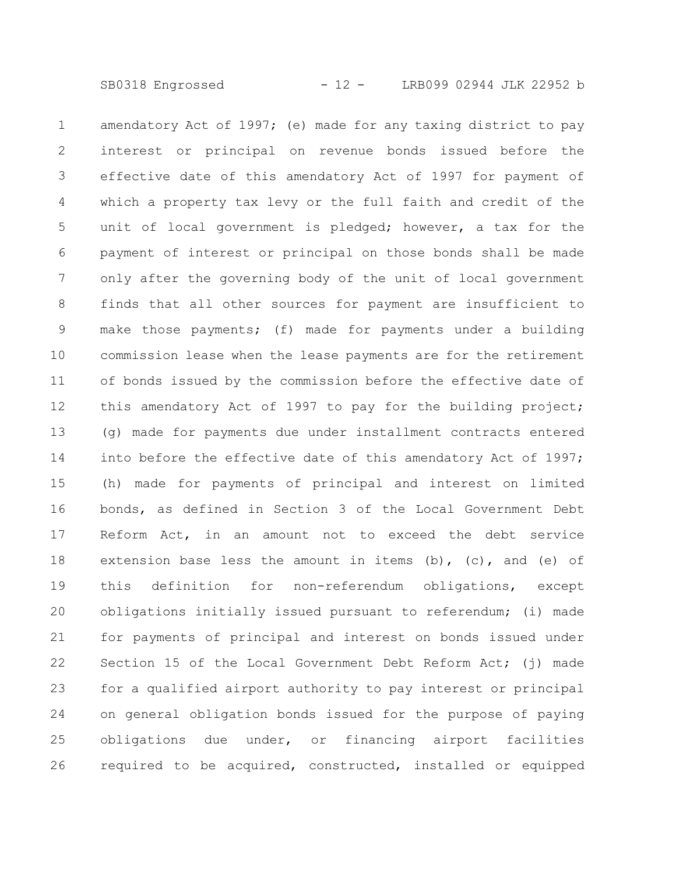SB0318 Engrossed - 12 - LRB099 02944 JLK 22952 b

amendatory Act of 1997; (e) made for any taxing district to pay interest or principal on revenue bonds issued before the effective date of this amendatory Act of 1997 for payment of which a property tax levy or the full faith and credit of the unit of local government is pledged; however, a tax for the payment of interest or principal on those bonds shall be made only after the governing body of the unit of local government finds that all other sources for payment are insufficient to make those payments; (f) made for payments under a building commission lease when the lease payments are for the retirement of bonds issued by the commission before the effective date of this amendatory Act of 1997 to pay for the building project; (g) made for payments due under installment contracts entered into before the effective date of this amendatory Act of 1997; (h) made for payments of principal and interest on limited bonds, as defined in Section 3 of the Local Government Debt Reform Act, in an amount not to exceed the debt service extension base less the amount in items (b),  $(c)$ , and (e) of this definition for non-referendum obligations, except obligations initially issued pursuant to referendum; (i) made for payments of principal and interest on bonds issued under Section 15 of the Local Government Debt Reform Act; (j) made for a qualified airport authority to pay interest or principal on general obligation bonds issued for the purpose of paying obligations due under, or financing airport facilities required to be acquired, constructed, installed or equipped 1 2 3 4 5 6 7 8 9 10 11 12 13 14 15 16 17 18 19 20 21 22 23 24 25 26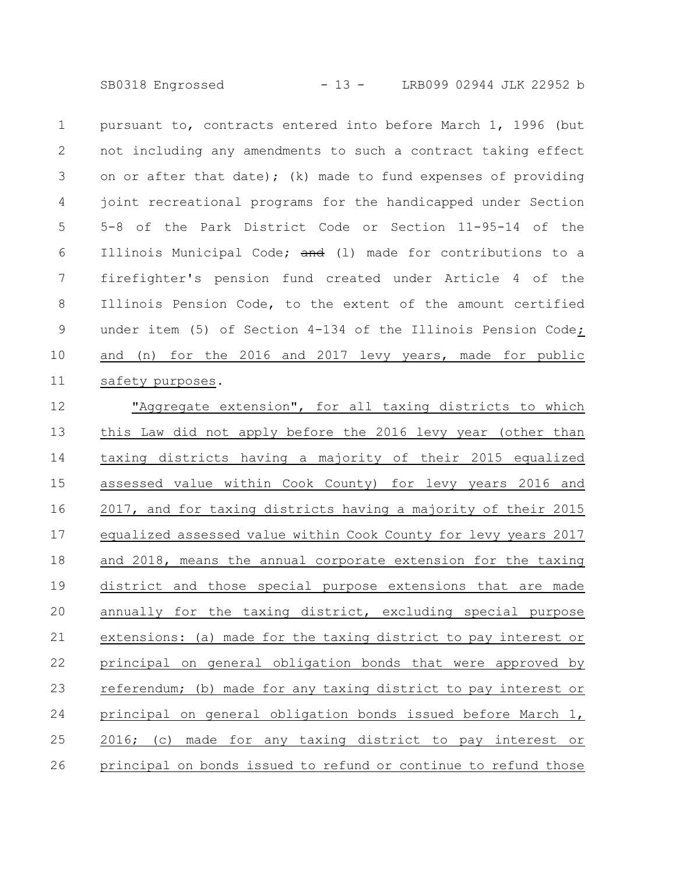SB0318 Engrossed - 13 - LRB099 02944 JLK 22952 b

pursuant to, contracts entered into before March 1, 1996 (but not including any amendments to such a contract taking effect on or after that date); (k) made to fund expenses of providing joint recreational programs for the handicapped under Section 5-8 of the Park District Code or Section 11-95-14 of the Illinois Municipal Code; and (1) made for contributions to a firefighter's pension fund created under Article 4 of the Illinois Pension Code, to the extent of the amount certified under item (5) of Section 4-134 of the Illinois Pension Code; and (n) for the 2016 and 2017 levy years, made for public safety purposes. 1 2 3 4 5 6 7 8 9 10 11

"Aggregate extension", for all taxing districts to which this Law did not apply before the 2016 levy year (other than taxing districts having a majority of their 2015 equalized assessed value within Cook County) for levy years 2016 and 2017, and for taxing districts having a majority of their 2015 equalized assessed value within Cook County for levy years 2017 and 2018, means the annual corporate extension for the taxing district and those special purpose extensions that are made annually for the taxing district, excluding special purpose extensions: (a) made for the taxing district to pay interest or principal on general obligation bonds that were approved by referendum; (b) made for any taxing district to pay interest or principal on general obligation bonds issued before March 1, 2016; (c) made for any taxing district to pay interest or principal on bonds issued to refund or continue to refund those 12 13 14 15 16 17 18 19 20 21 22 23 24 25 26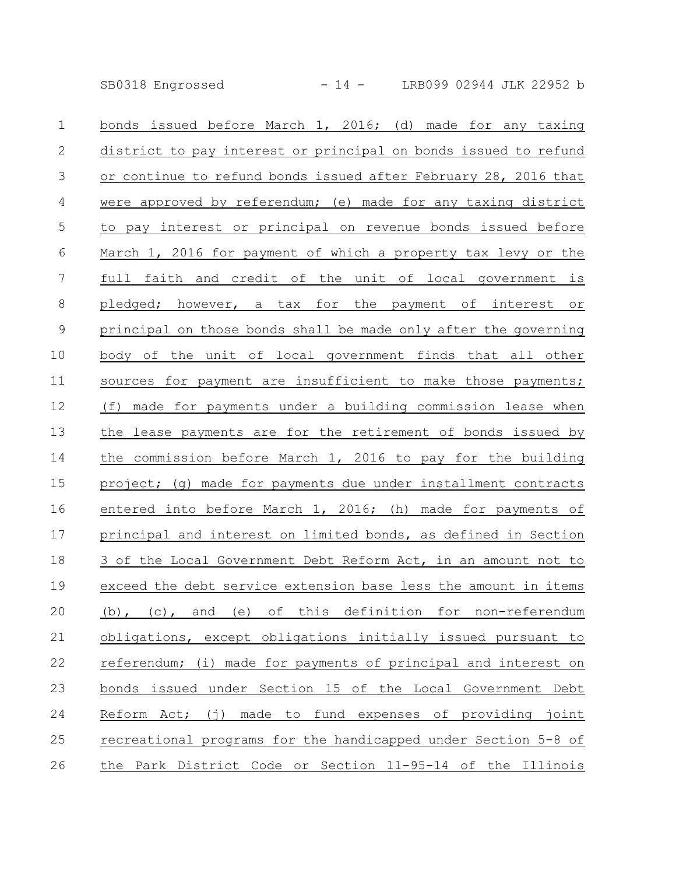SB0318 Engrossed - 14 - LRB099 02944 JLK 22952 b

bonds issued before March 1, 2016; (d) made for any taxing district to pay interest or principal on bonds issued to refund or continue to refund bonds issued after February 28, 2016 that were approved by referendum; (e) made for any taxing district to pay interest or principal on revenue bonds issued before March 1, 2016 for payment of which a property tax levy or the full faith and credit of the unit of local government is pledged; however, a tax for the payment of interest or principal on those bonds shall be made only after the governing body of the unit of local government finds that all other sources for payment are insufficient to make those payments; (f) made for payments under a building commission lease when the lease payments are for the retirement of bonds issued by the commission before March 1, 2016 to pay for the building project; (g) made for payments due under installment contracts entered into before March 1, 2016; (h) made for payments of principal and interest on limited bonds, as defined in Section 3 of the Local Government Debt Reform Act, in an amount not to exceed the debt service extension base less the amount in items (b), (c), and (e) of this definition for non-referendum obligations, except obligations initially issued pursuant to referendum; (i) made for payments of principal and interest on bonds issued under Section 15 of the Local Government Debt Reform Act; (j) made to fund expenses of providing joint recreational programs for the handicapped under Section 5-8 of the Park District Code or Section 11-95-14 of the Illinois 1 2 3 4 5 6 7 8 9 10 11 12 13 14 15 16 17 18 19 20 21 22 23 24 25 26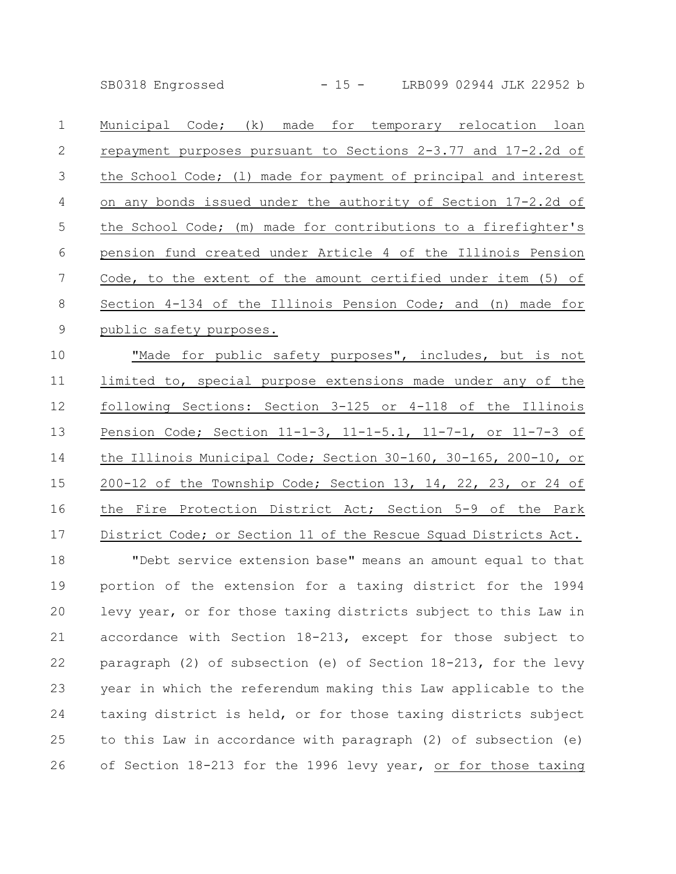SB0318 Engrossed - 15 - LRB099 02944 JLK 22952 b

Municipal Code; (k) made for temporary relocation loan repayment purposes pursuant to Sections 2-3.77 and 17-2.2d of the School Code; (l) made for payment of principal and interest on any bonds issued under the authority of Section 17-2.2d of the School Code; (m) made for contributions to a firefighter's pension fund created under Article 4 of the Illinois Pension Code, to the extent of the amount certified under item (5) of Section 4-134 of the Illinois Pension Code; and (n) made for public safety purposes. "Made for public safety purposes", includes, but is not limited to, special purpose extensions made under any of the following Sections: Section 3-125 or 4-118 of the Illinois Pension Code; Section 11-1-3, 11-1-5.1, 11-7-1, or 11-7-3 of the Illinois Municipal Code; Section 30-160, 30-165, 200-10, or 200-12 of the Township Code; Section 13, 14, 22, 23, or 24 of the Fire Protection District Act; Section 5-9 of the Park District Code; or Section 11 of the Rescue Squad Districts Act. "Debt service extension base" means an amount equal to that portion of the extension for a taxing district for the 1994 levy year, or for those taxing districts subject to this Law in accordance with Section 18-213, except for those subject to paragraph (2) of subsection (e) of Section 18-213, for the levy year in which the referendum making this Law applicable to the taxing district is held, or for those taxing districts subject to this Law in accordance with paragraph (2) of subsection (e) of Section 18-213 for the 1996 levy year, or for those taxing 1 2 3 4 5 6 7 8 9 10 11 12 13 14 15 16 17 18 19 20 21 22 23 24 25 26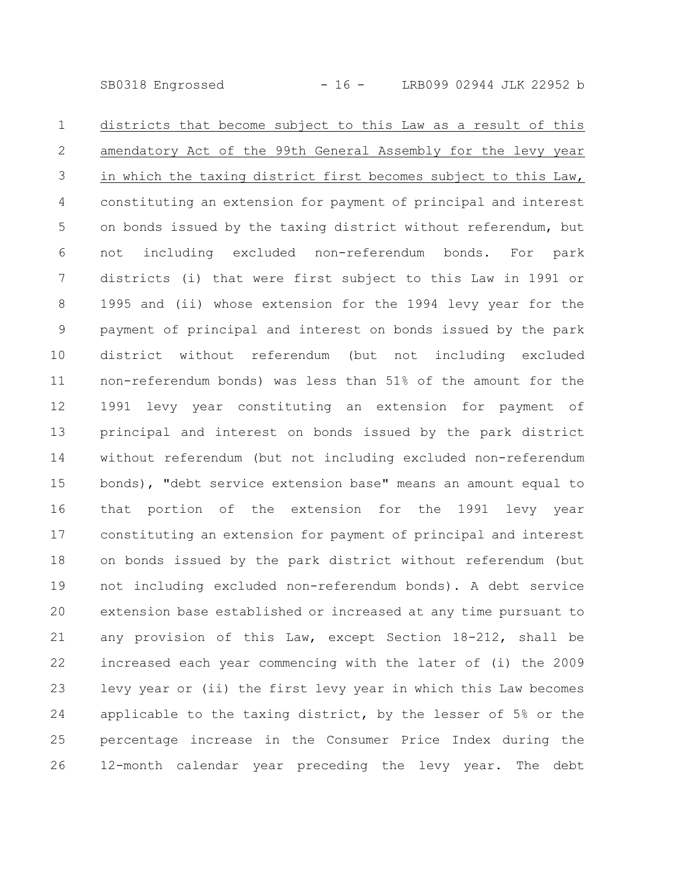SB0318 Engrossed - 16 - LRB099 02944 JLK 22952 b

districts that become subject to this Law as a result of this amendatory Act of the 99th General Assembly for the levy year in which the taxing district first becomes subject to this Law, constituting an extension for payment of principal and interest on bonds issued by the taxing district without referendum, but not including excluded non-referendum bonds. For park districts (i) that were first subject to this Law in 1991 or 1995 and (ii) whose extension for the 1994 levy year for the payment of principal and interest on bonds issued by the park district without referendum (but not including excluded non-referendum bonds) was less than 51% of the amount for the 1991 levy year constituting an extension for payment of principal and interest on bonds issued by the park district without referendum (but not including excluded non-referendum bonds), "debt service extension base" means an amount equal to that portion of the extension for the 1991 levy year constituting an extension for payment of principal and interest on bonds issued by the park district without referendum (but not including excluded non-referendum bonds). A debt service extension base established or increased at any time pursuant to any provision of this Law, except Section 18-212, shall be increased each year commencing with the later of (i) the 2009 levy year or (ii) the first levy year in which this Law becomes applicable to the taxing district, by the lesser of 5% or the percentage increase in the Consumer Price Index during the 12-month calendar year preceding the levy year. The debt 1 2 3 4 5 6 7 8 9 10 11 12 13 14 15 16 17 18 19 20 21 22 23 24 25 26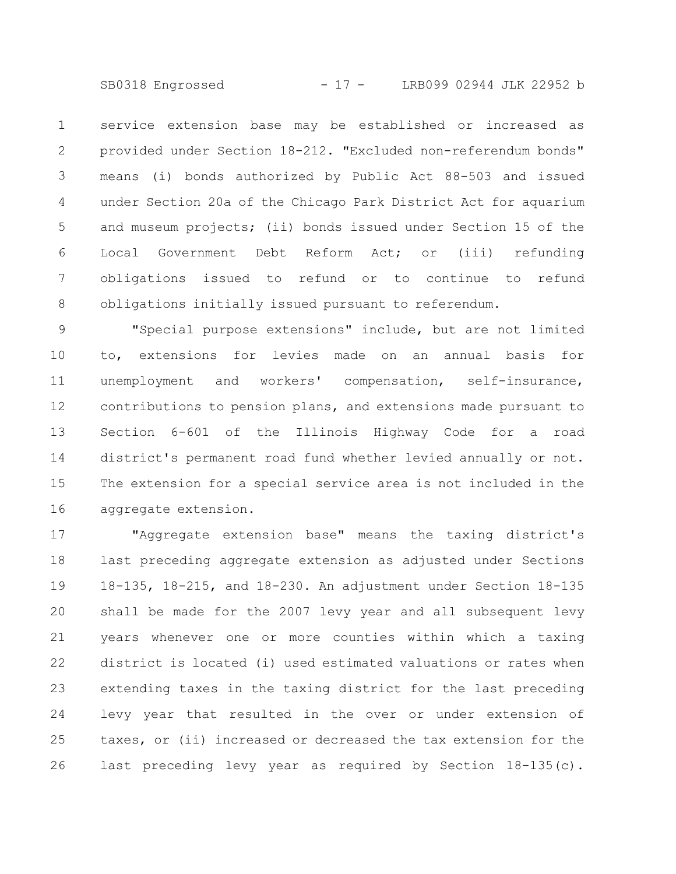SB0318 Engrossed - 17 - LRB099 02944 JLK 22952 b

service extension base may be established or increased as provided under Section 18-212. "Excluded non-referendum bonds" means (i) bonds authorized by Public Act 88-503 and issued under Section 20a of the Chicago Park District Act for aquarium and museum projects; (ii) bonds issued under Section 15 of the Local Government Debt Reform Act; or (iii) refunding obligations issued to refund or to continue to refund obligations initially issued pursuant to referendum. 1 2 3 4 5 6 7 8

"Special purpose extensions" include, but are not limited to, extensions for levies made on an annual basis for unemployment and workers' compensation, self-insurance, contributions to pension plans, and extensions made pursuant to Section 6-601 of the Illinois Highway Code for a road district's permanent road fund whether levied annually or not. The extension for a special service area is not included in the aggregate extension. 9 10 11 12 13 14 15 16

"Aggregate extension base" means the taxing district's last preceding aggregate extension as adjusted under Sections 18-135, 18-215, and 18-230. An adjustment under Section 18-135 shall be made for the 2007 levy year and all subsequent levy years whenever one or more counties within which a taxing district is located (i) used estimated valuations or rates when extending taxes in the taxing district for the last preceding levy year that resulted in the over or under extension of taxes, or (ii) increased or decreased the tax extension for the last preceding levy year as required by Section 18-135(c). 17 18 19 20 21 22 23 24 25 26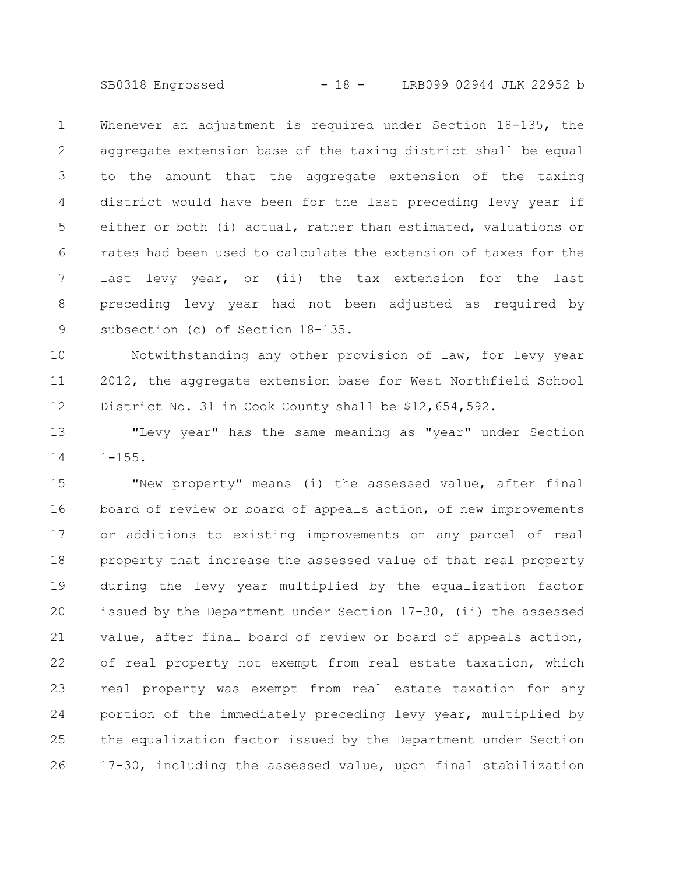SB0318 Engrossed - 18 - LRB099 02944 JLK 22952 b

Whenever an adjustment is required under Section 18-135, the aggregate extension base of the taxing district shall be equal to the amount that the aggregate extension of the taxing district would have been for the last preceding levy year if either or both (i) actual, rather than estimated, valuations or rates had been used to calculate the extension of taxes for the last levy year, or (ii) the tax extension for the last preceding levy year had not been adjusted as required by subsection (c) of Section 18-135. 1 2 3 4 5 6 7 8 9

Notwithstanding any other provision of law, for levy year 2012, the aggregate extension base for West Northfield School District No. 31 in Cook County shall be \$12,654,592. 10 11 12

"Levy year" has the same meaning as "year" under Section  $1 - 155$ . 13 14

"New property" means (i) the assessed value, after final board of review or board of appeals action, of new improvements or additions to existing improvements on any parcel of real property that increase the assessed value of that real property during the levy year multiplied by the equalization factor issued by the Department under Section 17-30, (ii) the assessed value, after final board of review or board of appeals action, of real property not exempt from real estate taxation, which real property was exempt from real estate taxation for any portion of the immediately preceding levy year, multiplied by the equalization factor issued by the Department under Section 17-30, including the assessed value, upon final stabilization 15 16 17 18 19 20 21 22 23 24 25 26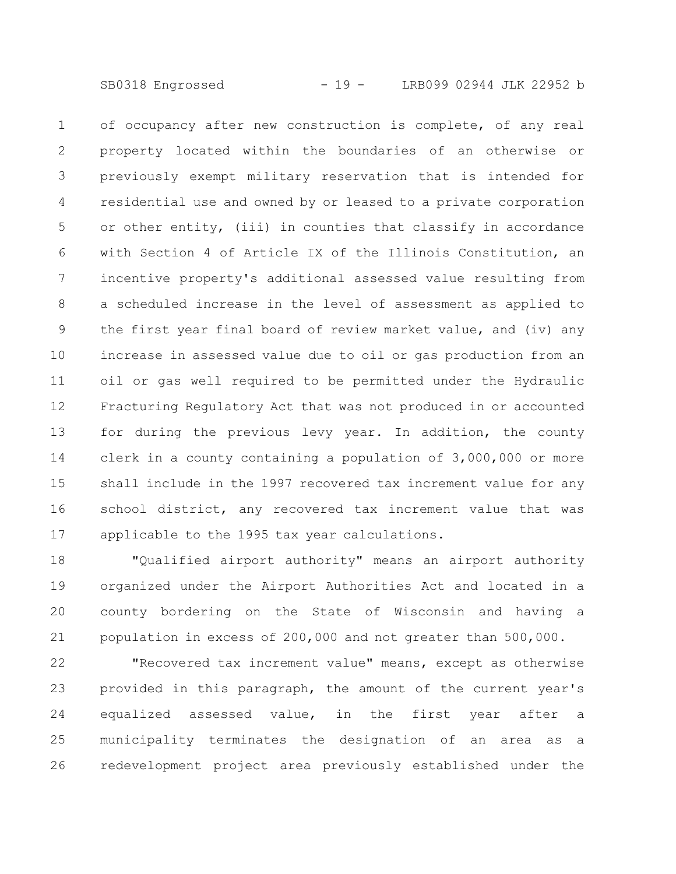SB0318 Engrossed - 19 - LRB099 02944 JLK 22952 b

of occupancy after new construction is complete, of any real property located within the boundaries of an otherwise or previously exempt military reservation that is intended for residential use and owned by or leased to a private corporation or other entity, (iii) in counties that classify in accordance with Section 4 of Article IX of the Illinois Constitution, an incentive property's additional assessed value resulting from a scheduled increase in the level of assessment as applied to the first year final board of review market value, and (iv) any increase in assessed value due to oil or gas production from an oil or gas well required to be permitted under the Hydraulic Fracturing Regulatory Act that was not produced in or accounted for during the previous levy year. In addition, the county clerk in a county containing a population of 3,000,000 or more shall include in the 1997 recovered tax increment value for any school district, any recovered tax increment value that was applicable to the 1995 tax year calculations. 1 2 3 4 5 6 7 8 9 10 11 12 13 14 15 16 17

"Qualified airport authority" means an airport authority organized under the Airport Authorities Act and located in a county bordering on the State of Wisconsin and having a population in excess of 200,000 and not greater than 500,000. 18 19 20 21

"Recovered tax increment value" means, except as otherwise provided in this paragraph, the amount of the current year's equalized assessed value, in the first year after a municipality terminates the designation of an area as a redevelopment project area previously established under the 22 23 24 25 26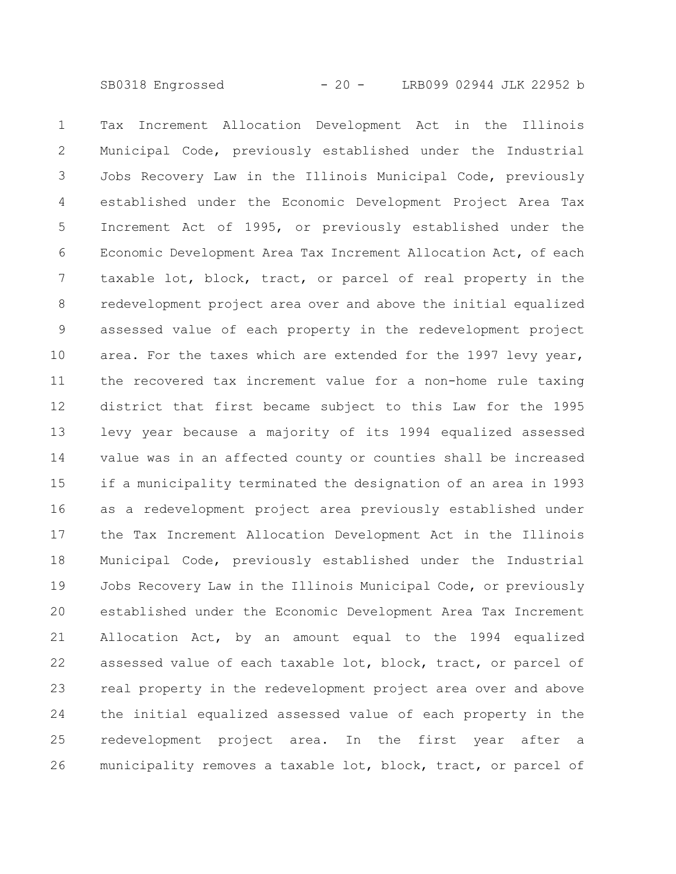Tax Increment Allocation Development Act in the Illinois Municipal Code, previously established under the Industrial Jobs Recovery Law in the Illinois Municipal Code, previously established under the Economic Development Project Area Tax Increment Act of 1995, or previously established under the Economic Development Area Tax Increment Allocation Act, of each taxable lot, block, tract, or parcel of real property in the redevelopment project area over and above the initial equalized assessed value of each property in the redevelopment project area. For the taxes which are extended for the 1997 levy year, the recovered tax increment value for a non-home rule taxing district that first became subject to this Law for the 1995 levy year because a majority of its 1994 equalized assessed value was in an affected county or counties shall be increased if a municipality terminated the designation of an area in 1993 as a redevelopment project area previously established under the Tax Increment Allocation Development Act in the Illinois Municipal Code, previously established under the Industrial Jobs Recovery Law in the Illinois Municipal Code, or previously established under the Economic Development Area Tax Increment Allocation Act, by an amount equal to the 1994 equalized assessed value of each taxable lot, block, tract, or parcel of real property in the redevelopment project area over and above the initial equalized assessed value of each property in the redevelopment project area. In the first year after a municipality removes a taxable lot, block, tract, or parcel of 1 2 3 4 5 6 7 8 9 10 11 12 13 14 15 16 17 18 19 20 21 22 23 24 25 26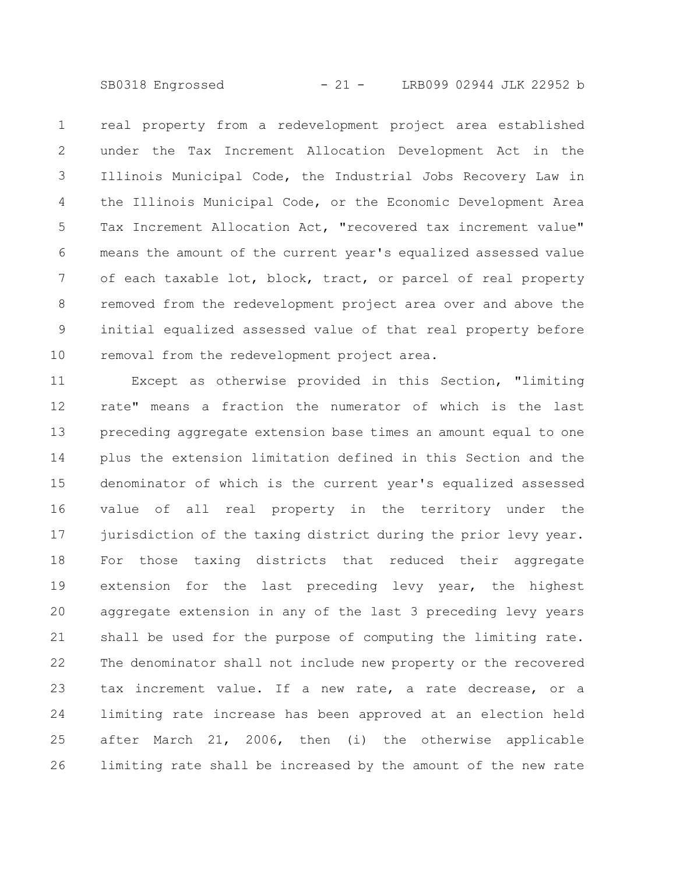SB0318 Engrossed - 21 - LRB099 02944 JLK 22952 b

real property from a redevelopment project area established under the Tax Increment Allocation Development Act in the Illinois Municipal Code, the Industrial Jobs Recovery Law in the Illinois Municipal Code, or the Economic Development Area Tax Increment Allocation Act, "recovered tax increment value" means the amount of the current year's equalized assessed value of each taxable lot, block, tract, or parcel of real property removed from the redevelopment project area over and above the initial equalized assessed value of that real property before removal from the redevelopment project area. 1 2 3 4 5 6 7 8 9 10

Except as otherwise provided in this Section, "limiting rate" means a fraction the numerator of which is the last preceding aggregate extension base times an amount equal to one plus the extension limitation defined in this Section and the denominator of which is the current year's equalized assessed value of all real property in the territory under the jurisdiction of the taxing district during the prior levy year. For those taxing districts that reduced their aggregate extension for the last preceding levy year, the highest aggregate extension in any of the last 3 preceding levy years shall be used for the purpose of computing the limiting rate. The denominator shall not include new property or the recovered tax increment value. If a new rate, a rate decrease, or a limiting rate increase has been approved at an election held after March 21, 2006, then (i) the otherwise applicable limiting rate shall be increased by the amount of the new rate 11 12 13 14 15 16 17 18 19 20 21 22 23 24 25 26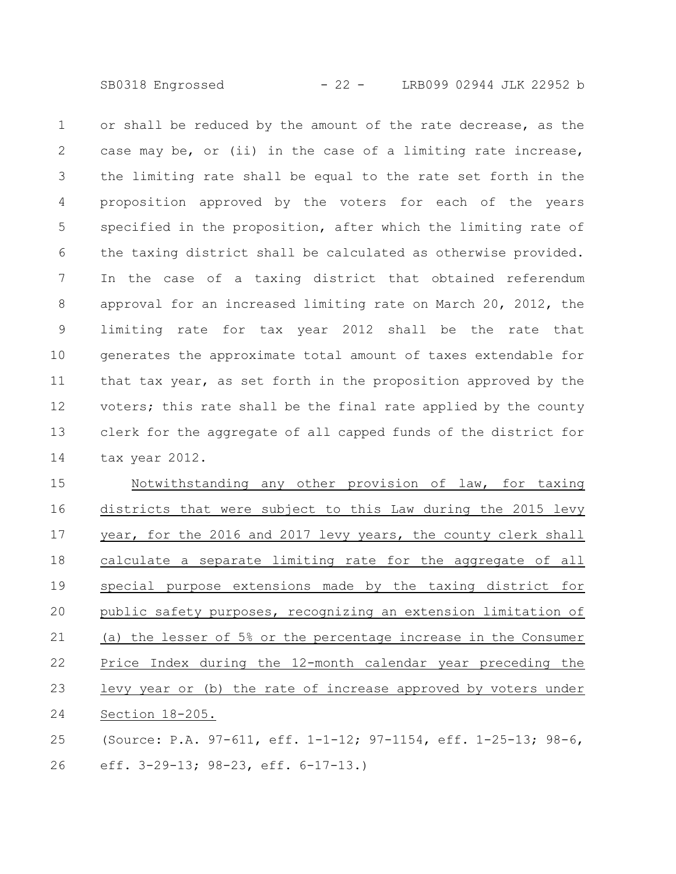SB0318 Engrossed - 22 - LRB099 02944 JLK 22952 b

or shall be reduced by the amount of the rate decrease, as the case may be, or (ii) in the case of a limiting rate increase, the limiting rate shall be equal to the rate set forth in the proposition approved by the voters for each of the years specified in the proposition, after which the limiting rate of the taxing district shall be calculated as otherwise provided. In the case of a taxing district that obtained referendum approval for an increased limiting rate on March 20, 2012, the limiting rate for tax year 2012 shall be the rate that generates the approximate total amount of taxes extendable for that tax year, as set forth in the proposition approved by the voters; this rate shall be the final rate applied by the county clerk for the aggregate of all capped funds of the district for tax year 2012. 1 2 3 4 5 6 7 8 9 10 11 12 13 14

Notwithstanding any other provision of law, for taxing districts that were subject to this Law during the 2015 levy year, for the 2016 and 2017 levy years, the county clerk shall calculate a separate limiting rate for the aggregate of all special purpose extensions made by the taxing district for public safety purposes, recognizing an extension limitation of (a) the lesser of 5% or the percentage increase in the Consumer Price Index during the 12-month calendar year preceding the levy year or (b) the rate of increase approved by voters under Section 18-205. 15 16 17 18 19 20 21 22 23 24

(Source: P.A. 97-611, eff. 1-1-12; 97-1154, eff. 1-25-13; 98-6, eff. 3-29-13; 98-23, eff. 6-17-13.) 25 26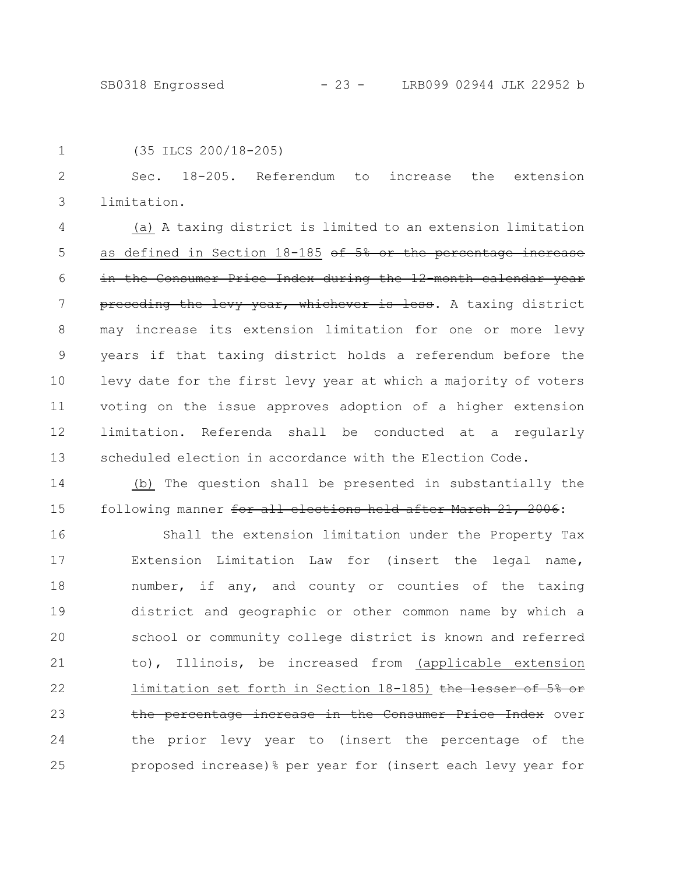```
1
```
(35 ILCS 200/18-205)

Sec. 18-205. Referendum to increase the extension limitation. 2 3

(a) A taxing district is limited to an extension limitation as defined in Section 18-185 of 5% or the percentage increase in the Consumer Price Index during the 12 month calendar year preceding the levy year, whichever is less. A taxing district may increase its extension limitation for one or more levy years if that taxing district holds a referendum before the levy date for the first levy year at which a majority of voters voting on the issue approves adoption of a higher extension limitation. Referenda shall be conducted at a regularly scheduled election in accordance with the Election Code. 4 5 6 7 8 9 10 11 12 13

(b) The question shall be presented in substantially the following manner for all elections held after March 21, 2006: 14 15

Shall the extension limitation under the Property Tax Extension Limitation Law for (insert the legal name, number, if any, and county or counties of the taxing district and geographic or other common name by which a school or community college district is known and referred to), Illinois, be increased from (applicable extension limitation set forth in Section 18-185) the lesser of the percentage increase in the Consumer Price Index over the prior levy year to (insert the percentage of the proposed increase)% per year for (insert each levy year for 16 17 18 19 20 21 22 23 24 25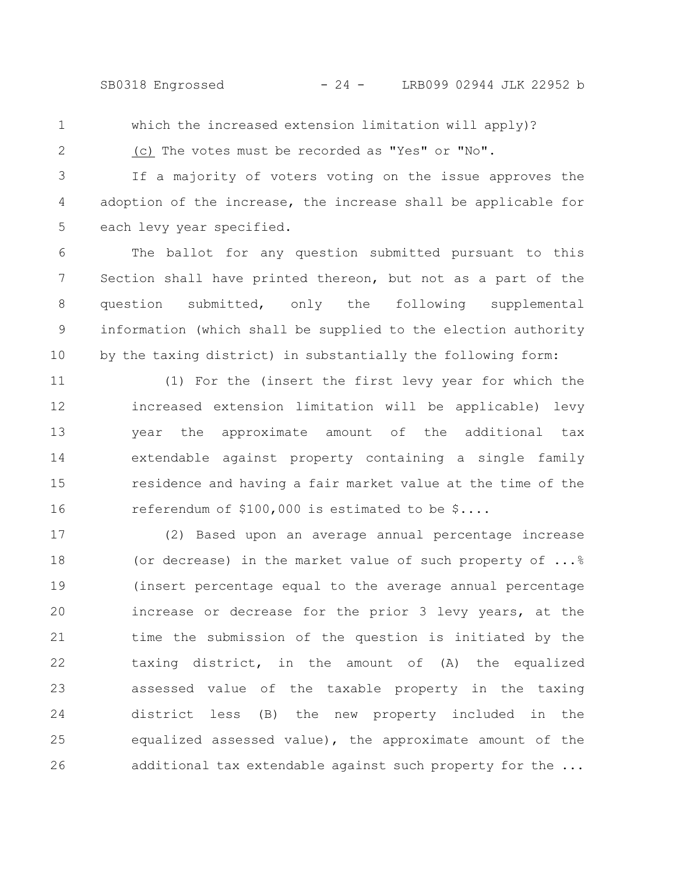SB0318 Engrossed - 24 - LRB099 02944 JLK 22952 b

1

which the increased extension limitation will apply)?

2

(c) The votes must be recorded as "Yes" or "No".

If a majority of voters voting on the issue approves the adoption of the increase, the increase shall be applicable for each levy year specified. 3 4 5

The ballot for any question submitted pursuant to this Section shall have printed thereon, but not as a part of the question submitted, only the following supplemental information (which shall be supplied to the election authority by the taxing district) in substantially the following form: 6 7 8 9 10

(1) For the (insert the first levy year for which the increased extension limitation will be applicable) levy year the approximate amount of the additional tax extendable against property containing a single family residence and having a fair market value at the time of the referendum of \$100,000 is estimated to be \$.... 11 12 13 14 15 16

(2) Based upon an average annual percentage increase (or decrease) in the market value of such property of ...% (insert percentage equal to the average annual percentage increase or decrease for the prior 3 levy years, at the time the submission of the question is initiated by the taxing district, in the amount of (A) the equalized assessed value of the taxable property in the taxing district less (B) the new property included in the equalized assessed value), the approximate amount of the additional tax extendable against such property for the ... 17 18 19 20 21 22 23 24 25 26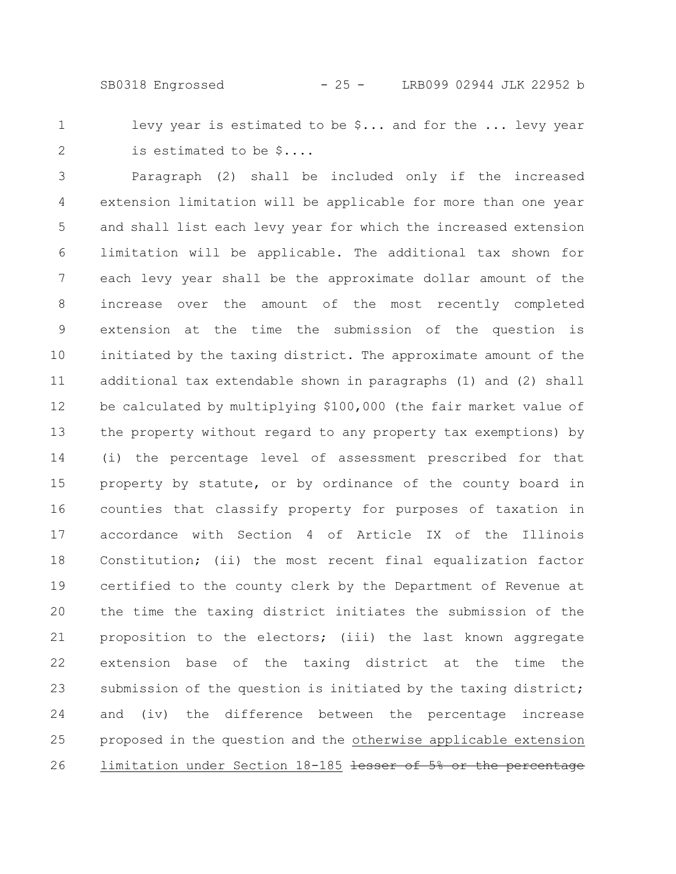SB0318 Engrossed - 25 - LRB099 02944 JLK 22952 b

1 2 levy year is estimated to be \$... and for the ... levy year is estimated to be \$....

Paragraph (2) shall be included only if the increased extension limitation will be applicable for more than one year and shall list each levy year for which the increased extension limitation will be applicable. The additional tax shown for each levy year shall be the approximate dollar amount of the increase over the amount of the most recently completed extension at the time the submission of the question is initiated by the taxing district. The approximate amount of the additional tax extendable shown in paragraphs (1) and (2) shall be calculated by multiplying \$100,000 (the fair market value of the property without regard to any property tax exemptions) by (i) the percentage level of assessment prescribed for that property by statute, or by ordinance of the county board in counties that classify property for purposes of taxation in accordance with Section 4 of Article IX of the Illinois Constitution; (ii) the most recent final equalization factor certified to the county clerk by the Department of Revenue at the time the taxing district initiates the submission of the proposition to the electors; (iii) the last known aggregate extension base of the taxing district at the time the submission of the question is initiated by the taxing district; and (iv) the difference between the percentage increase proposed in the question and the otherwise applicable extension limitation under Section 18-185 lesser of 5% or the percentage 3 4 5 6 7 8 9 10 11 12 13 14 15 16 17 18 19 20 21 22 23 24 25 26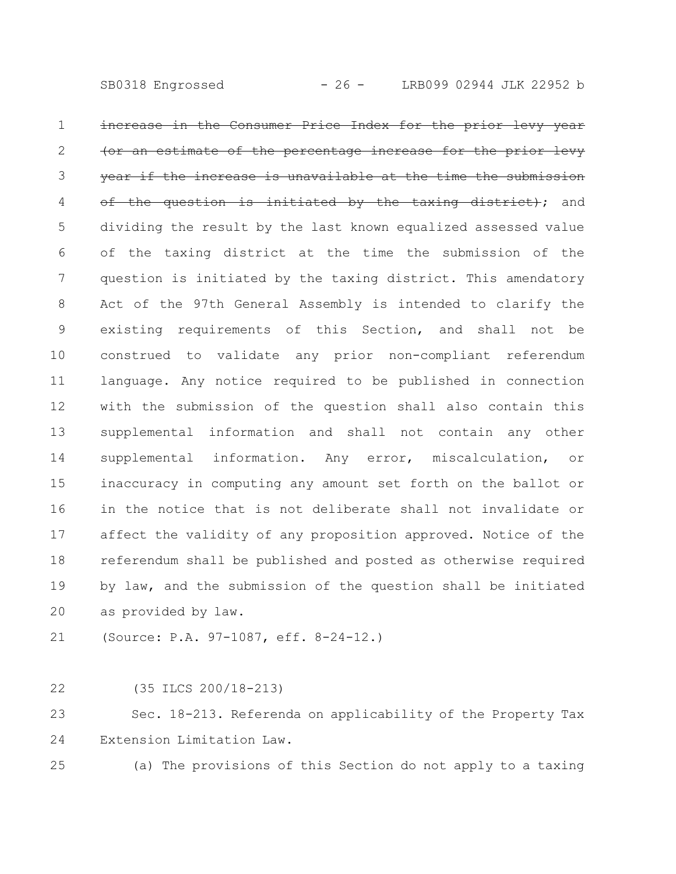SB0318 Engrossed - 26 - LRB099 02944 JLK 22952 b

increase in the Consumer Price Index for the prior an estimate of the percentage increase for the year if the increase is unavailable at the time the submission the question is initiated by the taxing district); and dividing the result by the last known equalized assessed value of the taxing district at the time the submission of the question is initiated by the taxing district. This amendatory Act of the 97th General Assembly is intended to clarify the existing requirements of this Section, and shall not be construed to validate any prior non-compliant referendum language. Any notice required to be published in connection with the submission of the question shall also contain this supplemental information and shall not contain any other supplemental information. Any error, miscalculation, or inaccuracy in computing any amount set forth on the ballot or in the notice that is not deliberate shall not invalidate or affect the validity of any proposition approved. Notice of the referendum shall be published and posted as otherwise required by law, and the submission of the question shall be initiated as provided by law. 1 2 3 4 5 6 7 8 9 10 11 12 13 14 15 16 17 18 19 20

(Source: P.A. 97-1087, eff. 8-24-12.) 21

(35 ILCS 200/18-213) 22

Sec. 18-213. Referenda on applicability of the Property Tax Extension Limitation Law. 23 24

25

(a) The provisions of this Section do not apply to a taxing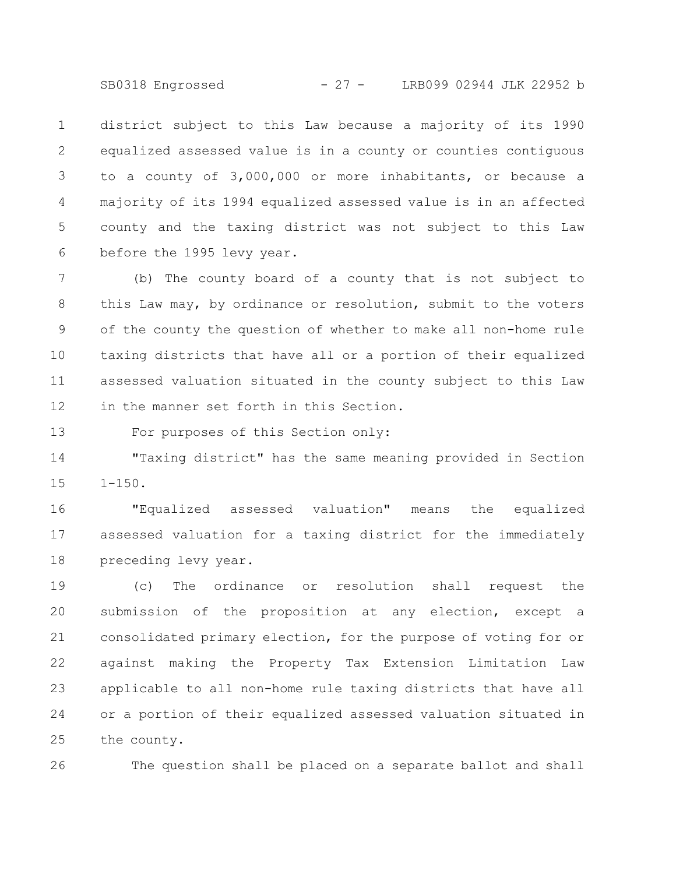SB0318 Engrossed - 27 - LRB099 02944 JLK 22952 b

district subject to this Law because a majority of its 1990 equalized assessed value is in a county or counties contiguous to a county of 3,000,000 or more inhabitants, or because a majority of its 1994 equalized assessed value is in an affected county and the taxing district was not subject to this Law before the 1995 levy year. 1 2 3 4 5 6

(b) The county board of a county that is not subject to this Law may, by ordinance or resolution, submit to the voters of the county the question of whether to make all non-home rule taxing districts that have all or a portion of their equalized assessed valuation situated in the county subject to this Law in the manner set forth in this Section. 7 8 9 10 11 12

For purposes of this Section only: 13

"Taxing district" has the same meaning provided in Section  $1 - 150$ . 14 15

"Equalized assessed valuation" means the equalized assessed valuation for a taxing district for the immediately preceding levy year. 16 17 18

(c) The ordinance or resolution shall request the submission of the proposition at any election, except a consolidated primary election, for the purpose of voting for or against making the Property Tax Extension Limitation Law applicable to all non-home rule taxing districts that have all or a portion of their equalized assessed valuation situated in the county. 19 20 21 22 23 24 25

The question shall be placed on a separate ballot and shall 26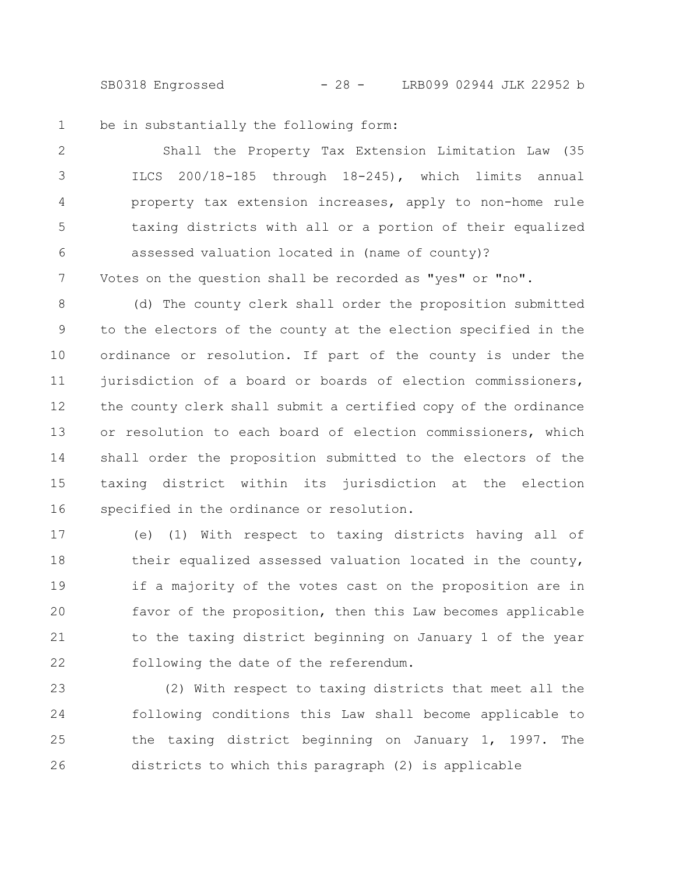SB0318 Engrossed - 28 - LRB099 02944 JLK 22952 b

be in substantially the following form: 1

Shall the Property Tax Extension Limitation Law (35 ILCS 200/18-185 through 18-245), which limits annual property tax extension increases, apply to non-home rule taxing districts with all or a portion of their equalized assessed valuation located in (name of county)? Votes on the question shall be recorded as "yes" or "no". 2 3 4 5 6 7

(d) The county clerk shall order the proposition submitted to the electors of the county at the election specified in the ordinance or resolution. If part of the county is under the jurisdiction of a board or boards of election commissioners, the county clerk shall submit a certified copy of the ordinance or resolution to each board of election commissioners, which shall order the proposition submitted to the electors of the taxing district within its jurisdiction at the election specified in the ordinance or resolution. 8 9 10 11 12 13 14 15 16

(e) (1) With respect to taxing districts having all of their equalized assessed valuation located in the county, if a majority of the votes cast on the proposition are in favor of the proposition, then this Law becomes applicable to the taxing district beginning on January 1 of the year following the date of the referendum. 17 18 19 20 21 22

(2) With respect to taxing districts that meet all the following conditions this Law shall become applicable to the taxing district beginning on January 1, 1997. The districts to which this paragraph (2) is applicable 23 24 25 26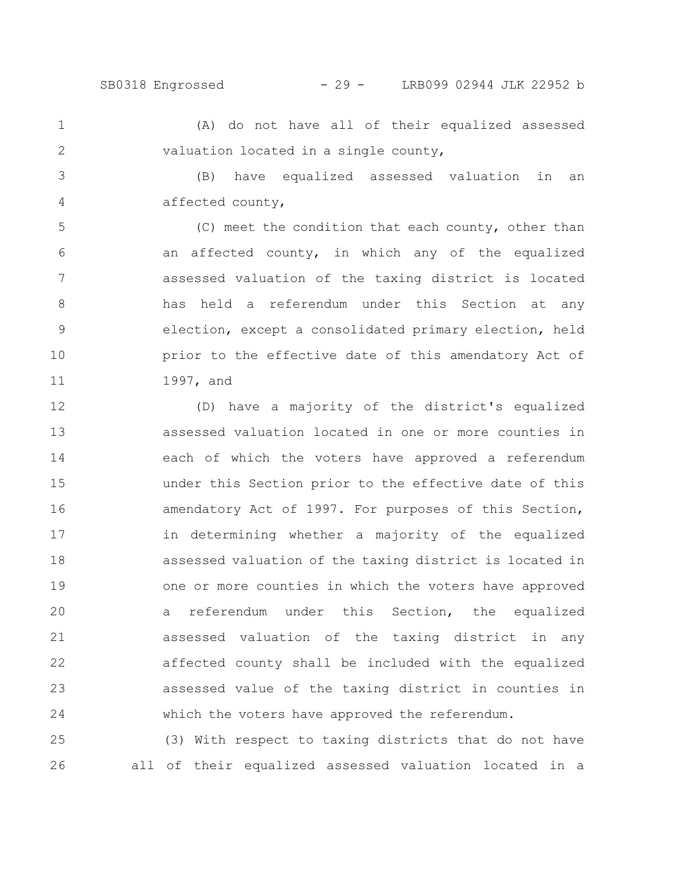(A) do not have all of their equalized assessed valuation located in a single county, 1 2

(B) have equalized assessed valuation in an affected county, 3 4

(C) meet the condition that each county, other than an affected county, in which any of the equalized assessed valuation of the taxing district is located has held a referendum under this Section at any election, except a consolidated primary election, held prior to the effective date of this amendatory Act of 1997, and 5 6 7 8 9 10 11

(D) have a majority of the district's equalized assessed valuation located in one or more counties in each of which the voters have approved a referendum under this Section prior to the effective date of this amendatory Act of 1997. For purposes of this Section, in determining whether a majority of the equalized assessed valuation of the taxing district is located in one or more counties in which the voters have approved a referendum under this Section, the equalized assessed valuation of the taxing district in any affected county shall be included with the equalized assessed value of the taxing district in counties in which the voters have approved the referendum. 12 13 14 15 16 17 18 19 20 21 22 23 24

(3) With respect to taxing districts that do not have all of their equalized assessed valuation located in a 25 26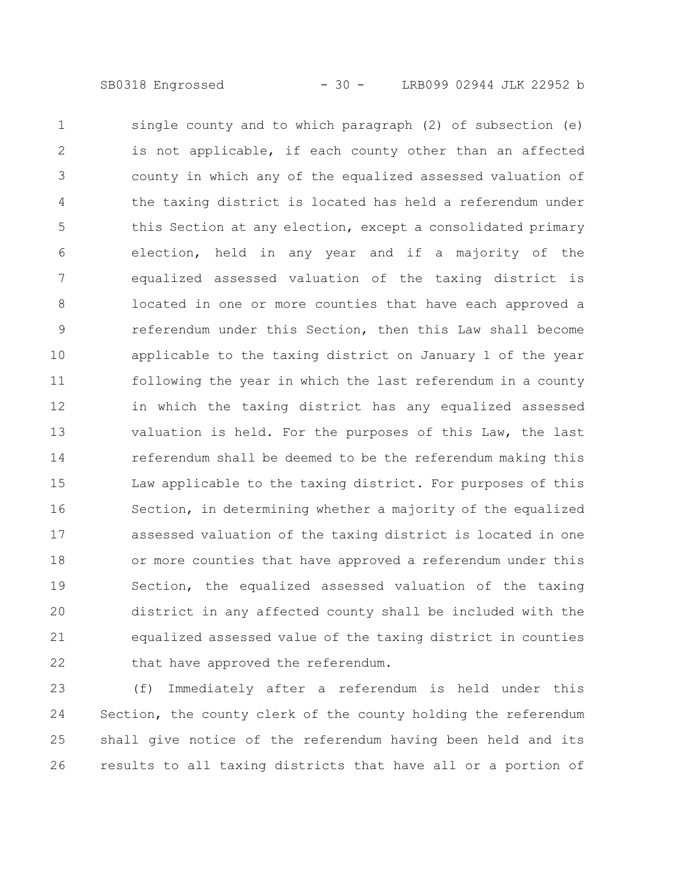single county and to which paragraph (2) of subsection (e) is not applicable, if each county other than an affected county in which any of the equalized assessed valuation of the taxing district is located has held a referendum under this Section at any election, except a consolidated primary election, held in any year and if a majority of the equalized assessed valuation of the taxing district is located in one or more counties that have each approved a referendum under this Section, then this Law shall become applicable to the taxing district on January 1 of the year following the year in which the last referendum in a county in which the taxing district has any equalized assessed valuation is held. For the purposes of this Law, the last referendum shall be deemed to be the referendum making this Law applicable to the taxing district. For purposes of this Section, in determining whether a majority of the equalized assessed valuation of the taxing district is located in one or more counties that have approved a referendum under this Section, the equalized assessed valuation of the taxing district in any affected county shall be included with the equalized assessed value of the taxing district in counties that have approved the referendum. 1 2 3 4 5 6 7 8 9 10 11 12 13 14 15 16 17 18 19 20 21 22

(f) Immediately after a referendum is held under this Section, the county clerk of the county holding the referendum shall give notice of the referendum having been held and its results to all taxing districts that have all or a portion of 23 24 25 26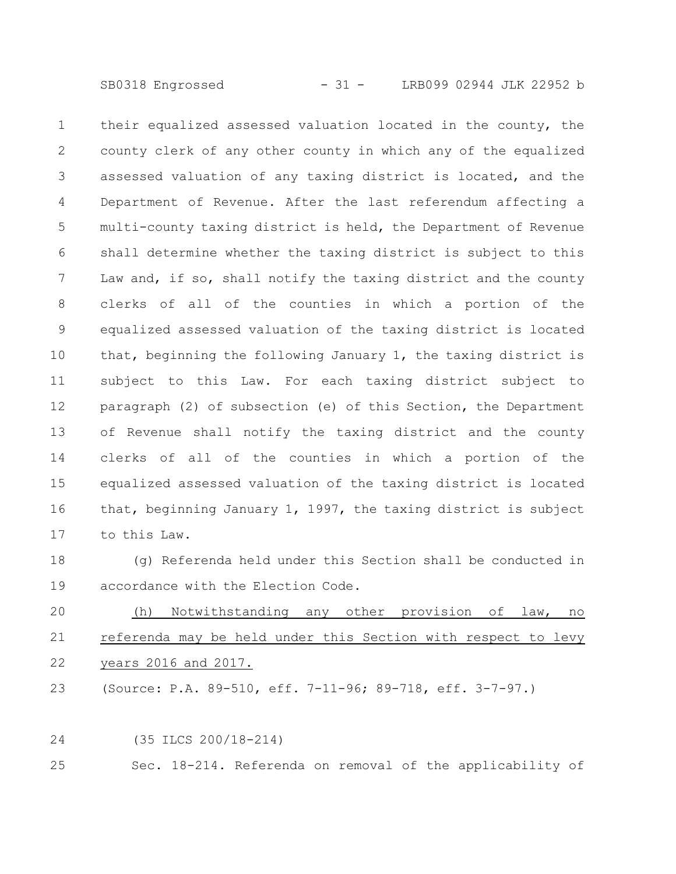SB0318 Engrossed - 31 - LRB099 02944 JLK 22952 b

their equalized assessed valuation located in the county, the county clerk of any other county in which any of the equalized assessed valuation of any taxing district is located, and the Department of Revenue. After the last referendum affecting a multi-county taxing district is held, the Department of Revenue shall determine whether the taxing district is subject to this Law and, if so, shall notify the taxing district and the county clerks of all of the counties in which a portion of the equalized assessed valuation of the taxing district is located that, beginning the following January 1, the taxing district is subject to this Law. For each taxing district subject to paragraph (2) of subsection (e) of this Section, the Department of Revenue shall notify the taxing district and the county clerks of all of the counties in which a portion of the equalized assessed valuation of the taxing district is located that, beginning January 1, 1997, the taxing district is subject to this Law. 1 2 3 4 5 6 7 8 9 10 11 12 13 14 15 16 17

(g) Referenda held under this Section shall be conducted in accordance with the Election Code. 18 19

(h) Notwithstanding any other provision of law, no referenda may be held under this Section with respect to levy years 2016 and 2017. 20 21 22

(Source: P.A. 89-510, eff. 7-11-96; 89-718, eff. 3-7-97.) 23

(35 ILCS 200/18-214) 24

Sec. 18-214. Referenda on removal of the applicability of 25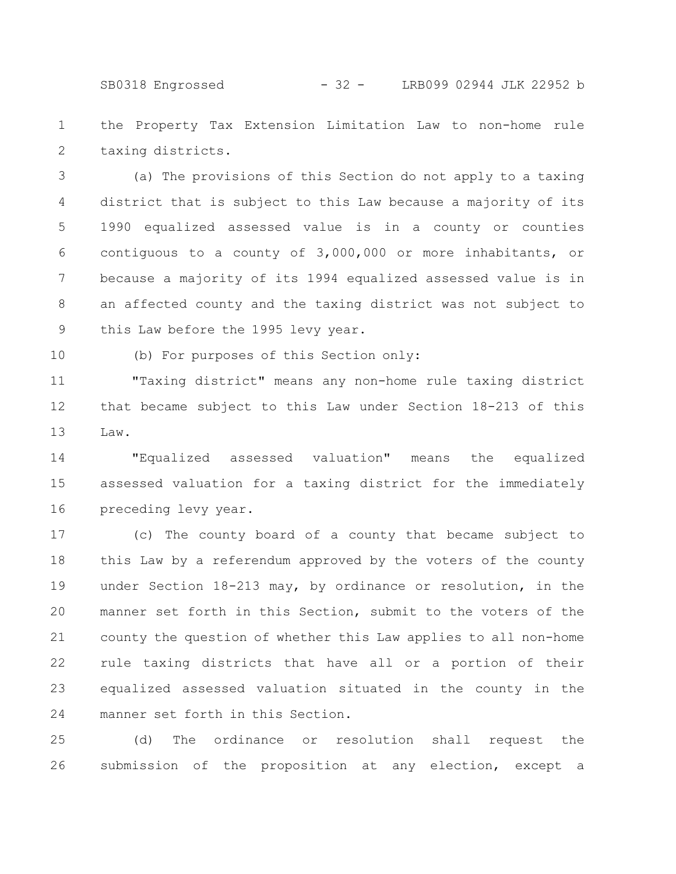SB0318 Engrossed - 32 - LRB099 02944 JLK 22952 b

the Property Tax Extension Limitation Law to non-home rule taxing districts. 1 2

(a) The provisions of this Section do not apply to a taxing district that is subject to this Law because a majority of its 1990 equalized assessed value is in a county or counties contiguous to a county of 3,000,000 or more inhabitants, or because a majority of its 1994 equalized assessed value is in an affected county and the taxing district was not subject to this Law before the 1995 levy year. 3 4 5 6 7 8 9

10

(b) For purposes of this Section only:

"Taxing district" means any non-home rule taxing district that became subject to this Law under Section 18-213 of this Law. 11 12 13

"Equalized assessed valuation" means the equalized assessed valuation for a taxing district for the immediately preceding levy year. 14 15 16

(c) The county board of a county that became subject to this Law by a referendum approved by the voters of the county under Section 18-213 may, by ordinance or resolution, in the manner set forth in this Section, submit to the voters of the county the question of whether this Law applies to all non-home rule taxing districts that have all or a portion of their equalized assessed valuation situated in the county in the manner set forth in this Section. 17 18 19 20 21 22 23 24

(d) The ordinance or resolution shall request the submission of the proposition at any election, except a 25 26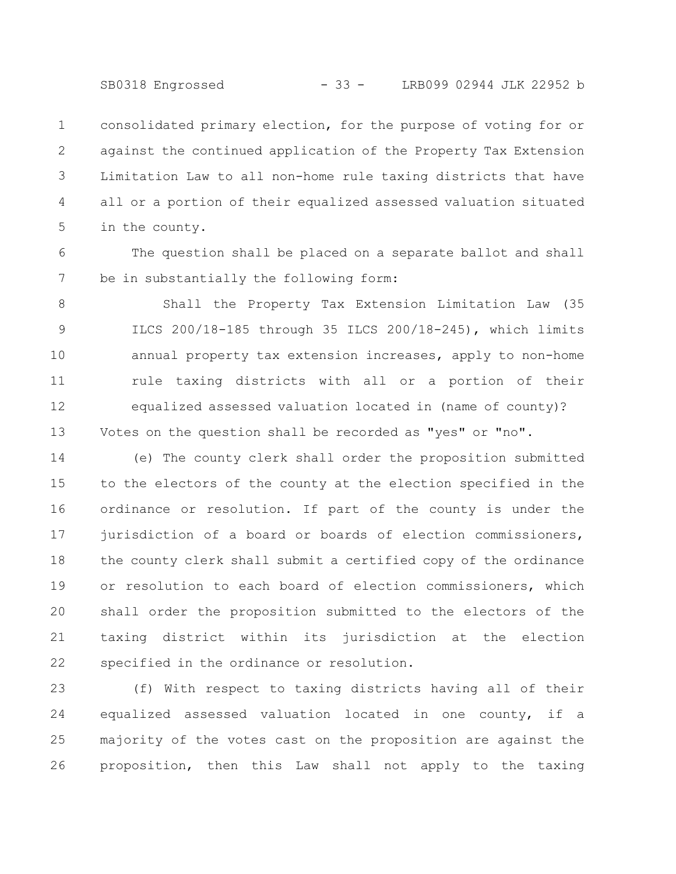SB0318 Engrossed - 33 - LRB099 02944 JLK 22952 b

consolidated primary election, for the purpose of voting for or against the continued application of the Property Tax Extension Limitation Law to all non-home rule taxing districts that have all or a portion of their equalized assessed valuation situated in the county. 1 2 3 4 5

The question shall be placed on a separate ballot and shall be in substantially the following form: 6 7

Shall the Property Tax Extension Limitation Law (35 ILCS 200/18-185 through 35 ILCS 200/18-245), which limits annual property tax extension increases, apply to non-home rule taxing districts with all or a portion of their equalized assessed valuation located in (name of county)? Votes on the question shall be recorded as "yes" or "no". 8 9 10 11 12 13

(e) The county clerk shall order the proposition submitted to the electors of the county at the election specified in the ordinance or resolution. If part of the county is under the jurisdiction of a board or boards of election commissioners, the county clerk shall submit a certified copy of the ordinance or resolution to each board of election commissioners, which shall order the proposition submitted to the electors of the taxing district within its jurisdiction at the election specified in the ordinance or resolution. 14 15 16 17 18 19 20 21 22

(f) With respect to taxing districts having all of their equalized assessed valuation located in one county, if a majority of the votes cast on the proposition are against the proposition, then this Law shall not apply to the taxing 23 24 25 26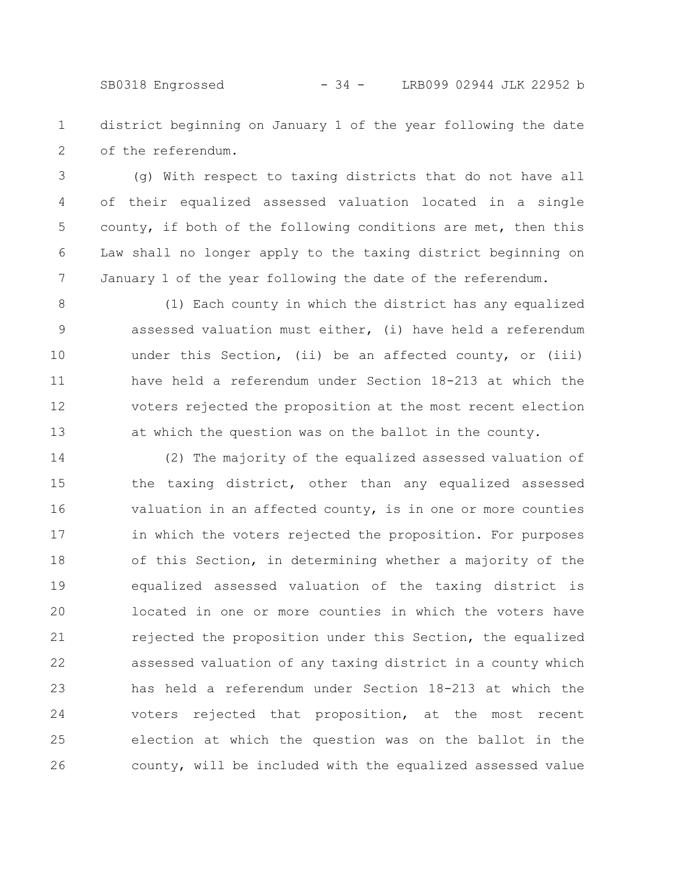SB0318 Engrossed - 34 - LRB099 02944 JLK 22952 b

district beginning on January 1 of the year following the date of the referendum. 1 2

(g) With respect to taxing districts that do not have all of their equalized assessed valuation located in a single county, if both of the following conditions are met, then this Law shall no longer apply to the taxing district beginning on January 1 of the year following the date of the referendum. 3 4 5 6 7

(1) Each county in which the district has any equalized assessed valuation must either, (i) have held a referendum under this Section, (ii) be an affected county, or (iii) have held a referendum under Section 18-213 at which the voters rejected the proposition at the most recent election at which the question was on the ballot in the county. 8 9 10 11 12 13

(2) The majority of the equalized assessed valuation of the taxing district, other than any equalized assessed valuation in an affected county, is in one or more counties in which the voters rejected the proposition. For purposes of this Section, in determining whether a majority of the equalized assessed valuation of the taxing district is located in one or more counties in which the voters have rejected the proposition under this Section, the equalized assessed valuation of any taxing district in a county which has held a referendum under Section 18-213 at which the voters rejected that proposition, at the most recent election at which the question was on the ballot in the county, will be included with the equalized assessed value 14 15 16 17 18 19 20 21 22 23 24 25 26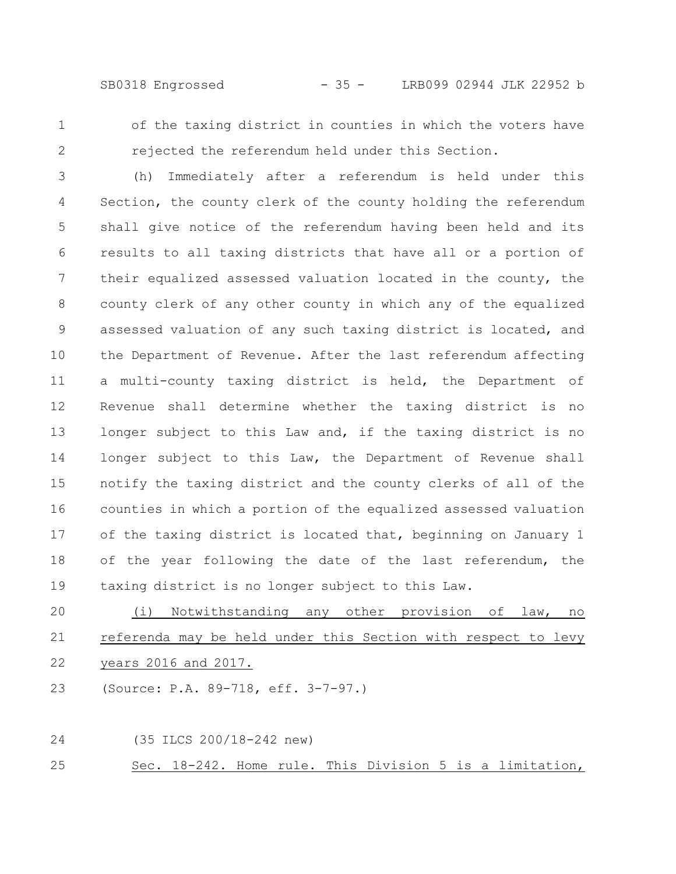SB0318 Engrossed - 35 - LRB099 02944 JLK 22952 b

1 2 of the taxing district in counties in which the voters have rejected the referendum held under this Section.

(h) Immediately after a referendum is held under this Section, the county clerk of the county holding the referendum shall give notice of the referendum having been held and its results to all taxing districts that have all or a portion of their equalized assessed valuation located in the county, the county clerk of any other county in which any of the equalized assessed valuation of any such taxing district is located, and the Department of Revenue. After the last referendum affecting a multi-county taxing district is held, the Department of Revenue shall determine whether the taxing district is no longer subject to this Law and, if the taxing district is no longer subject to this Law, the Department of Revenue shall notify the taxing district and the county clerks of all of the counties in which a portion of the equalized assessed valuation of the taxing district is located that, beginning on January 1 of the year following the date of the last referendum, the taxing district is no longer subject to this Law. 3 4 5 6 7 8 9 10 11 12 13 14 15 16 17 18 19

(i) Notwithstanding any other provision of law, no referenda may be held under this Section with respect to levy years 2016 and 2017. 20 21 22

(Source: P.A. 89-718, eff. 3-7-97.) 23

(35 ILCS 200/18-242 new) Sec. 18-242. Home rule. This Division 5 is a limitation, 24 25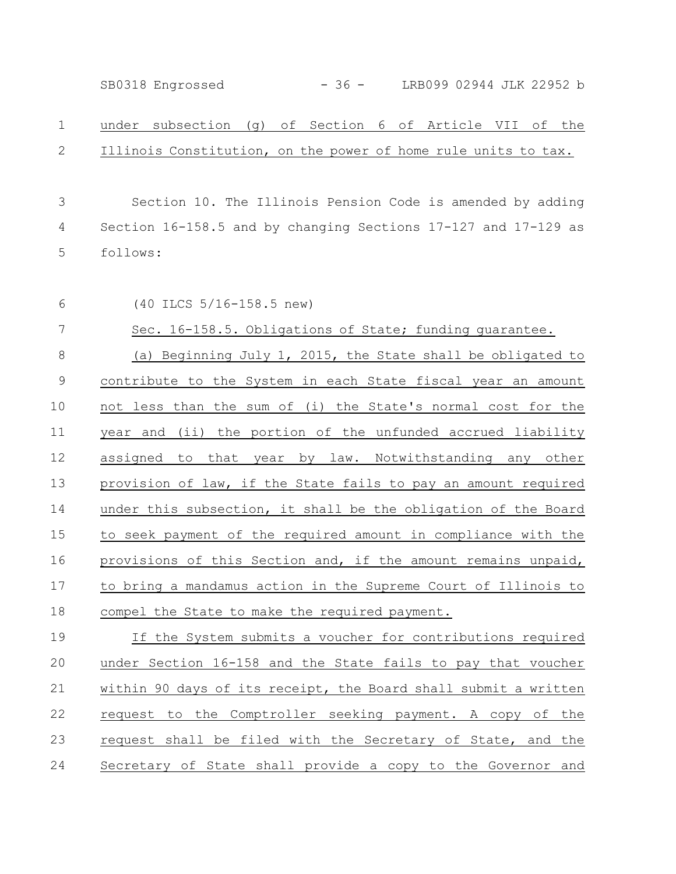SB0318 Engrossed - 36 - LRB099 02944 JLK 22952 b

## under subsection (g) of Section 6 of Article VII of the Illinois Constitution, on the power of home rule units to tax. 1 2

Section 10. The Illinois Pension Code is amended by adding Section 16-158.5 and by changing Sections 17-127 and 17-129 as follows: 3 4 5

6

(40 ILCS 5/16-158.5 new)

Sec. 16-158.5. Obligations of State; funding quarantee. 7

(a) Beginning July 1, 2015, the State shall be obligated to contribute to the System in each State fiscal year an amount not less than the sum of (i) the State's normal cost for the year and (ii) the portion of the unfunded accrued liability assigned to that year by law. Notwithstanding any other provision of law, if the State fails to pay an amount required under this subsection, it shall be the obligation of the Board to seek payment of the required amount in compliance with the provisions of this Section and, if the amount remains unpaid, to bring a mandamus action in the Supreme Court of Illinois to compel the State to make the required payment. 8 9 10 11 12 13 14 15 16 17 18

If the System submits a voucher for contributions required under Section 16-158 and the State fails to pay that voucher within 90 days of its receipt, the Board shall submit a written request to the Comptroller seeking payment. A copy of the request shall be filed with the Secretary of State, and the Secretary of State shall provide a copy to the Governor and 19 20 21 22 23 24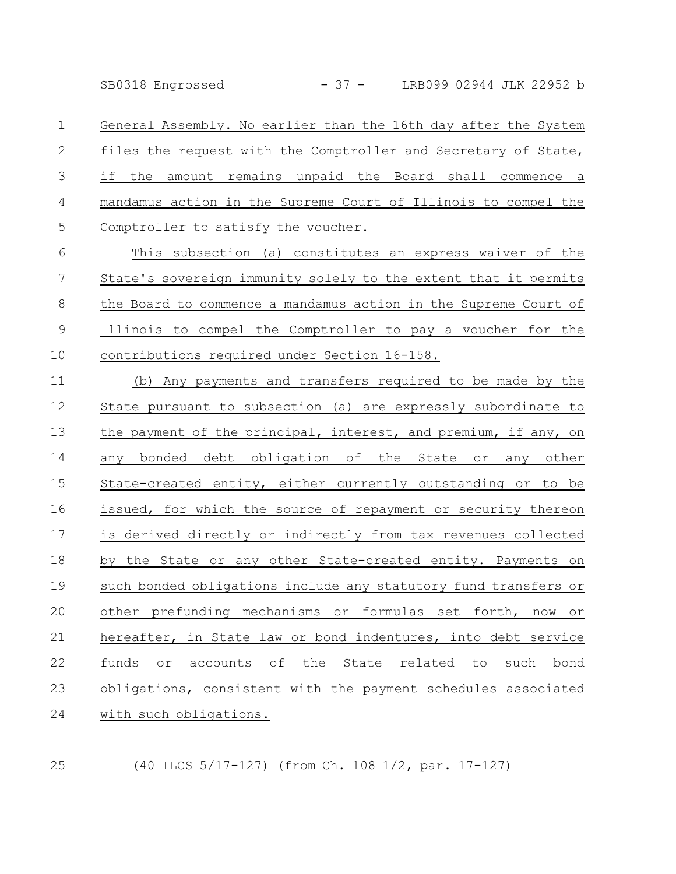SB0318 Engrossed - 37 - LRB099 02944 JLK 22952 b

General Assembly. No earlier than the 16th day after the System files the request with the Comptroller and Secretary of State, if the amount remains unpaid the Board shall commence a mandamus action in the Supreme Court of Illinois to compel the Comptroller to satisfy the voucher. 1 2 3 4 5

This subsection (a) constitutes an express waiver of the State's sovereign immunity solely to the extent that it permits the Board to commence a mandamus action in the Supreme Court of Illinois to compel the Comptroller to pay a voucher for the contributions required under Section 16-158. 6 7 8 9 10

(b) Any payments and transfers required to be made by the State pursuant to subsection (a) are expressly subordinate to the payment of the principal, interest, and premium, if any, on any bonded debt obligation of the State or any other State-created entity, either currently outstanding or to be issued, for which the source of repayment or security thereon is derived directly or indirectly from tax revenues collected by the State or any other State-created entity. Payments on such bonded obligations include any statutory fund transfers or other prefunding mechanisms or formulas set forth, now or hereafter, in State law or bond indentures, into debt service funds or accounts of the State related to such bond obligations, consistent with the payment schedules associated with such obligations. 11 12 13 14 15 16 17 18 19 20 21 22 23 24

25

(40 ILCS 5/17-127) (from Ch. 108 1/2, par. 17-127)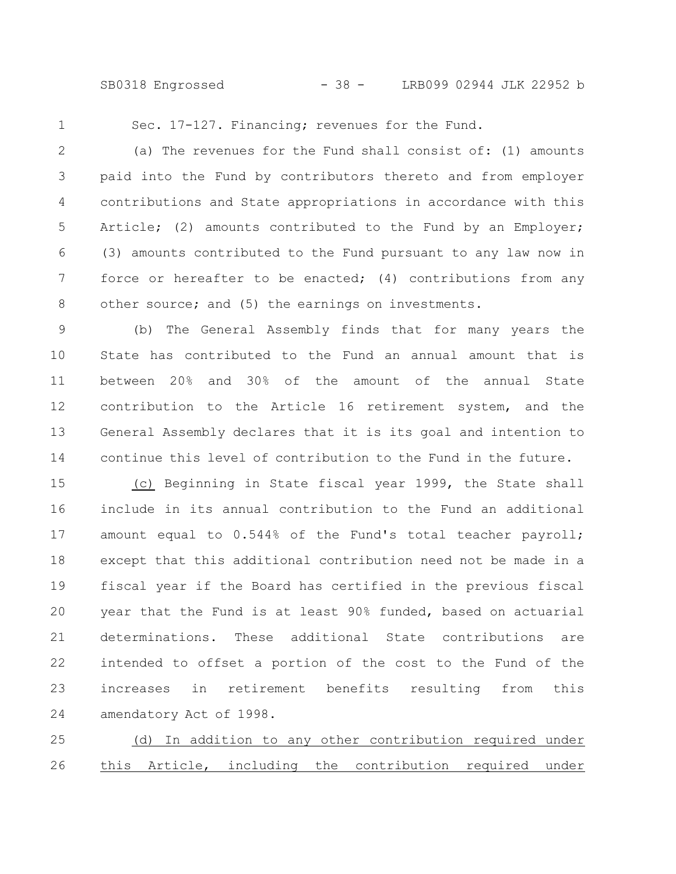SB0318 Engrossed - 38 - LRB099 02944 JLK 22952 b

1

Sec. 17-127. Financing; revenues for the Fund.

(a) The revenues for the Fund shall consist of: (1) amounts paid into the Fund by contributors thereto and from employer contributions and State appropriations in accordance with this Article; (2) amounts contributed to the Fund by an Employer; (3) amounts contributed to the Fund pursuant to any law now in force or hereafter to be enacted; (4) contributions from any other source; and (5) the earnings on investments. 2 3 4 5 6 7 8

(b) The General Assembly finds that for many years the State has contributed to the Fund an annual amount that is between 20% and 30% of the amount of the annual State contribution to the Article 16 retirement system, and the General Assembly declares that it is its goal and intention to continue this level of contribution to the Fund in the future. 9 10 11 12 13 14

(c) Beginning in State fiscal year 1999, the State shall include in its annual contribution to the Fund an additional amount equal to 0.544% of the Fund's total teacher payroll; except that this additional contribution need not be made in a fiscal year if the Board has certified in the previous fiscal year that the Fund is at least 90% funded, based on actuarial determinations. These additional State contributions are intended to offset a portion of the cost to the Fund of the increases in retirement benefits resulting from this amendatory Act of 1998. 15 16 17 18 19 20 21 22 23 24

(d) In addition to any other contribution required under this Article, including the contribution required under 25 26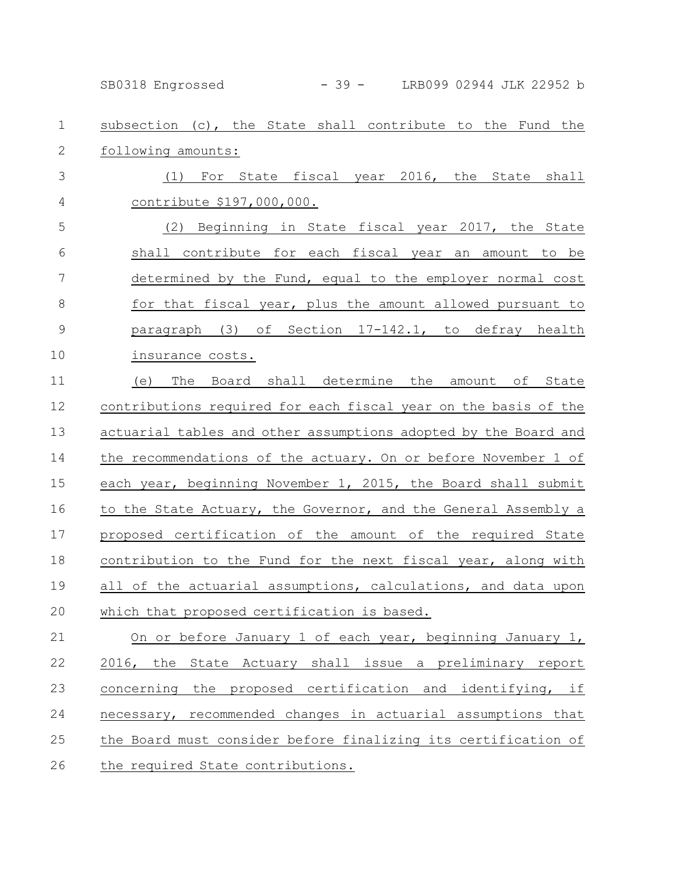|               | $-39-$<br>LRB099 02944 JLK 22952 b<br>SB0318 Engrossed          |
|---------------|-----------------------------------------------------------------|
| $\mathbf 1$   | subsection (c), the State shall contribute to the Fund the      |
| $\mathbf{2}$  | following amounts:                                              |
| 3             | (1) For State fiscal year 2016, the State shall                 |
| 4             | contribute \$197,000,000.                                       |
| 5             | (2) Beginning in State fiscal year 2017, the State              |
| 6             | shall contribute for each fiscal year an amount to be           |
| 7             | determined by the Fund, equal to the employer normal cost       |
| $8\,$         | for that fiscal year, plus the amount allowed pursuant to       |
| $\mathcal{G}$ | paragraph (3) of Section 17-142.1, to defray health             |
| 10            | insurance costs.                                                |
| 11            | The Board shall determine the amount of State<br>(e)            |
| 12            | contributions required for each fiscal year on the basis of the |
| 13            | actuarial tables and other assumptions adopted by the Board and |
| 14            | the recommendations of the actuary. On or before November 1 of  |
| 15            | each year, beginning November 1, 2015, the Board shall submit   |
| 16            | to the State Actuary, the Governor, and the General Assembly a  |
| 17            | proposed certification of the amount of the required State      |
| 18            | contribution to the Fund for the next fiscal year, along with   |
| 19            | all of the actuarial assumptions, calculations, and data upon   |
| 20            | which that proposed certification is based.                     |
| 21            | On or before January 1 of each year, beginning January 1,       |
| 22            | 2016, the State Actuary shall issue a preliminary report        |
| 23            | the proposed certification and identifying, if<br>concerning    |
| 24            | necessary, recommended changes in actuarial assumptions that    |
| 25            | the Board must consider before finalizing its certification of  |
| 26            | the required State contributions.                               |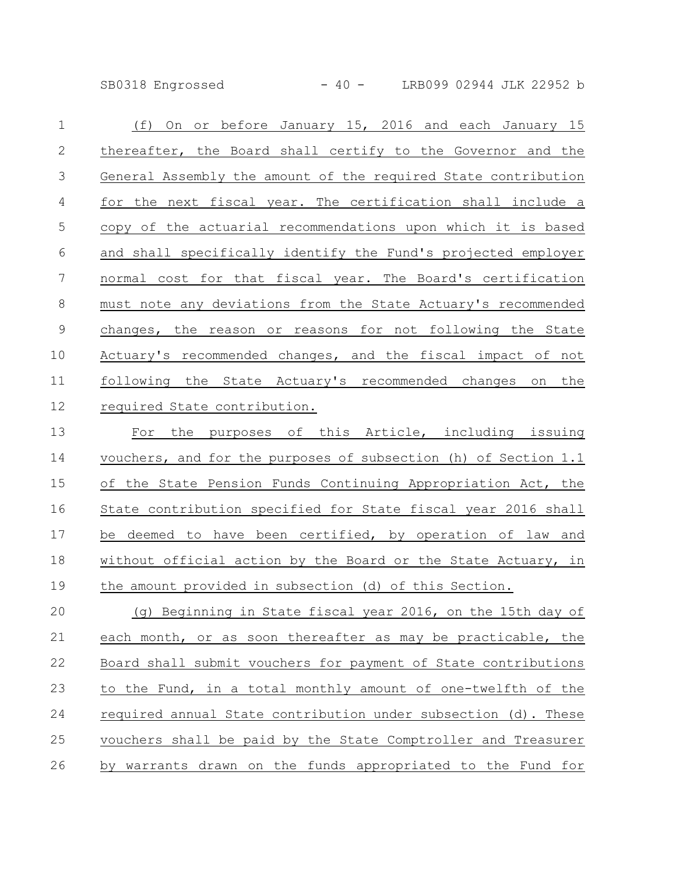SB0318 Engrossed - 40 - LRB099 02944 JLK 22952 b

| $\mathbf 1$    | (f) On or before January 15, 2016 and each January 15           |
|----------------|-----------------------------------------------------------------|
| $\mathbf{2}$   | thereafter, the Board shall certify to the Governor and the     |
| 3              | General Assembly the amount of the required State contribution  |
| $\overline{4}$ | for the next fiscal year. The certification shall include a     |
| 5              | copy of the actuarial recommendations upon which it is based    |
| 6              | and shall specifically identify the Fund's projected employer   |
| $\overline{7}$ | normal cost for that fiscal year. The Board's certification     |
| $\,8\,$        | must note any deviations from the State Actuary's recommended   |
| $\overline{9}$ | changes, the reason or reasons for not following the State      |
| 10             | Actuary's recommended changes, and the fiscal impact of not     |
| 11             | following the State Actuary's recommended changes on the        |
| 12             | required State contribution.                                    |
| 13             | For the purposes of this Article, including issuing             |
| 14             | vouchers, and for the purposes of subsection (h) of Section 1.1 |
| 15             | of the State Pension Funds Continuing Appropriation Act, the    |
| 16             | State contribution specified for State fiscal year 2016 shall   |
| 17             | be deemed to have been certified, by operation of law and       |
| $1\,8$         | without official action by the Board or the State Actuary, in   |
| 19             | the amount provided in subsection (d) of this Section.          |
| 20             | (g) Beginning in State fiscal year 2016, on the 15th day of     |
| 21             | each month, or as soon thereafter as may be practicable, the    |
| 22             | Board shall submit vouchers for payment of State contributions  |

to the Fund, in a total monthly amount of one-twelfth of the required annual State contribution under subsection (d). These vouchers shall be paid by the State Comptroller and Treasurer by warrants drawn on the funds appropriated to the Fund for 23 24 25 26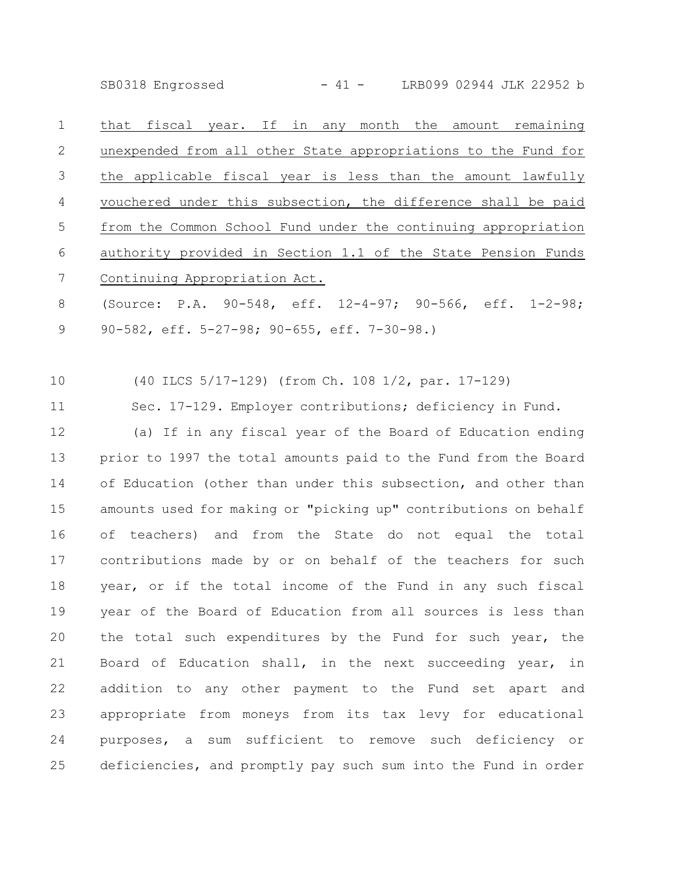SB0318 Engrossed - 41 - LRB099 02944 JLK 22952 b

that fiscal year. If in any month the amount remaining unexpended from all other State appropriations to the Fund for the applicable fiscal year is less than the amount lawfully vouchered under this subsection, the difference shall be paid from the Common School Fund under the continuing appropriation authority provided in Section 1.1 of the State Pension Funds Continuing Appropriation Act. 1 2 3 4 5 6 7

(Source: P.A. 90-548, eff. 12-4-97; 90-566, eff. 1-2-98; 90-582, eff. 5-27-98; 90-655, eff. 7-30-98.) 8 9

(40 ILCS 5/17-129) (from Ch. 108 1/2, par. 17-129) 10

Sec. 17-129. Employer contributions; deficiency in Fund. 11

(a) If in any fiscal year of the Board of Education ending prior to 1997 the total amounts paid to the Fund from the Board of Education (other than under this subsection, and other than amounts used for making or "picking up" contributions on behalf of teachers) and from the State do not equal the total contributions made by or on behalf of the teachers for such year, or if the total income of the Fund in any such fiscal year of the Board of Education from all sources is less than the total such expenditures by the Fund for such year, the Board of Education shall, in the next succeeding year, in addition to any other payment to the Fund set apart and appropriate from moneys from its tax levy for educational purposes, a sum sufficient to remove such deficiency or deficiencies, and promptly pay such sum into the Fund in order 12 13 14 15 16 17 18 19 20 21 22 23 24 25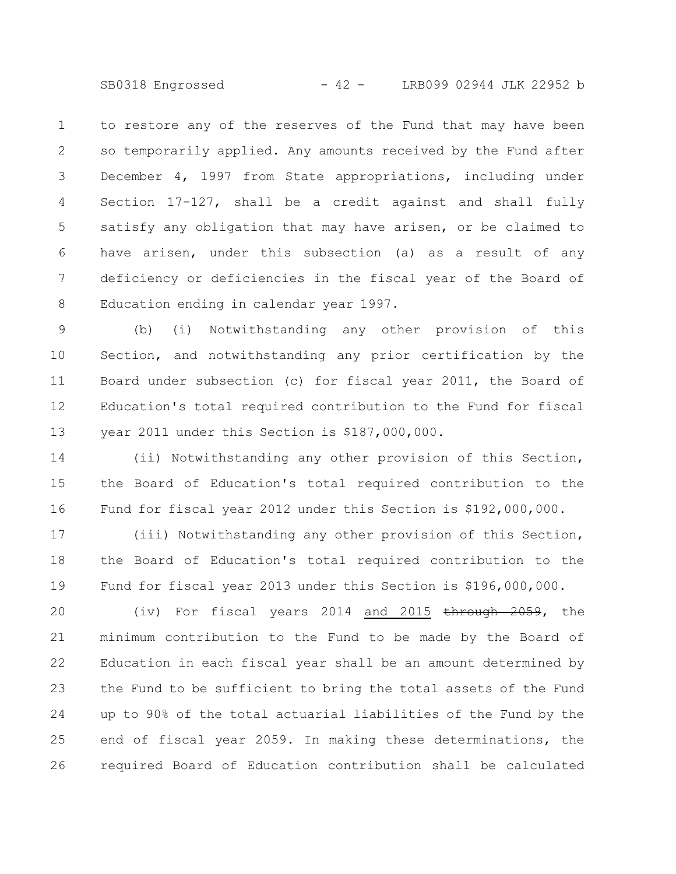SB0318 Engrossed - 42 - LRB099 02944 JLK 22952 b

to restore any of the reserves of the Fund that may have been so temporarily applied. Any amounts received by the Fund after December 4, 1997 from State appropriations, including under Section 17-127, shall be a credit against and shall fully satisfy any obligation that may have arisen, or be claimed to have arisen, under this subsection (a) as a result of any deficiency or deficiencies in the fiscal year of the Board of Education ending in calendar year 1997. 1 2 3 4 5 6 7 8

(b) (i) Notwithstanding any other provision of this Section, and notwithstanding any prior certification by the Board under subsection (c) for fiscal year 2011, the Board of Education's total required contribution to the Fund for fiscal year 2011 under this Section is \$187,000,000. 9 10 11 12 13

(ii) Notwithstanding any other provision of this Section, the Board of Education's total required contribution to the Fund for fiscal year 2012 under this Section is \$192,000,000. 14 15 16

(iii) Notwithstanding any other provision of this Section, the Board of Education's total required contribution to the Fund for fiscal year 2013 under this Section is \$196,000,000. 17 18 19

(iv) For fiscal years 2014 and 2015 through 2059, the minimum contribution to the Fund to be made by the Board of Education in each fiscal year shall be an amount determined by the Fund to be sufficient to bring the total assets of the Fund up to 90% of the total actuarial liabilities of the Fund by the end of fiscal year 2059. In making these determinations, the required Board of Education contribution shall be calculated 20 21 22 23 24 25 26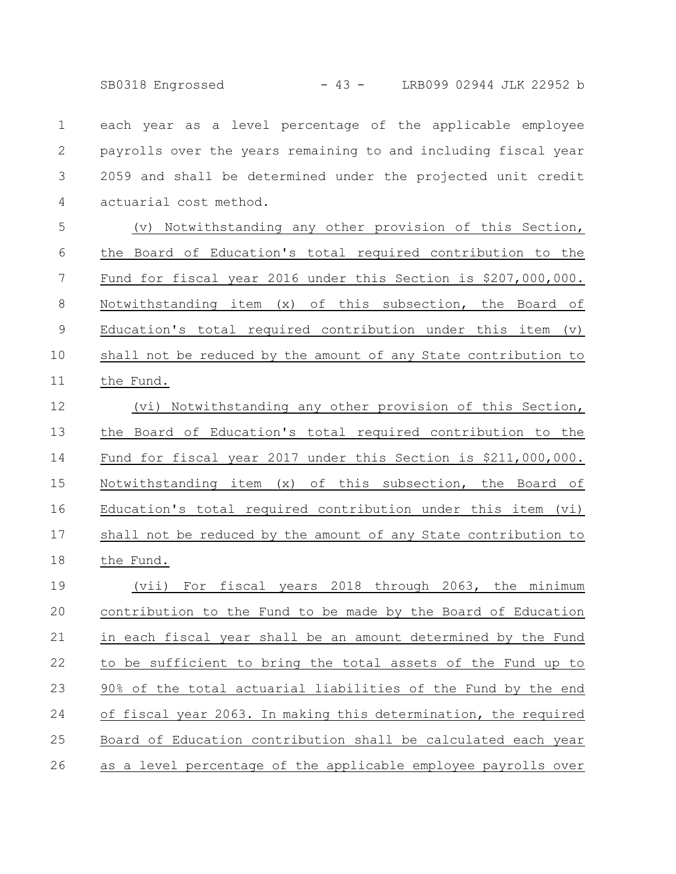SB0318 Engrossed - 43 - LRB099 02944 JLK 22952 b

each year as a level percentage of the applicable employee payrolls over the years remaining to and including fiscal year 2059 and shall be determined under the projected unit credit actuarial cost method. 1 2 3 4

(v) Notwithstanding any other provision of this Section, the Board of Education's total required contribution to the Fund for fiscal year 2016 under this Section is \$207,000,000. Notwithstanding item (x) of this subsection, the Board of Education's total required contribution under this item (v) shall not be reduced by the amount of any State contribution to the Fund. 5 6 7 8 9 10 11

(vi) Notwithstanding any other provision of this Section, the Board of Education's total required contribution to the Fund for fiscal year 2017 under this Section is \$211,000,000. Notwithstanding item (x) of this subsection, the Board of Education's total required contribution under this item (vi) shall not be reduced by the amount of any State contribution to the Fund. 12 13 14 15 16 17 18

(vii) For fiscal years 2018 through 2063, the minimum contribution to the Fund to be made by the Board of Education in each fiscal year shall be an amount determined by the Fund to be sufficient to bring the total assets of the Fund up to 90% of the total actuarial liabilities of the Fund by the end of fiscal year 2063. In making this determination, the required Board of Education contribution shall be calculated each year as a level percentage of the applicable employee payrolls over 19 20 21 22 23 24 25 26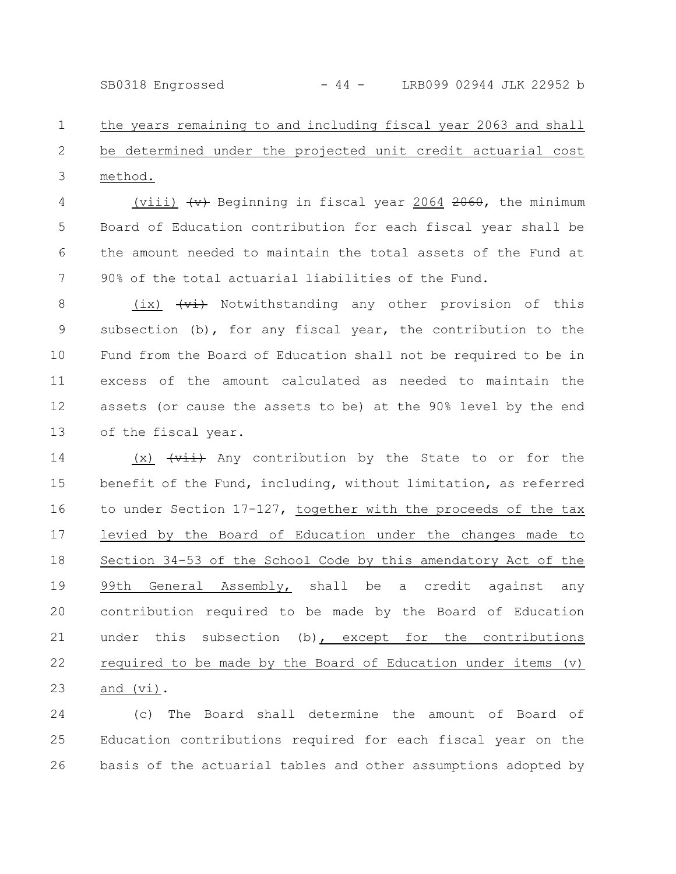SB0318 Engrossed - 44 - LRB099 02944 JLK 22952 b

the years remaining to and including fiscal year 2063 and shall be determined under the projected unit credit actuarial cost method. 1 2 3

(viii)  $\leftrightarrow$  Beginning in fiscal year 2064 2060, the minimum Board of Education contribution for each fiscal year shall be the amount needed to maintain the total assets of the Fund at 90% of the total actuarial liabilities of the Fund. 4 5 6 7

(ix)  $\overline{v_i}$  Notwithstanding any other provision of this subsection (b), for any fiscal year, the contribution to the Fund from the Board of Education shall not be required to be in excess of the amount calculated as needed to maintain the assets (or cause the assets to be) at the 90% level by the end of the fiscal year. 8 9 10 11 12 13

 $(x)$   $\overleftrightarrow{+i}$  Any contribution by the State to or for the benefit of the Fund, including, without limitation, as referred to under Section 17-127, together with the proceeds of the tax levied by the Board of Education under the changes made to Section 34-53 of the School Code by this amendatory Act of the 99th General Assembly, shall be a credit against any contribution required to be made by the Board of Education under this subsection (b), except for the contributions required to be made by the Board of Education under items (v) and (vi). 14 15 16 17 18 19 20 21 22 23

(c) The Board shall determine the amount of Board of Education contributions required for each fiscal year on the basis of the actuarial tables and other assumptions adopted by 24 25 26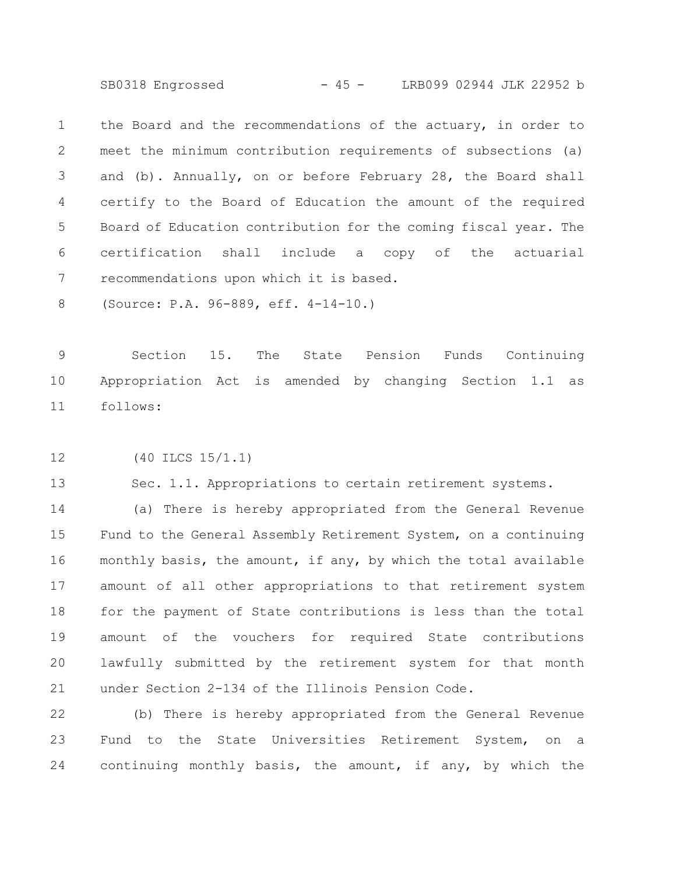SB0318 Engrossed - 45 - LRB099 02944 JLK 22952 b

the Board and the recommendations of the actuary, in order to meet the minimum contribution requirements of subsections (a) and (b). Annually, on or before February 28, the Board shall certify to the Board of Education the amount of the required Board of Education contribution for the coming fiscal year. The certification shall include a copy of the actuarial recommendations upon which it is based. 1 2 3 4 5 6 7

(Source: P.A. 96-889, eff. 4-14-10.) 8

Section 15. The State Pension Funds Continuing Appropriation Act is amended by changing Section 1.1 as follows: 9 10 11

(40 ILCS 15/1.1) 12

Sec. 1.1. Appropriations to certain retirement systems. 13

(a) There is hereby appropriated from the General Revenue Fund to the General Assembly Retirement System, on a continuing monthly basis, the amount, if any, by which the total available amount of all other appropriations to that retirement system for the payment of State contributions is less than the total amount of the vouchers for required State contributions lawfully submitted by the retirement system for that month under Section 2-134 of the Illinois Pension Code. 14 15 16 17 18 19 20 21

(b) There is hereby appropriated from the General Revenue Fund to the State Universities Retirement System, on a continuing monthly basis, the amount, if any, by which the 22 23 24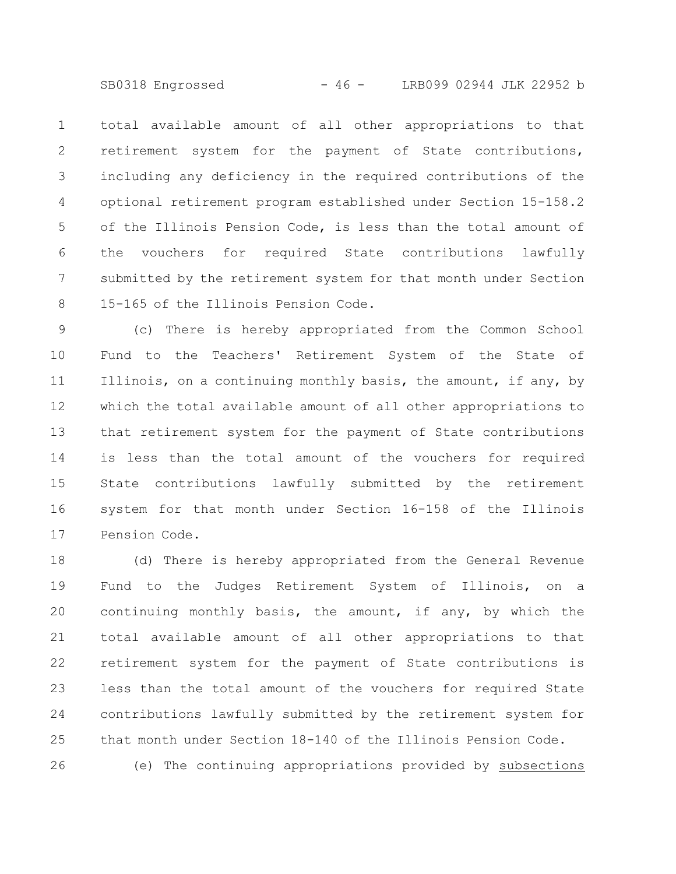SB0318 Engrossed - 46 - LRB099 02944 JLK 22952 b

total available amount of all other appropriations to that retirement system for the payment of State contributions, including any deficiency in the required contributions of the optional retirement program established under Section 15-158.2 of the Illinois Pension Code, is less than the total amount of the vouchers for required State contributions lawfully submitted by the retirement system for that month under Section 15-165 of the Illinois Pension Code. 1 2 3 4 5 6 7 8

(c) There is hereby appropriated from the Common School Fund to the Teachers' Retirement System of the State of Illinois, on a continuing monthly basis, the amount, if any, by which the total available amount of all other appropriations to that retirement system for the payment of State contributions is less than the total amount of the vouchers for required State contributions lawfully submitted by the retirement system for that month under Section 16-158 of the Illinois Pension Code. 9 10 11 12 13 14 15 16 17

(d) There is hereby appropriated from the General Revenue Fund to the Judges Retirement System of Illinois, on a continuing monthly basis, the amount, if any, by which the total available amount of all other appropriations to that retirement system for the payment of State contributions is less than the total amount of the vouchers for required State contributions lawfully submitted by the retirement system for that month under Section 18-140 of the Illinois Pension Code. (e) The continuing appropriations provided by subsections 18 19 20 21 22 23 24 25 26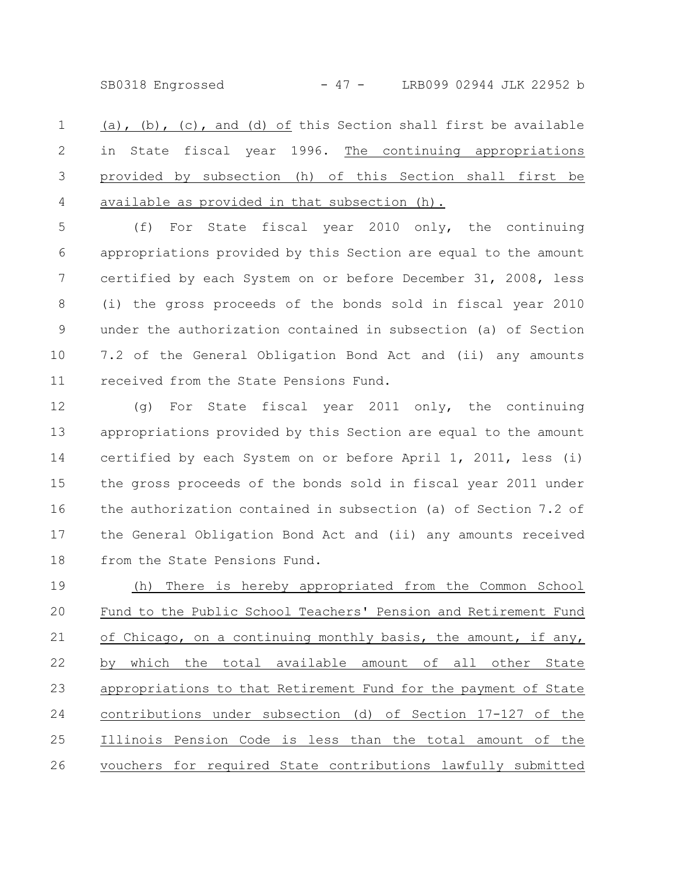SB0318 Engrossed - 47 - LRB099 02944 JLK 22952 b

(a), (b), (c), and (d) of this Section shall first be available in State fiscal year 1996. The continuing appropriations provided by subsection (h) of this Section shall first be available as provided in that subsection (h). 1 2 3 4

(f) For State fiscal year 2010 only, the continuing appropriations provided by this Section are equal to the amount certified by each System on or before December 31, 2008, less (i) the gross proceeds of the bonds sold in fiscal year 2010 under the authorization contained in subsection (a) of Section 7.2 of the General Obligation Bond Act and (ii) any amounts received from the State Pensions Fund. 5 6 7 8 9 10 11

(g) For State fiscal year 2011 only, the continuing appropriations provided by this Section are equal to the amount certified by each System on or before April 1, 2011, less (i) the gross proceeds of the bonds sold in fiscal year 2011 under the authorization contained in subsection (a) of Section 7.2 of the General Obligation Bond Act and (ii) any amounts received from the State Pensions Fund. 12 13 14 15 16 17 18

(h) There is hereby appropriated from the Common School Fund to the Public School Teachers' Pension and Retirement Fund of Chicago, on a continuing monthly basis, the amount, if any, by which the total available amount of all other State appropriations to that Retirement Fund for the payment of State contributions under subsection (d) of Section 17-127 of the Illinois Pension Code is less than the total amount of the vouchers for required State contributions lawfully submitted 19 20 21 22 23 24 25 26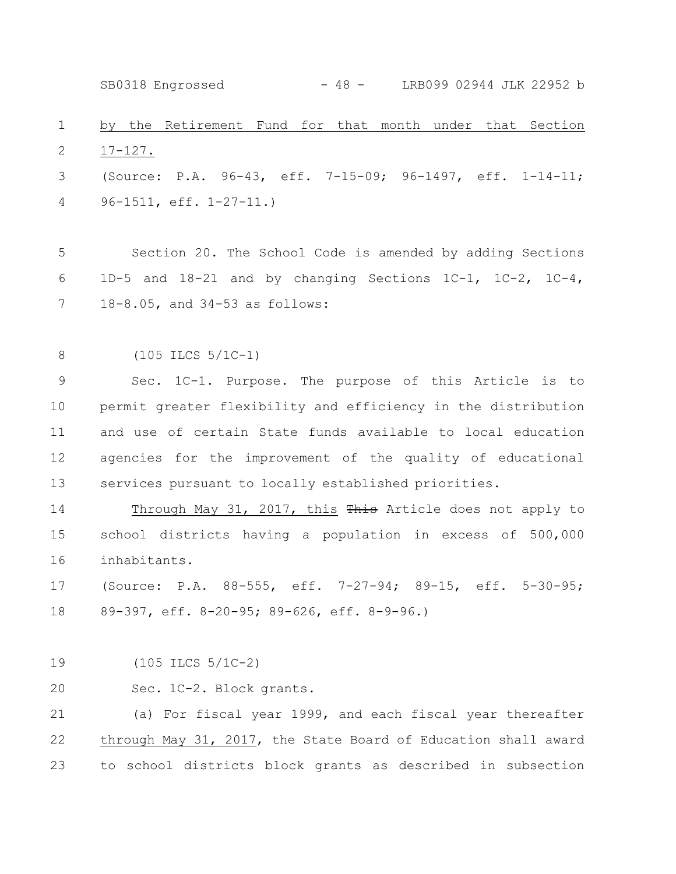by the Retirement Fund for that month under that Section 17-127. (Source: P.A. 96-43, eff. 7-15-09; 96-1497, eff. 1-14-11; 96-1511, eff. 1-27-11.) Section 20. The School Code is amended by adding Sections 1D-5 and 18-21 and by changing Sections 1C-1, 1C-2, 1C-4, 18-8.05, and 34-53 as follows: (105 ILCS 5/1C-1) Sec. 1C-1. Purpose. The purpose of this Article is to permit greater flexibility and efficiency in the distribution and use of certain State funds available to local education agencies for the improvement of the quality of educational services pursuant to locally established priorities. Through May 31, 2017, this This Article does not apply to school districts having a population in excess of 500,000 inhabitants. (Source: P.A. 88-555, eff. 7-27-94; 89-15, eff. 5-30-95; 89-397, eff. 8-20-95; 89-626, eff. 8-9-96.) (105 ILCS 5/1C-2) Sec. 1C-2. Block grants. (a) For fiscal year 1999, and each fiscal year thereafter through May 31, 2017, the State Board of Education shall award to school districts block grants as described in subsection 1 2 3 4 5 6 7 8 9 10 11 12 13 14 15 16 17 18 19 20 21 22 23 SB0318 Engrossed - 48 - LRB099 02944 JLK 22952 b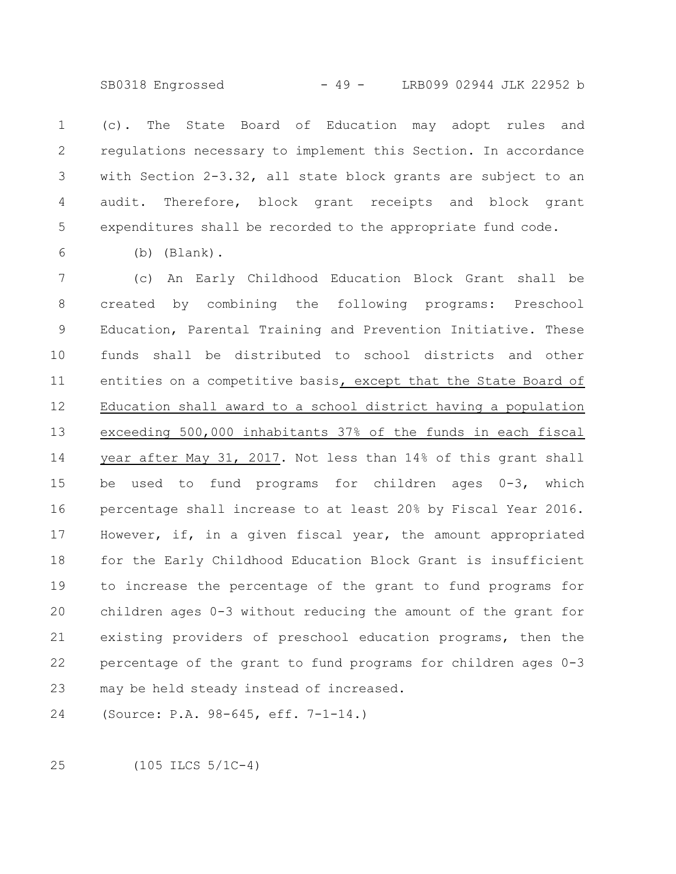SB0318 Engrossed - 49 - LRB099 02944 JLK 22952 b

(c). The State Board of Education may adopt rules and regulations necessary to implement this Section. In accordance with Section 2-3.32, all state block grants are subject to an audit. Therefore, block grant receipts and block grant expenditures shall be recorded to the appropriate fund code. 1 2 3 4 5

6

(b) (Blank).

(c) An Early Childhood Education Block Grant shall be created by combining the following programs: Preschool Education, Parental Training and Prevention Initiative. These funds shall be distributed to school districts and other entities on a competitive basis, except that the State Board of Education shall award to a school district having a population exceeding 500,000 inhabitants 37% of the funds in each fiscal year after May 31, 2017. Not less than 14% of this grant shall be used to fund programs for children ages 0-3, which percentage shall increase to at least 20% by Fiscal Year 2016. However, if, in a given fiscal year, the amount appropriated for the Early Childhood Education Block Grant is insufficient to increase the percentage of the grant to fund programs for children ages 0-3 without reducing the amount of the grant for existing providers of preschool education programs, then the percentage of the grant to fund programs for children ages 0-3 may be held steady instead of increased. 7 8 9 10 11 12 13 14 15 16 17 18 19 20 21 22 23

(Source: P.A. 98-645, eff. 7-1-14.) 24

(105 ILCS 5/1C-4) 25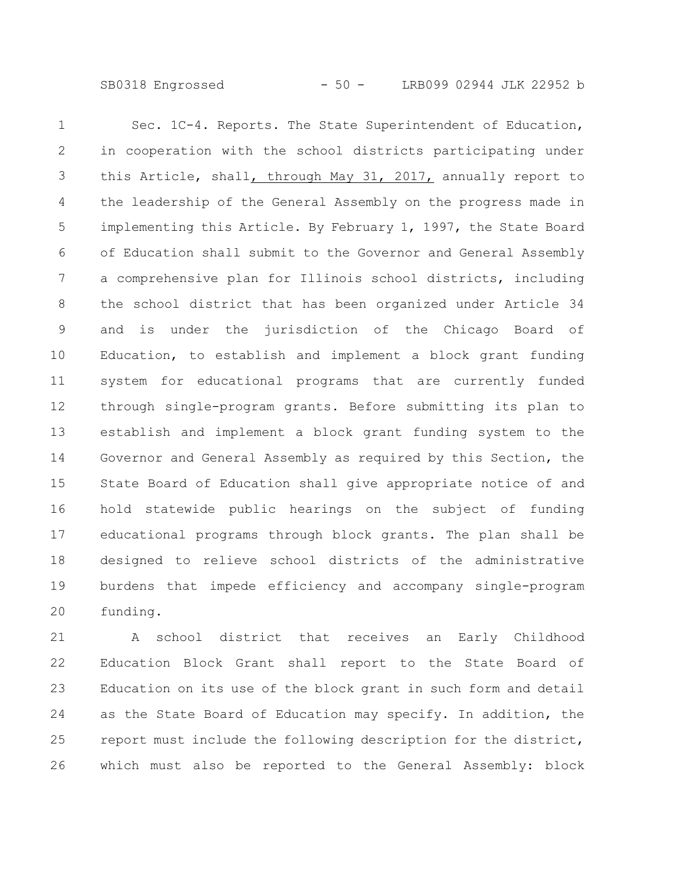SB0318 Engrossed - 50 - LRB099 02944 JLK 22952 b

Sec. 1C-4. Reports. The State Superintendent of Education, in cooperation with the school districts participating under this Article, shall, through May 31, 2017, annually report to the leadership of the General Assembly on the progress made in implementing this Article. By February 1, 1997, the State Board of Education shall submit to the Governor and General Assembly a comprehensive plan for Illinois school districts, including the school district that has been organized under Article 34 and is under the jurisdiction of the Chicago Board of Education, to establish and implement a block grant funding system for educational programs that are currently funded through single-program grants. Before submitting its plan to establish and implement a block grant funding system to the Governor and General Assembly as required by this Section, the State Board of Education shall give appropriate notice of and hold statewide public hearings on the subject of funding educational programs through block grants. The plan shall be designed to relieve school districts of the administrative burdens that impede efficiency and accompany single-program funding. 1 2 3 4 5 6 7 8 9 10 11 12 13 14 15 16 17 18 19 20

A school district that receives an Early Childhood Education Block Grant shall report to the State Board of Education on its use of the block grant in such form and detail as the State Board of Education may specify. In addition, the report must include the following description for the district, which must also be reported to the General Assembly: block 21 22 23 24 25 26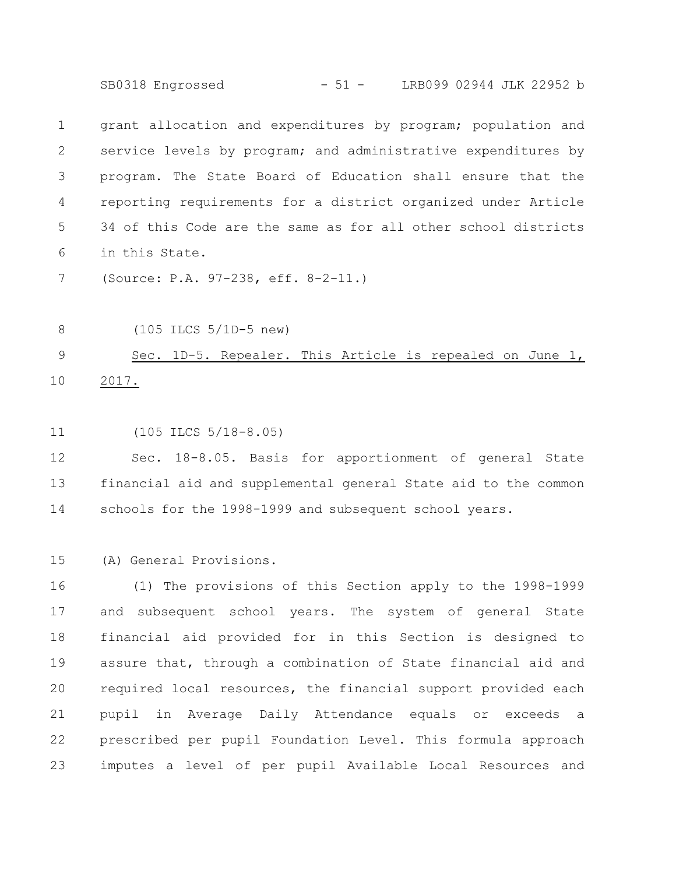SB0318 Engrossed - 51 - LRB099 02944 JLK 22952 b

grant allocation and expenditures by program; population and service levels by program; and administrative expenditures by program. The State Board of Education shall ensure that the reporting requirements for a district organized under Article 34 of this Code are the same as for all other school districts in this State. 1 2 3 4 5 6

(Source: P.A. 97-238, eff. 8-2-11.) 7

(105 ILCS 5/1D-5 new) 8

## Sec. 1D-5. Repealer. This Article is repealed on June 1, 2017. 9 10

(105 ILCS 5/18-8.05) 11

Sec. 18-8.05. Basis for apportionment of general State financial aid and supplemental general State aid to the common schools for the 1998-1999 and subsequent school years. 12 13 14

(A) General Provisions. 15

(1) The provisions of this Section apply to the 1998-1999 and subsequent school years. The system of general State financial aid provided for in this Section is designed to assure that, through a combination of State financial aid and required local resources, the financial support provided each pupil in Average Daily Attendance equals or exceeds a prescribed per pupil Foundation Level. This formula approach imputes a level of per pupil Available Local Resources and 16 17 18 19 20 21 22 23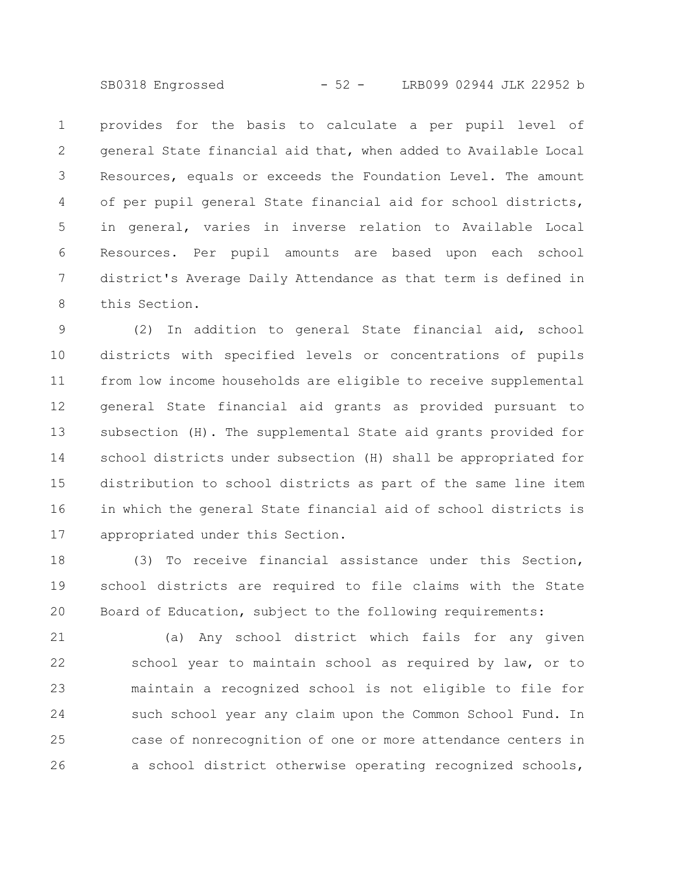SB0318 Engrossed - 52 - LRB099 02944 JLK 22952 b

provides for the basis to calculate a per pupil level of general State financial aid that, when added to Available Local Resources, equals or exceeds the Foundation Level. The amount of per pupil general State financial aid for school districts, in general, varies in inverse relation to Available Local Resources. Per pupil amounts are based upon each school district's Average Daily Attendance as that term is defined in this Section. 1 2 3 4 5 6 7 8

(2) In addition to general State financial aid, school districts with specified levels or concentrations of pupils from low income households are eligible to receive supplemental general State financial aid grants as provided pursuant to subsection (H). The supplemental State aid grants provided for school districts under subsection (H) shall be appropriated for distribution to school districts as part of the same line item in which the general State financial aid of school districts is appropriated under this Section. 9 10 11 12 13 14 15 16 17

(3) To receive financial assistance under this Section, school districts are required to file claims with the State Board of Education, subject to the following requirements: 18 19 20

(a) Any school district which fails for any given school year to maintain school as required by law, or to maintain a recognized school is not eligible to file for such school year any claim upon the Common School Fund. In case of nonrecognition of one or more attendance centers in a school district otherwise operating recognized schools, 21 22 23 24 25 26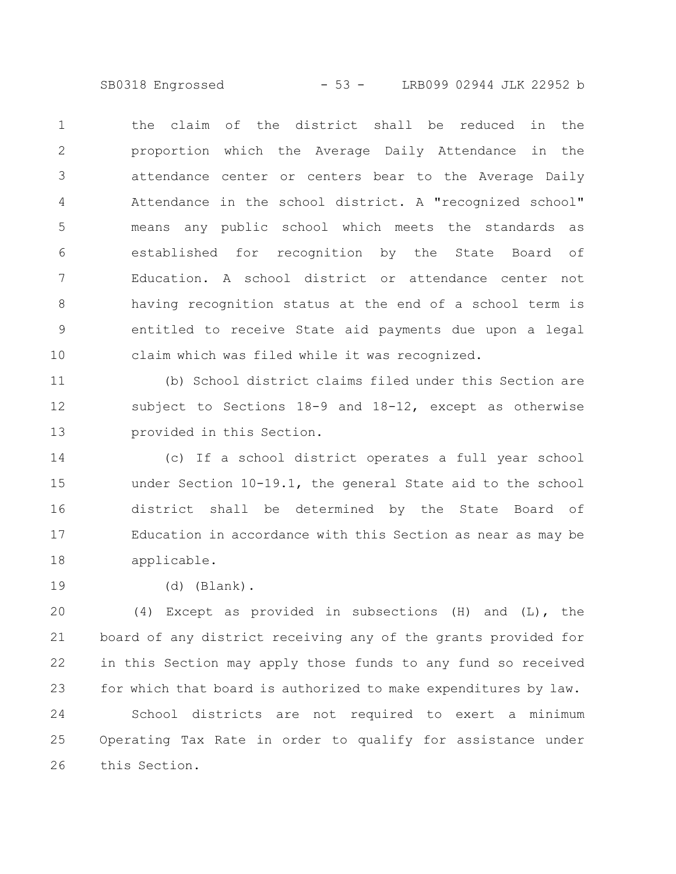SB0318 Engrossed - 53 - LRB099 02944 JLK 22952 b

the claim of the district shall be reduced in the proportion which the Average Daily Attendance in the attendance center or centers bear to the Average Daily Attendance in the school district. A "recognized school" means any public school which meets the standards as established for recognition by the State Board of Education. A school district or attendance center not having recognition status at the end of a school term is entitled to receive State aid payments due upon a legal claim which was filed while it was recognized. 1 2 3 4 5 6 7 8 9 10

(b) School district claims filed under this Section are subject to Sections 18-9 and 18-12, except as otherwise provided in this Section. 11 12 13

(c) If a school district operates a full year school under Section 10-19.1, the general State aid to the school district shall be determined by the State Board of Education in accordance with this Section as near as may be applicable. 14 15 16 17 18

19

(d) (Blank).

(4) Except as provided in subsections (H) and (L), the board of any district receiving any of the grants provided for in this Section may apply those funds to any fund so received for which that board is authorized to make expenditures by law. 20 21 22 23

School districts are not required to exert a minimum Operating Tax Rate in order to qualify for assistance under this Section. 24 25 26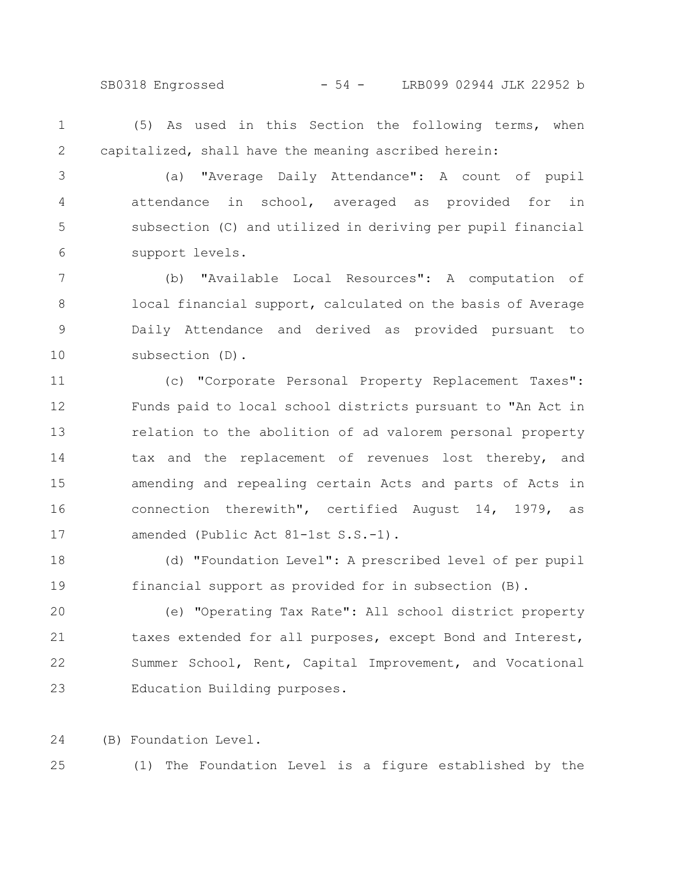SB0318 Engrossed - 54 - LRB099 02944 JLK 22952 b

(5) As used in this Section the following terms, when capitalized, shall have the meaning ascribed herein: 1 2

(a) "Average Daily Attendance": A count of pupil attendance in school, averaged as provided for in subsection (C) and utilized in deriving per pupil financial support levels. 3 4 5 6

(b) "Available Local Resources": A computation of local financial support, calculated on the basis of Average Daily Attendance and derived as provided pursuant to subsection (D). 7 8 9 10

(c) "Corporate Personal Property Replacement Taxes": Funds paid to local school districts pursuant to "An Act in relation to the abolition of ad valorem personal property tax and the replacement of revenues lost thereby, and amending and repealing certain Acts and parts of Acts in connection therewith", certified August 14, 1979, as amended (Public Act 81-1st S.S.-1). 11 12 13 14 15 16 17

(d) "Foundation Level": A prescribed level of per pupil financial support as provided for in subsection (B). 18 19

(e) "Operating Tax Rate": All school district property taxes extended for all purposes, except Bond and Interest, Summer School, Rent, Capital Improvement, and Vocational Education Building purposes. 20 21 22 23

(B) Foundation Level. 24

25

(1) The Foundation Level is a figure established by the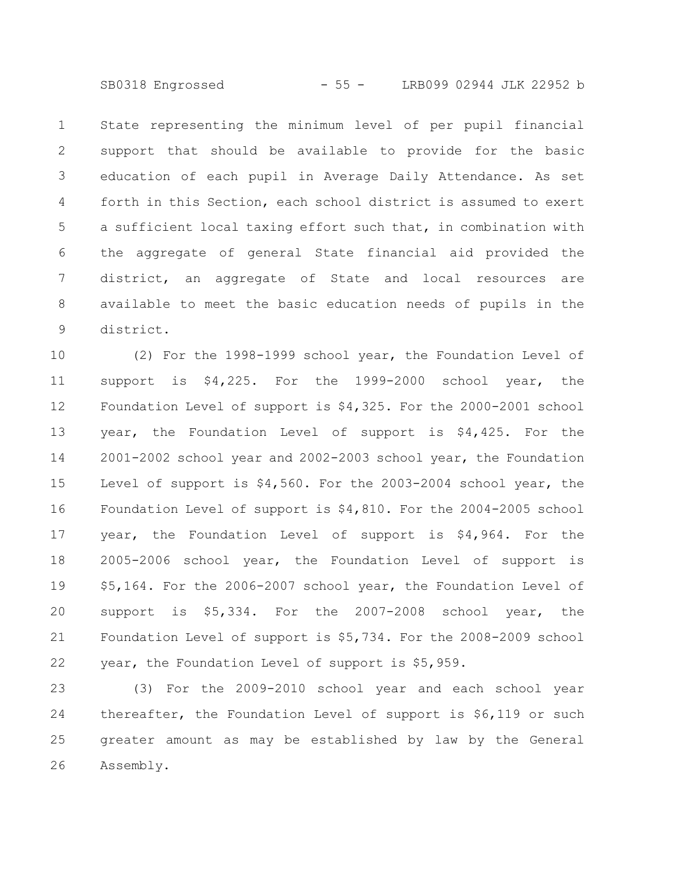SB0318 Engrossed - 55 - LRB099 02944 JLK 22952 b

State representing the minimum level of per pupil financial support that should be available to provide for the basic education of each pupil in Average Daily Attendance. As set forth in this Section, each school district is assumed to exert a sufficient local taxing effort such that, in combination with the aggregate of general State financial aid provided the district, an aggregate of State and local resources are available to meet the basic education needs of pupils in the district. 1 2 3 4 5 6 7 8 9

(2) For the 1998-1999 school year, the Foundation Level of support is \$4,225. For the 1999-2000 school year, the Foundation Level of support is \$4,325. For the 2000-2001 school year, the Foundation Level of support is \$4,425. For the 2001-2002 school year and 2002-2003 school year, the Foundation Level of support is \$4,560. For the 2003-2004 school year, the Foundation Level of support is \$4,810. For the 2004-2005 school year, the Foundation Level of support is \$4,964. For the 2005-2006 school year, the Foundation Level of support is \$5,164. For the 2006-2007 school year, the Foundation Level of support is \$5,334. For the 2007-2008 school year, the Foundation Level of support is \$5,734. For the 2008-2009 school year, the Foundation Level of support is \$5,959. 10 11 12 13 14 15 16 17 18 19 20 21 22

(3) For the 2009-2010 school year and each school year thereafter, the Foundation Level of support is \$6,119 or such greater amount as may be established by law by the General Assembly. 23 24 25 26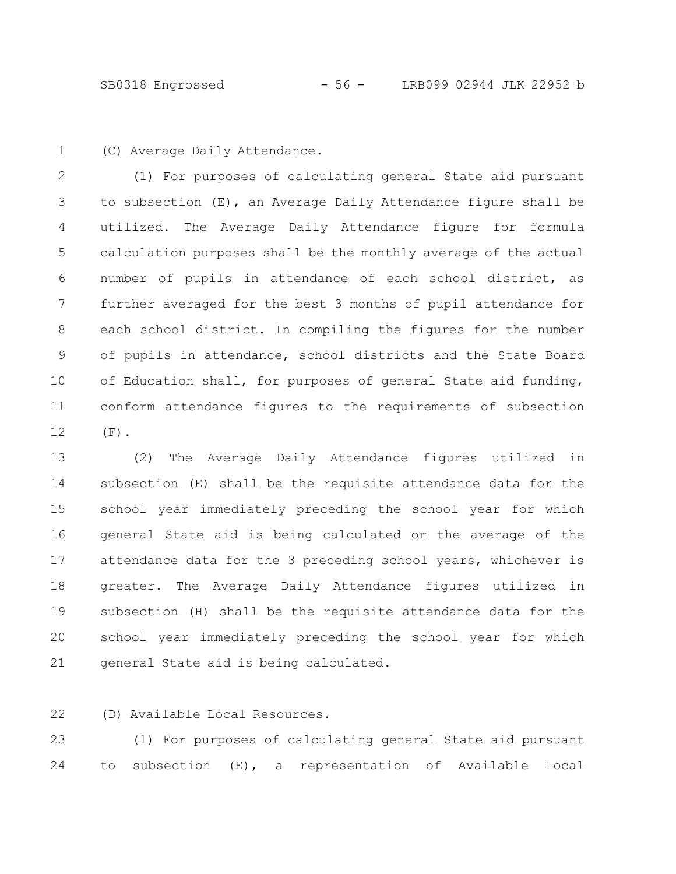(C) Average Daily Attendance. 1

(1) For purposes of calculating general State aid pursuant to subsection (E), an Average Daily Attendance figure shall be utilized. The Average Daily Attendance figure for formula calculation purposes shall be the monthly average of the actual number of pupils in attendance of each school district, as further averaged for the best 3 months of pupil attendance for each school district. In compiling the figures for the number of pupils in attendance, school districts and the State Board of Education shall, for purposes of general State aid funding, conform attendance figures to the requirements of subsection  $(F)$ . 2 3 4 5 6 7 8 9 10 11 12

(2) The Average Daily Attendance figures utilized in subsection (E) shall be the requisite attendance data for the school year immediately preceding the school year for which general State aid is being calculated or the average of the attendance data for the 3 preceding school years, whichever is greater. The Average Daily Attendance figures utilized in subsection (H) shall be the requisite attendance data for the school year immediately preceding the school year for which general State aid is being calculated. 13 14 15 16 17 18 19 20 21

(D) Available Local Resources. 22

(1) For purposes of calculating general State aid pursuant to subsection (E), a representation of Available Local 23 24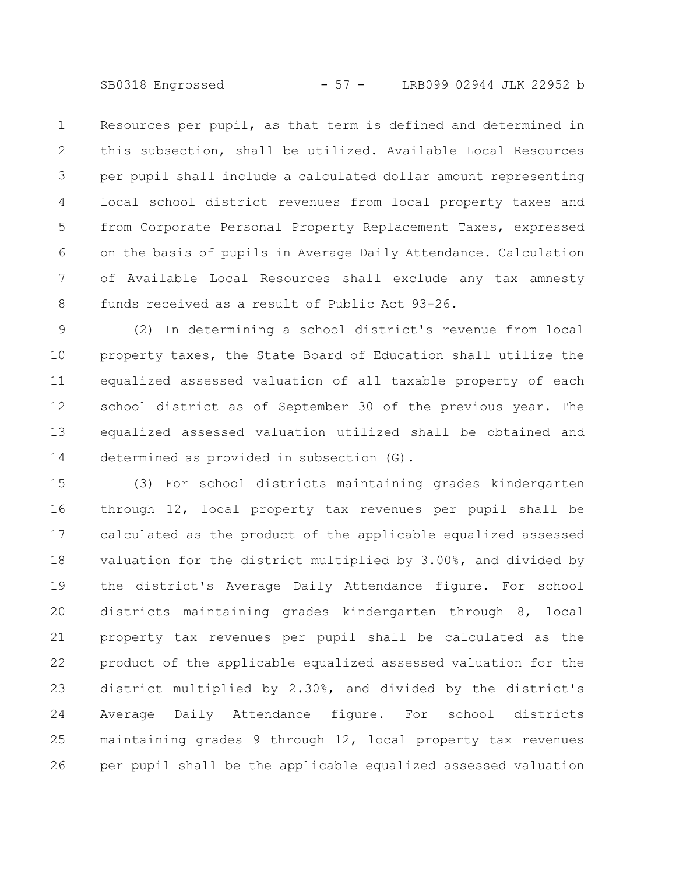SB0318 Engrossed - 57 - LRB099 02944 JLK 22952 b

Resources per pupil, as that term is defined and determined in this subsection, shall be utilized. Available Local Resources per pupil shall include a calculated dollar amount representing local school district revenues from local property taxes and from Corporate Personal Property Replacement Taxes, expressed on the basis of pupils in Average Daily Attendance. Calculation of Available Local Resources shall exclude any tax amnesty funds received as a result of Public Act 93-26. 1 2 3 4 5 6 7 8

(2) In determining a school district's revenue from local property taxes, the State Board of Education shall utilize the equalized assessed valuation of all taxable property of each school district as of September 30 of the previous year. The equalized assessed valuation utilized shall be obtained and determined as provided in subsection (G). 9 10 11 12 13 14

(3) For school districts maintaining grades kindergarten through 12, local property tax revenues per pupil shall be calculated as the product of the applicable equalized assessed valuation for the district multiplied by 3.00%, and divided by the district's Average Daily Attendance figure. For school districts maintaining grades kindergarten through 8, local property tax revenues per pupil shall be calculated as the product of the applicable equalized assessed valuation for the district multiplied by 2.30%, and divided by the district's Average Daily Attendance figure. For school districts maintaining grades 9 through 12, local property tax revenues per pupil shall be the applicable equalized assessed valuation 15 16 17 18 19 20 21 22 23 24 25 26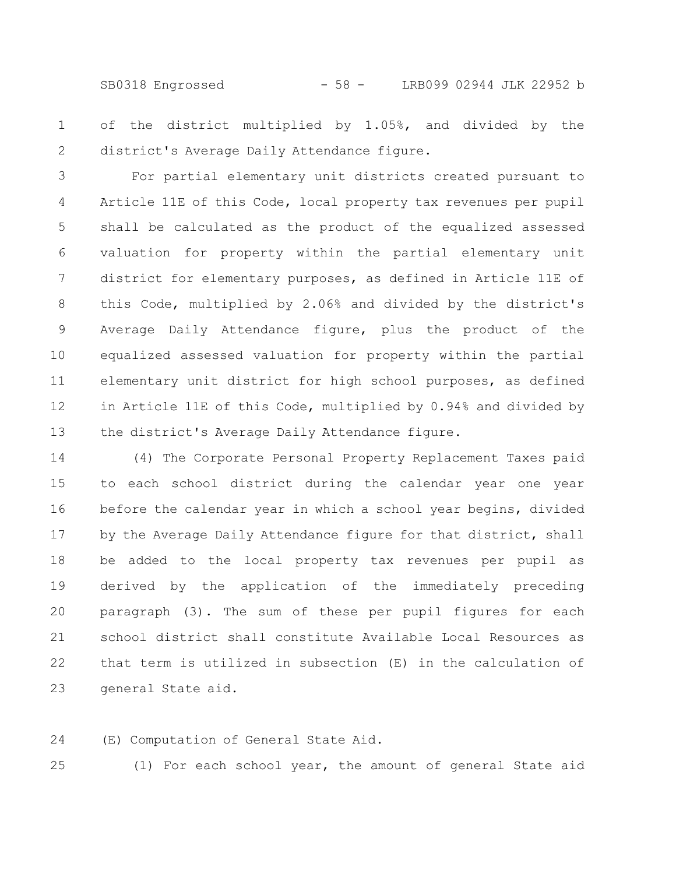SB0318 Engrossed - 58 - LRB099 02944 JLK 22952 b

of the district multiplied by 1.05%, and divided by the district's Average Daily Attendance figure. 1 2

For partial elementary unit districts created pursuant to Article 11E of this Code, local property tax revenues per pupil shall be calculated as the product of the equalized assessed valuation for property within the partial elementary unit district for elementary purposes, as defined in Article 11E of this Code, multiplied by 2.06% and divided by the district's Average Daily Attendance figure, plus the product of the equalized assessed valuation for property within the partial elementary unit district for high school purposes, as defined in Article 11E of this Code, multiplied by 0.94% and divided by the district's Average Daily Attendance figure. 3 4 5 6 7 8 9 10 11 12 13

(4) The Corporate Personal Property Replacement Taxes paid to each school district during the calendar year one year before the calendar year in which a school year begins, divided by the Average Daily Attendance figure for that district, shall be added to the local property tax revenues per pupil as derived by the application of the immediately preceding paragraph (3). The sum of these per pupil figures for each school district shall constitute Available Local Resources as that term is utilized in subsection (E) in the calculation of general State aid. 14 15 16 17 18 19 20 21 22 23

(E) Computation of General State Aid. 24

25

(1) For each school year, the amount of general State aid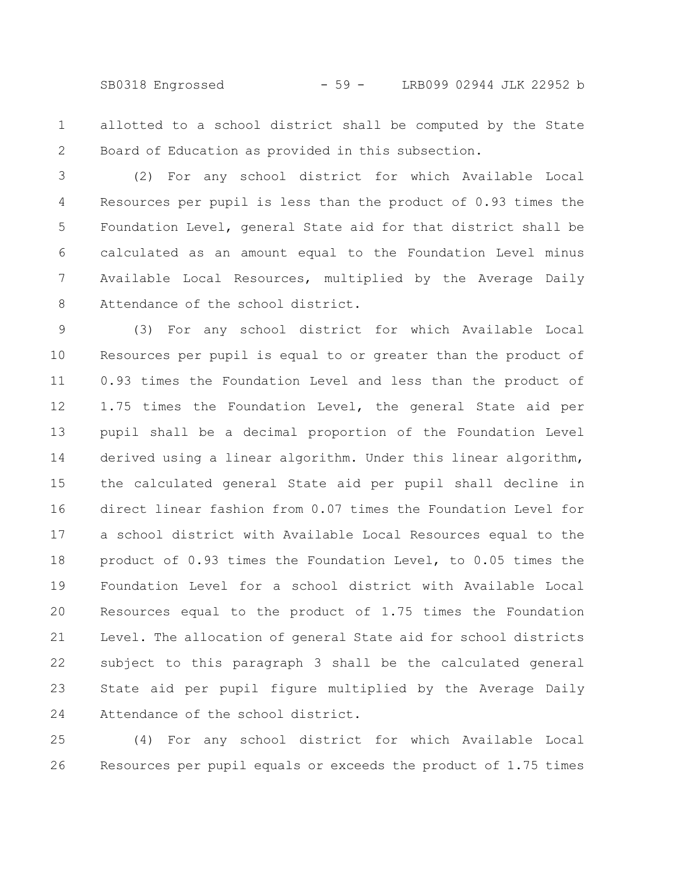SB0318 Engrossed - 59 - LRB099 02944 JLK 22952 b

allotted to a school district shall be computed by the State Board of Education as provided in this subsection. 1 2

(2) For any school district for which Available Local Resources per pupil is less than the product of 0.93 times the Foundation Level, general State aid for that district shall be calculated as an amount equal to the Foundation Level minus Available Local Resources, multiplied by the Average Daily Attendance of the school district. 3 4 5 6 7 8

(3) For any school district for which Available Local Resources per pupil is equal to or greater than the product of 0.93 times the Foundation Level and less than the product of 1.75 times the Foundation Level, the general State aid per pupil shall be a decimal proportion of the Foundation Level derived using a linear algorithm. Under this linear algorithm, the calculated general State aid per pupil shall decline in direct linear fashion from 0.07 times the Foundation Level for a school district with Available Local Resources equal to the product of 0.93 times the Foundation Level, to 0.05 times the Foundation Level for a school district with Available Local Resources equal to the product of 1.75 times the Foundation Level. The allocation of general State aid for school districts subject to this paragraph 3 shall be the calculated general State aid per pupil figure multiplied by the Average Daily Attendance of the school district. 9 10 11 12 13 14 15 16 17 18 19 20 21 22 23 24

(4) For any school district for which Available Local Resources per pupil equals or exceeds the product of 1.75 times 25 26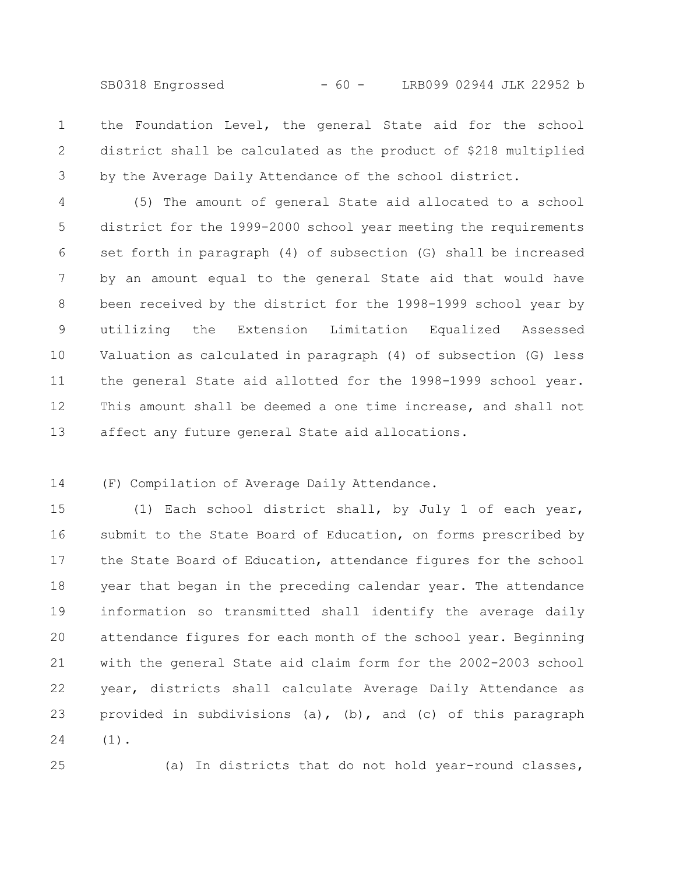SB0318 Engrossed - 60 - LRB099 02944 JLK 22952 b

the Foundation Level, the general State aid for the school district shall be calculated as the product of \$218 multiplied by the Average Daily Attendance of the school district. 1 2 3

(5) The amount of general State aid allocated to a school district for the 1999-2000 school year meeting the requirements set forth in paragraph (4) of subsection (G) shall be increased by an amount equal to the general State aid that would have been received by the district for the 1998-1999 school year by utilizing the Extension Limitation Equalized Assessed Valuation as calculated in paragraph (4) of subsection (G) less the general State aid allotted for the 1998-1999 school year. This amount shall be deemed a one time increase, and shall not affect any future general State aid allocations. 4 5 6 7 8 9 10 11 12 13

(F) Compilation of Average Daily Attendance. 14

(1) Each school district shall, by July 1 of each year, submit to the State Board of Education, on forms prescribed by the State Board of Education, attendance figures for the school year that began in the preceding calendar year. The attendance information so transmitted shall identify the average daily attendance figures for each month of the school year. Beginning with the general State aid claim form for the 2002-2003 school year, districts shall calculate Average Daily Attendance as provided in subdivisions (a), (b), and (c) of this paragraph (1). 15 16 17 18 19 20 21 22 23 24

25

(a) In districts that do not hold year-round classes,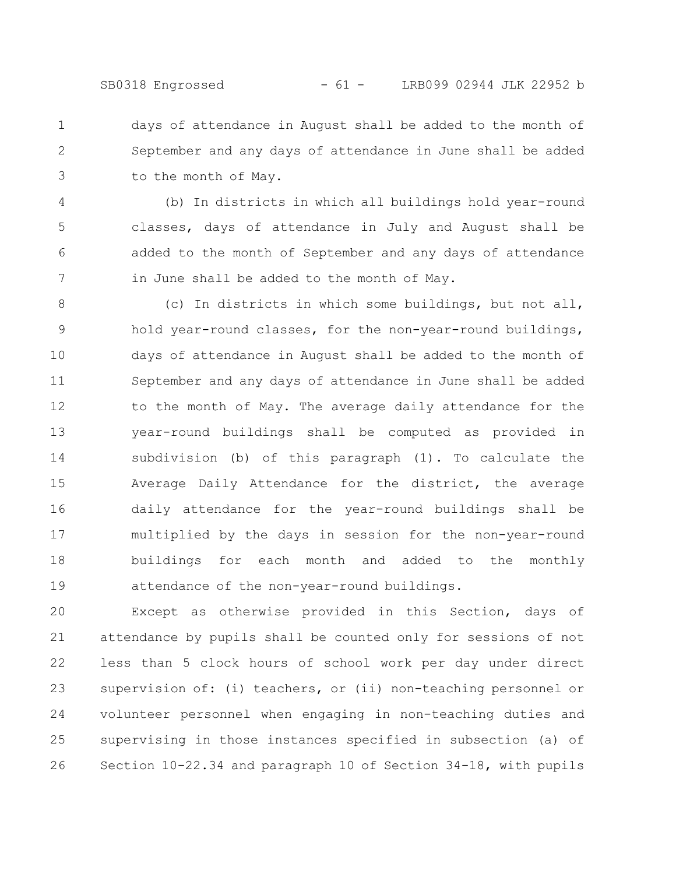days of attendance in August shall be added to the month of September and any days of attendance in June shall be added to the month of May. 1 2 3

(b) In districts in which all buildings hold year-round classes, days of attendance in July and August shall be added to the month of September and any days of attendance in June shall be added to the month of May. 4 5 6 7

(c) In districts in which some buildings, but not all, hold year-round classes, for the non-year-round buildings, days of attendance in August shall be added to the month of September and any days of attendance in June shall be added to the month of May. The average daily attendance for the year-round buildings shall be computed as provided in subdivision (b) of this paragraph (1). To calculate the Average Daily Attendance for the district, the average daily attendance for the year-round buildings shall be multiplied by the days in session for the non-year-round buildings for each month and added to the monthly attendance of the non-year-round buildings. 8 9 10 11 12 13 14 15 16 17 18 19

Except as otherwise provided in this Section, days of attendance by pupils shall be counted only for sessions of not less than 5 clock hours of school work per day under direct supervision of: (i) teachers, or (ii) non-teaching personnel or volunteer personnel when engaging in non-teaching duties and supervising in those instances specified in subsection (a) of Section 10-22.34 and paragraph 10 of Section 34-18, with pupils 20 21 22 23 24 25 26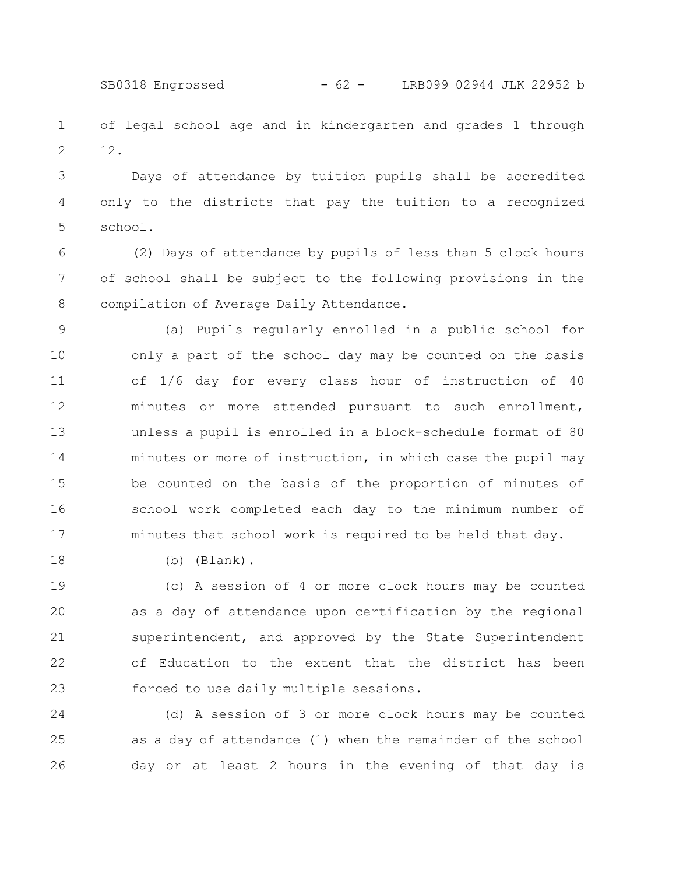SB0318 Engrossed - 62 - LRB099 02944 JLK 22952 b

of legal school age and in kindergarten and grades 1 through 12. 1 2

Days of attendance by tuition pupils shall be accredited only to the districts that pay the tuition to a recognized school. 3 4 5

(2) Days of attendance by pupils of less than 5 clock hours of school shall be subject to the following provisions in the compilation of Average Daily Attendance. 6 7 8

(a) Pupils regularly enrolled in a public school for only a part of the school day may be counted on the basis of 1/6 day for every class hour of instruction of 40 minutes or more attended pursuant to such enrollment, unless a pupil is enrolled in a block-schedule format of 80 minutes or more of instruction, in which case the pupil may be counted on the basis of the proportion of minutes of school work completed each day to the minimum number of minutes that school work is required to be held that day. 9 10 11 12 13 14 15 16 17

18

(b) (Blank).

(c) A session of 4 or more clock hours may be counted as a day of attendance upon certification by the regional superintendent, and approved by the State Superintendent of Education to the extent that the district has been forced to use daily multiple sessions. 19 20 21 22 23

(d) A session of 3 or more clock hours may be counted as a day of attendance (1) when the remainder of the school day or at least 2 hours in the evening of that day is 24 25 26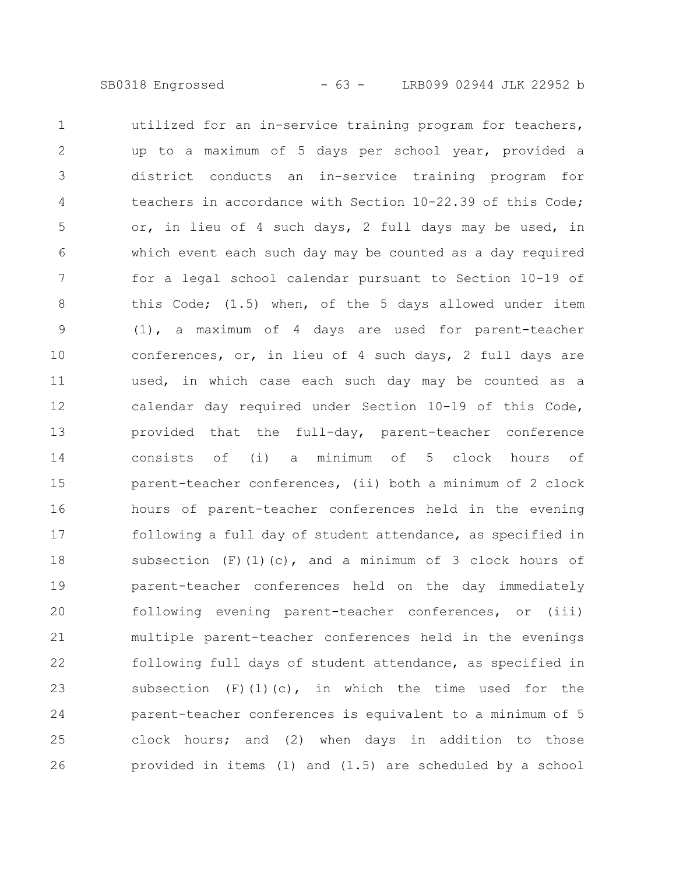utilized for an in-service training program for teachers, up to a maximum of 5 days per school year, provided a district conducts an in-service training program for teachers in accordance with Section 10-22.39 of this Code; or, in lieu of 4 such days, 2 full days may be used, in which event each such day may be counted as a day required for a legal school calendar pursuant to Section 10-19 of this Code; (1.5) when, of the 5 days allowed under item (1), a maximum of 4 days are used for parent-teacher conferences, or, in lieu of 4 such days, 2 full days are used, in which case each such day may be counted as a calendar day required under Section 10-19 of this Code, provided that the full-day, parent-teacher conference consists of (i) a minimum of 5 clock hours of parent-teacher conferences, (ii) both a minimum of 2 clock hours of parent-teacher conferences held in the evening following a full day of student attendance, as specified in subsection  $(F)$  (1)(c), and a minimum of 3 clock hours of parent-teacher conferences held on the day immediately following evening parent-teacher conferences, or (iii) multiple parent-teacher conferences held in the evenings following full days of student attendance, as specified in subsection  $(F)(1)(c)$ , in which the time used for the parent-teacher conferences is equivalent to a minimum of 5 clock hours; and (2) when days in addition to those provided in items (1) and (1.5) are scheduled by a school 1 2 3 4 5 6 7 8 9 10 11 12 13 14 15 16 17 18 19 20 21 22 23 24 25 26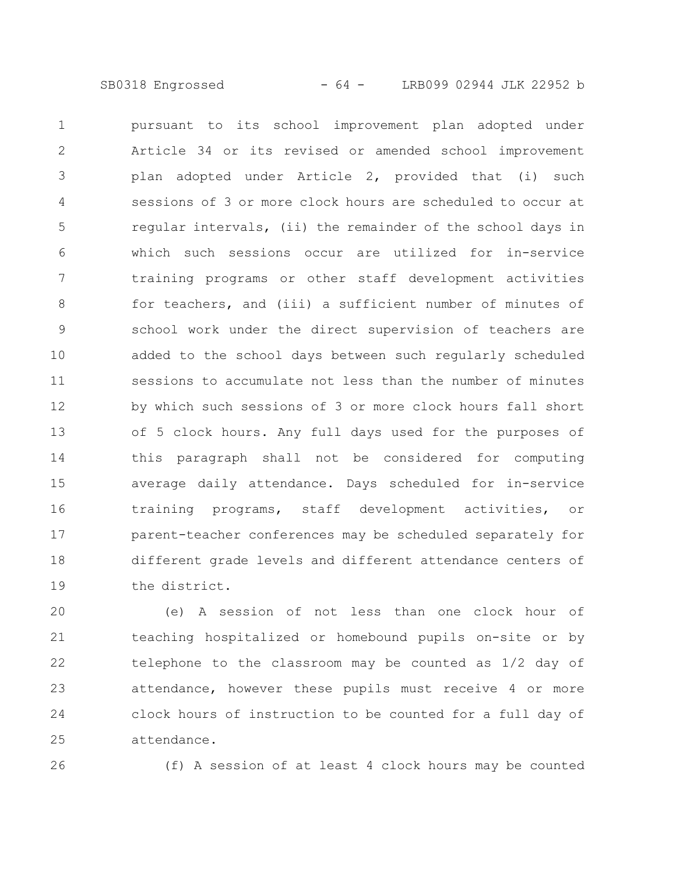SB0318 Engrossed - 64 - LRB099 02944 JLK 22952 b

pursuant to its school improvement plan adopted under Article 34 or its revised or amended school improvement plan adopted under Article 2, provided that (i) such sessions of 3 or more clock hours are scheduled to occur at regular intervals, (ii) the remainder of the school days in which such sessions occur are utilized for in-service training programs or other staff development activities for teachers, and (iii) a sufficient number of minutes of school work under the direct supervision of teachers are added to the school days between such regularly scheduled sessions to accumulate not less than the number of minutes by which such sessions of 3 or more clock hours fall short of 5 clock hours. Any full days used for the purposes of this paragraph shall not be considered for computing average daily attendance. Days scheduled for in-service training programs, staff development activities, or parent-teacher conferences may be scheduled separately for different grade levels and different attendance centers of the district. 1 2 3 4 5 6 7 8 9 10 11 12 13 14 15 16 17 18 19

(e) A session of not less than one clock hour of teaching hospitalized or homebound pupils on-site or by telephone to the classroom may be counted as 1/2 day of attendance, however these pupils must receive 4 or more clock hours of instruction to be counted for a full day of attendance. 20 21 22 23 24 25

26

(f) A session of at least 4 clock hours may be counted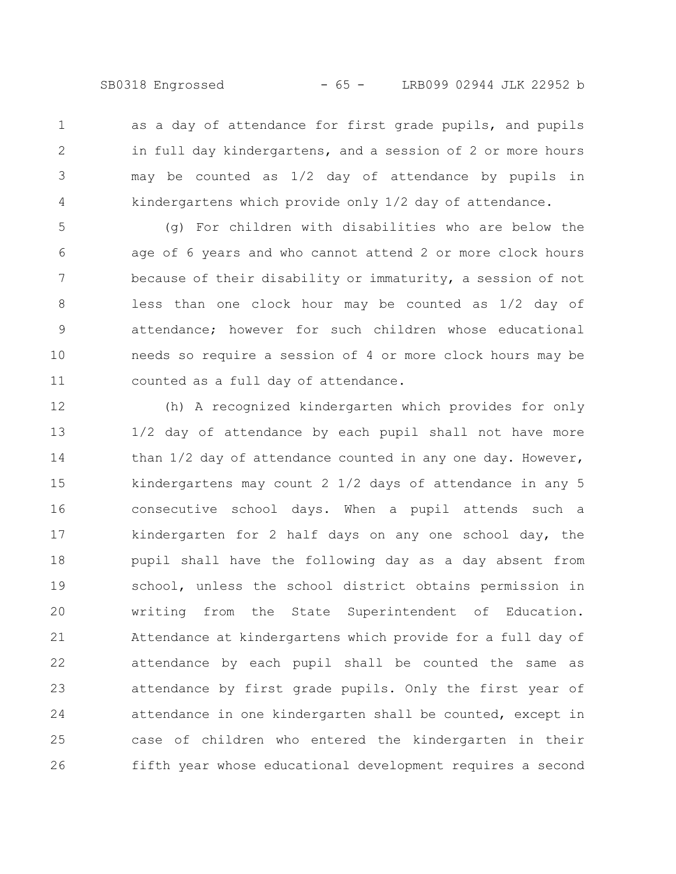SB0318 Engrossed - 65 - LRB099 02944 JLK 22952 b

as a day of attendance for first grade pupils, and pupils in full day kindergartens, and a session of 2 or more hours may be counted as 1/2 day of attendance by pupils in kindergartens which provide only 1/2 day of attendance. 1 2 3 4

(g) For children with disabilities who are below the age of 6 years and who cannot attend 2 or more clock hours because of their disability or immaturity, a session of not less than one clock hour may be counted as 1/2 day of attendance; however for such children whose educational needs so require a session of 4 or more clock hours may be counted as a full day of attendance. 5 6 7 8 9 10 11

(h) A recognized kindergarten which provides for only 1/2 day of attendance by each pupil shall not have more than 1/2 day of attendance counted in any one day. However, kindergartens may count 2 1/2 days of attendance in any 5 consecutive school days. When a pupil attends such a kindergarten for 2 half days on any one school day, the pupil shall have the following day as a day absent from school, unless the school district obtains permission in writing from the State Superintendent of Education. Attendance at kindergartens which provide for a full day of attendance by each pupil shall be counted the same as attendance by first grade pupils. Only the first year of attendance in one kindergarten shall be counted, except in case of children who entered the kindergarten in their fifth year whose educational development requires a second 12 13 14 15 16 17 18 19 20 21 22 23 24 25 26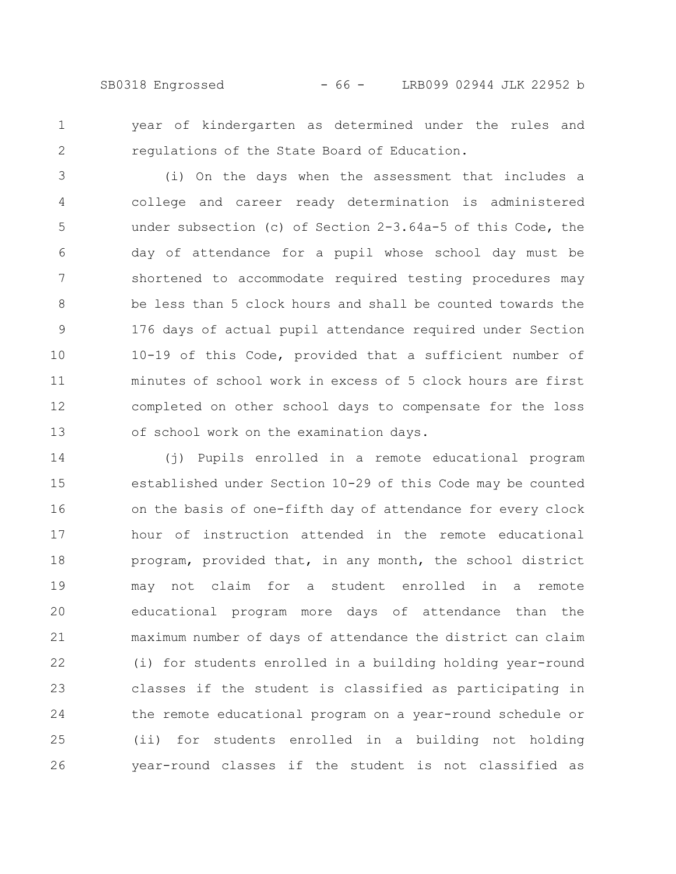SB0318 Engrossed - 66 - LRB099 02944 JLK 22952 b

year of kindergarten as determined under the rules and regulations of the State Board of Education. 1 2

(i) On the days when the assessment that includes a college and career ready determination is administered under subsection (c) of Section 2-3.64a-5 of this Code, the day of attendance for a pupil whose school day must be shortened to accommodate required testing procedures may be less than 5 clock hours and shall be counted towards the 176 days of actual pupil attendance required under Section 10-19 of this Code, provided that a sufficient number of minutes of school work in excess of 5 clock hours are first completed on other school days to compensate for the loss of school work on the examination days. 3 4 5 6 7 8 9 10 11 12 13

(j) Pupils enrolled in a remote educational program established under Section 10-29 of this Code may be counted on the basis of one-fifth day of attendance for every clock hour of instruction attended in the remote educational program, provided that, in any month, the school district may not claim for a student enrolled in a remote educational program more days of attendance than the maximum number of days of attendance the district can claim (i) for students enrolled in a building holding year-round classes if the student is classified as participating in the remote educational program on a year-round schedule or (ii) for students enrolled in a building not holding year-round classes if the student is not classified as 14 15 16 17 18 19 20 21 22 23 24 25 26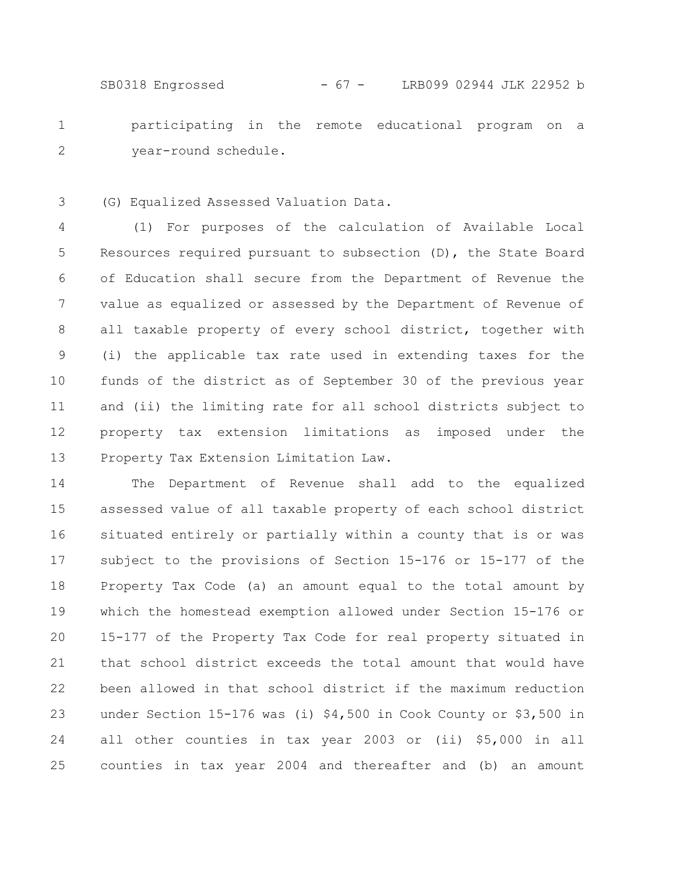SB0318 Engrossed - 67 - LRB099 02944 JLK 22952 b

participating in the remote educational program on a year-round schedule. 1 2

(G) Equalized Assessed Valuation Data. 3

(1) For purposes of the calculation of Available Local Resources required pursuant to subsection (D), the State Board of Education shall secure from the Department of Revenue the value as equalized or assessed by the Department of Revenue of all taxable property of every school district, together with (i) the applicable tax rate used in extending taxes for the funds of the district as of September 30 of the previous year and (ii) the limiting rate for all school districts subject to property tax extension limitations as imposed under the Property Tax Extension Limitation Law. 4 5 6 7 8 9 10 11 12 13

The Department of Revenue shall add to the equalized assessed value of all taxable property of each school district situated entirely or partially within a county that is or was subject to the provisions of Section 15-176 or 15-177 of the Property Tax Code (a) an amount equal to the total amount by which the homestead exemption allowed under Section 15-176 or 15-177 of the Property Tax Code for real property situated in that school district exceeds the total amount that would have been allowed in that school district if the maximum reduction under Section 15-176 was (i) \$4,500 in Cook County or \$3,500 in all other counties in tax year 2003 or (ii) \$5,000 in all counties in tax year 2004 and thereafter and (b) an amount 14 15 16 17 18 19 20 21 22 23 24 25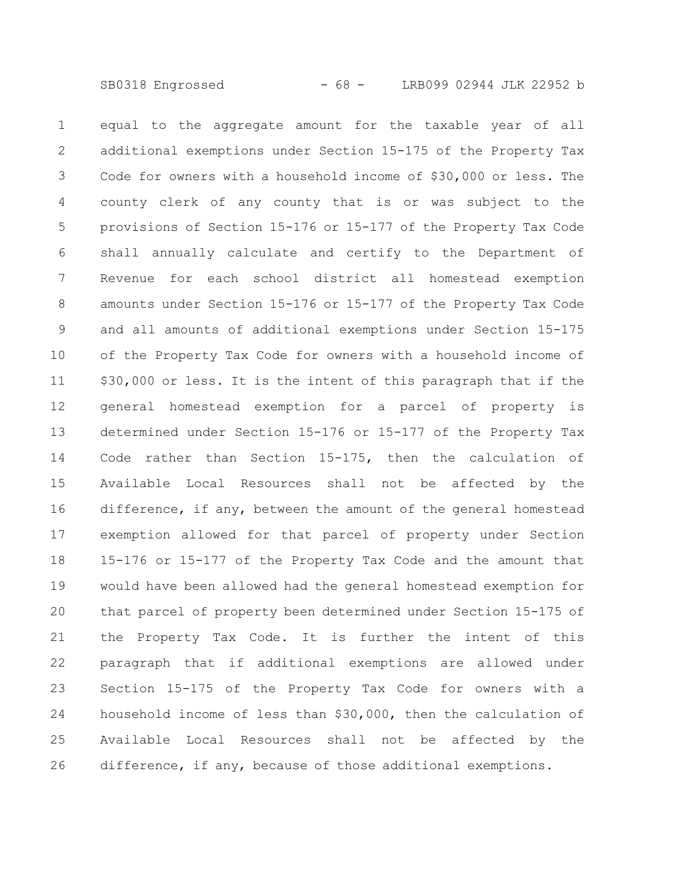equal to the aggregate amount for the taxable year of all additional exemptions under Section 15-175 of the Property Tax Code for owners with a household income of \$30,000 or less. The county clerk of any county that is or was subject to the provisions of Section 15-176 or 15-177 of the Property Tax Code shall annually calculate and certify to the Department of Revenue for each school district all homestead exemption amounts under Section 15-176 or 15-177 of the Property Tax Code and all amounts of additional exemptions under Section 15-175 of the Property Tax Code for owners with a household income of \$30,000 or less. It is the intent of this paragraph that if the general homestead exemption for a parcel of property is determined under Section 15-176 or 15-177 of the Property Tax Code rather than Section 15-175, then the calculation of Available Local Resources shall not be affected by the difference, if any, between the amount of the general homestead exemption allowed for that parcel of property under Section 15-176 or 15-177 of the Property Tax Code and the amount that would have been allowed had the general homestead exemption for that parcel of property been determined under Section 15-175 of the Property Tax Code. It is further the intent of this paragraph that if additional exemptions are allowed under Section 15-175 of the Property Tax Code for owners with a household income of less than \$30,000, then the calculation of Available Local Resources shall not be affected by the difference, if any, because of those additional exemptions. 1 2 3 4 5 6 7 8 9 10 11 12 13 14 15 16 17 18 19 20 21 22 23 24 25 26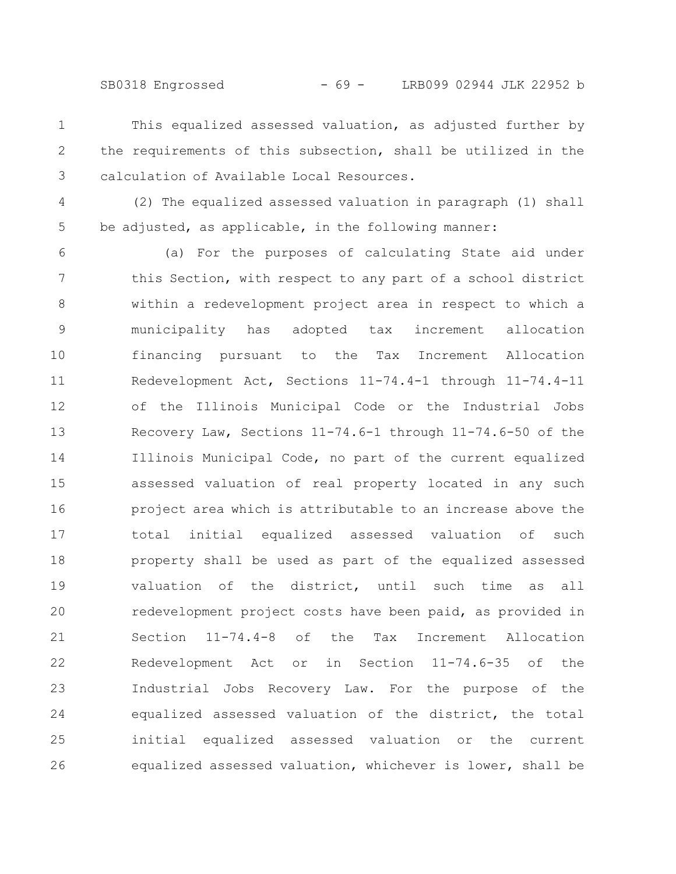SB0318 Engrossed - 69 - LRB099 02944 JLK 22952 b

- This equalized assessed valuation, as adjusted further by the requirements of this subsection, shall be utilized in the calculation of Available Local Resources. 1 2 3
- (2) The equalized assessed valuation in paragraph (1) shall be adjusted, as applicable, in the following manner: 4 5

(a) For the purposes of calculating State aid under this Section, with respect to any part of a school district within a redevelopment project area in respect to which a municipality has adopted tax increment allocation financing pursuant to the Tax Increment Allocation Redevelopment Act, Sections 11-74.4-1 through 11-74.4-11 of the Illinois Municipal Code or the Industrial Jobs Recovery Law, Sections 11-74.6-1 through 11-74.6-50 of the Illinois Municipal Code, no part of the current equalized assessed valuation of real property located in any such project area which is attributable to an increase above the total initial equalized assessed valuation of such property shall be used as part of the equalized assessed valuation of the district, until such time as all redevelopment project costs have been paid, as provided in Section 11-74.4-8 of the Tax Increment Allocation Redevelopment Act or in Section 11-74.6-35 of the Industrial Jobs Recovery Law. For the purpose of the equalized assessed valuation of the district, the total initial equalized assessed valuation or the current equalized assessed valuation, whichever is lower, shall be 6 7 8 9 10 11 12 13 14 15 16 17 18 19 20 21 22 23 24 25 26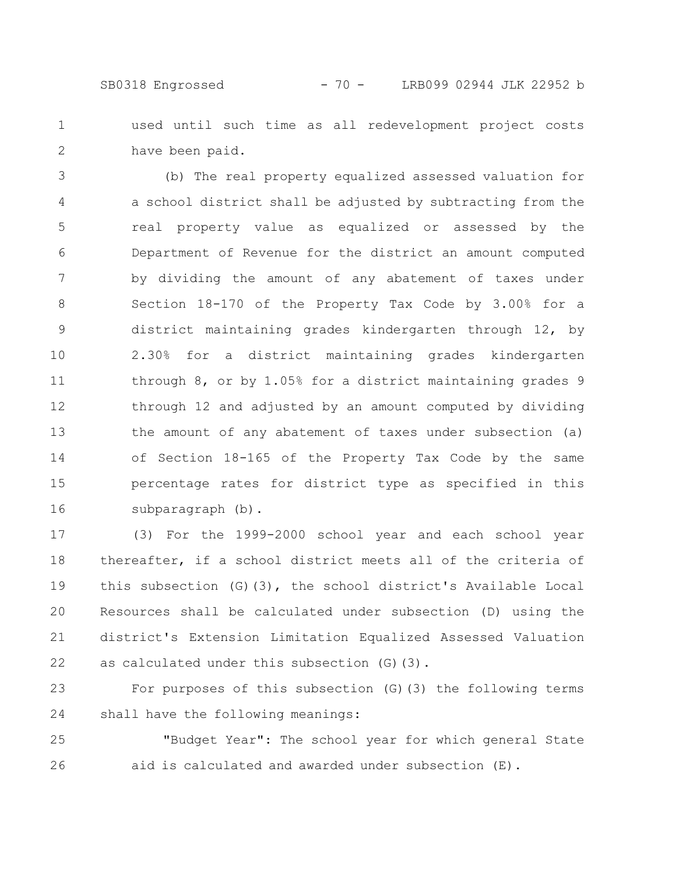used until such time as all redevelopment project costs have been paid. 1 2

(b) The real property equalized assessed valuation for a school district shall be adjusted by subtracting from the real property value as equalized or assessed by the Department of Revenue for the district an amount computed by dividing the amount of any abatement of taxes under Section 18-170 of the Property Tax Code by 3.00% for a district maintaining grades kindergarten through 12, by 2.30% for a district maintaining grades kindergarten through 8, or by 1.05% for a district maintaining grades 9 through 12 and adjusted by an amount computed by dividing the amount of any abatement of taxes under subsection (a) of Section 18-165 of the Property Tax Code by the same percentage rates for district type as specified in this subparagraph (b). 3 4 5 6 7 8 9 10 11 12 13 14 15 16

(3) For the 1999-2000 school year and each school year thereafter, if a school district meets all of the criteria of this subsection (G)(3), the school district's Available Local Resources shall be calculated under subsection (D) using the district's Extension Limitation Equalized Assessed Valuation as calculated under this subsection (G)(3). 17 18 19 20 21 22

For purposes of this subsection (G)(3) the following terms shall have the following meanings: 23 24

"Budget Year": The school year for which general State aid is calculated and awarded under subsection (E). 25 26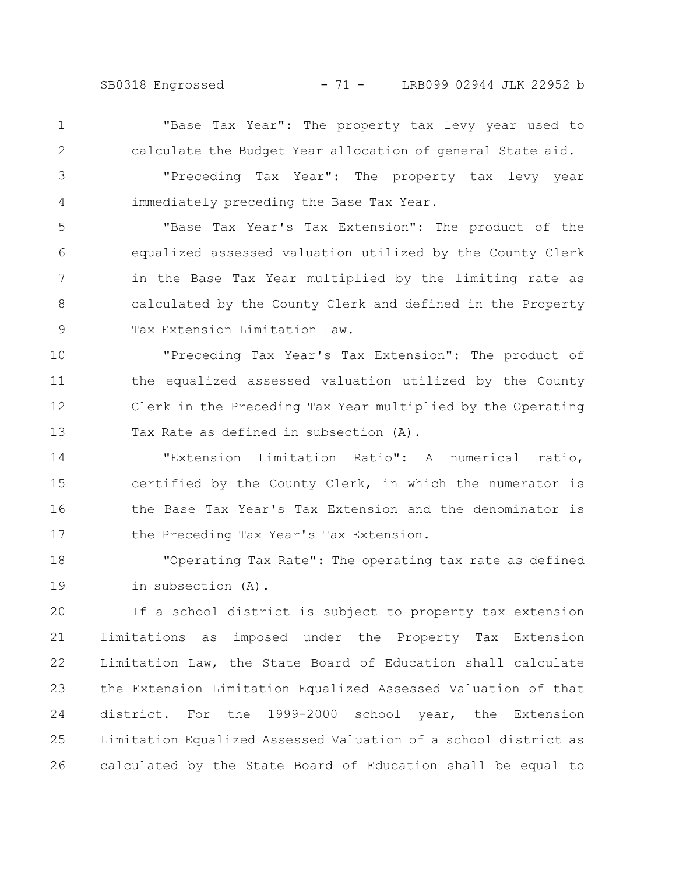SB0318 Engrossed - 71 - LRB099 02944 JLK 22952 b

1 2

"Base Tax Year": The property tax levy year used to calculate the Budget Year allocation of general State aid.

"Preceding Tax Year": The property tax levy year immediately preceding the Base Tax Year. 3 4

"Base Tax Year's Tax Extension": The product of the equalized assessed valuation utilized by the County Clerk in the Base Tax Year multiplied by the limiting rate as calculated by the County Clerk and defined in the Property Tax Extension Limitation Law. 5 6 7 8 9

"Preceding Tax Year's Tax Extension": The product of the equalized assessed valuation utilized by the County Clerk in the Preceding Tax Year multiplied by the Operating Tax Rate as defined in subsection (A). 10 11 12 13

"Extension Limitation Ratio": A numerical ratio, certified by the County Clerk, in which the numerator is the Base Tax Year's Tax Extension and the denominator is the Preceding Tax Year's Tax Extension. 14 15 16 17

"Operating Tax Rate": The operating tax rate as defined in subsection (A). 18 19

If a school district is subject to property tax extension limitations as imposed under the Property Tax Extension Limitation Law, the State Board of Education shall calculate the Extension Limitation Equalized Assessed Valuation of that district. For the 1999-2000 school year, the Extension Limitation Equalized Assessed Valuation of a school district as calculated by the State Board of Education shall be equal to 20 21 22 23 24 25 26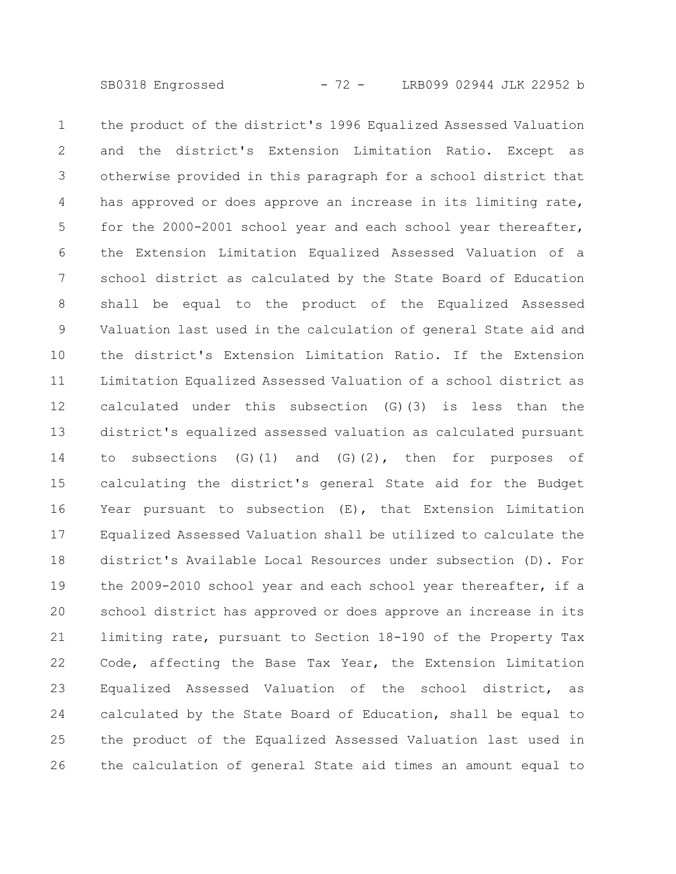the product of the district's 1996 Equalized Assessed Valuation and the district's Extension Limitation Ratio. Except as otherwise provided in this paragraph for a school district that has approved or does approve an increase in its limiting rate, for the 2000-2001 school year and each school year thereafter, the Extension Limitation Equalized Assessed Valuation of a school district as calculated by the State Board of Education shall be equal to the product of the Equalized Assessed Valuation last used in the calculation of general State aid and the district's Extension Limitation Ratio. If the Extension Limitation Equalized Assessed Valuation of a school district as calculated under this subsection (G)(3) is less than the district's equalized assessed valuation as calculated pursuant to subsections  $(G)(1)$  and  $(G)(2)$ , then for purposes of calculating the district's general State aid for the Budget Year pursuant to subsection (E), that Extension Limitation Equalized Assessed Valuation shall be utilized to calculate the district's Available Local Resources under subsection (D). For the 2009-2010 school year and each school year thereafter, if a school district has approved or does approve an increase in its limiting rate, pursuant to Section 18-190 of the Property Tax Code, affecting the Base Tax Year, the Extension Limitation Equalized Assessed Valuation of the school district, as calculated by the State Board of Education, shall be equal to the product of the Equalized Assessed Valuation last used in the calculation of general State aid times an amount equal to 1 2 3 4 5 6 7 8 9 10 11 12 13 14 15 16 17 18 19 20 21 22 23 24 25 26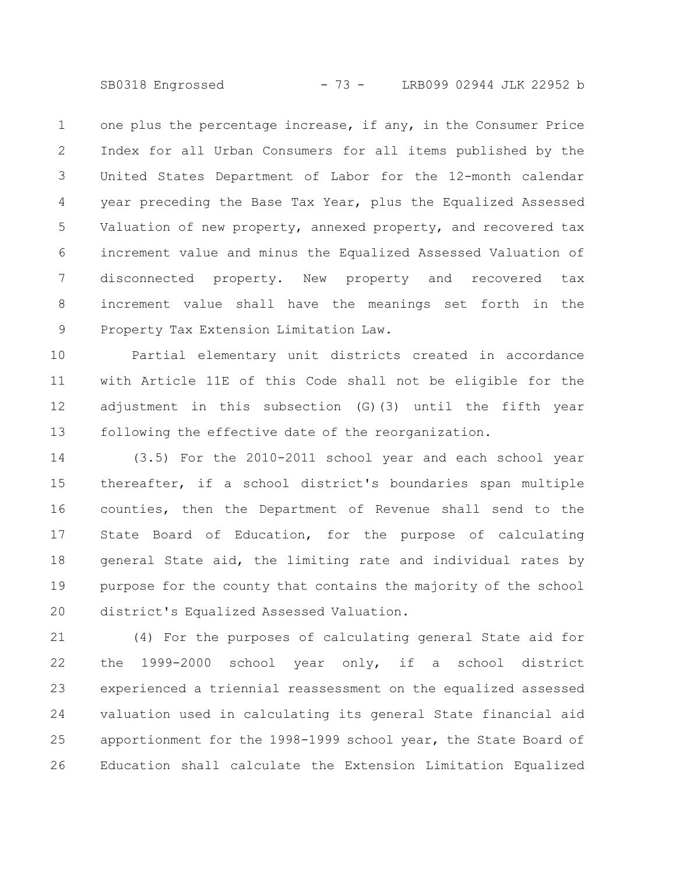SB0318 Engrossed - 73 - LRB099 02944 JLK 22952 b

one plus the percentage increase, if any, in the Consumer Price Index for all Urban Consumers for all items published by the United States Department of Labor for the 12-month calendar year preceding the Base Tax Year, plus the Equalized Assessed Valuation of new property, annexed property, and recovered tax increment value and minus the Equalized Assessed Valuation of disconnected property. New property and recovered tax increment value shall have the meanings set forth in the Property Tax Extension Limitation Law. 1 2 3 4 5 6 7 8 9

Partial elementary unit districts created in accordance with Article 11E of this Code shall not be eligible for the adjustment in this subsection (G)(3) until the fifth year following the effective date of the reorganization. 10 11 12 13

(3.5) For the 2010-2011 school year and each school year thereafter, if a school district's boundaries span multiple counties, then the Department of Revenue shall send to the State Board of Education, for the purpose of calculating general State aid, the limiting rate and individual rates by purpose for the county that contains the majority of the school district's Equalized Assessed Valuation. 14 15 16 17 18 19 20

(4) For the purposes of calculating general State aid for the 1999-2000 school year only, if a school district experienced a triennial reassessment on the equalized assessed valuation used in calculating its general State financial aid apportionment for the 1998-1999 school year, the State Board of Education shall calculate the Extension Limitation Equalized 21 22 23 24 25 26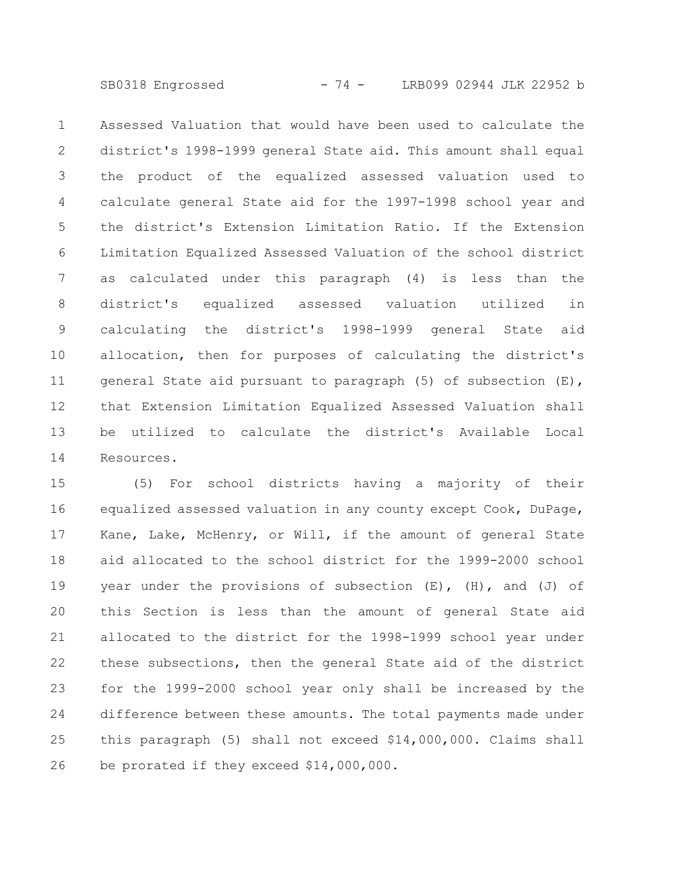SB0318 Engrossed - 74 - LRB099 02944 JLK 22952 b

Assessed Valuation that would have been used to calculate the district's 1998-1999 general State aid. This amount shall equal the product of the equalized assessed valuation used to calculate general State aid for the 1997-1998 school year and the district's Extension Limitation Ratio. If the Extension Limitation Equalized Assessed Valuation of the school district as calculated under this paragraph (4) is less than the district's equalized assessed valuation utilized in calculating the district's 1998-1999 general State aid allocation, then for purposes of calculating the district's general State aid pursuant to paragraph (5) of subsection (E), that Extension Limitation Equalized Assessed Valuation shall be utilized to calculate the district's Available Local Resources. 1 2 3 4 5 6 7 8 9 10 11 12 13 14

(5) For school districts having a majority of their equalized assessed valuation in any county except Cook, DuPage, Kane, Lake, McHenry, or Will, if the amount of general State aid allocated to the school district for the 1999-2000 school year under the provisions of subsection  $(E)$ ,  $(H)$ , and  $(J)$  of this Section is less than the amount of general State aid allocated to the district for the 1998-1999 school year under these subsections, then the general State aid of the district for the 1999-2000 school year only shall be increased by the difference between these amounts. The total payments made under this paragraph (5) shall not exceed \$14,000,000. Claims shall be prorated if they exceed \$14,000,000. 15 16 17 18 19 20 21 22 23 24 25 26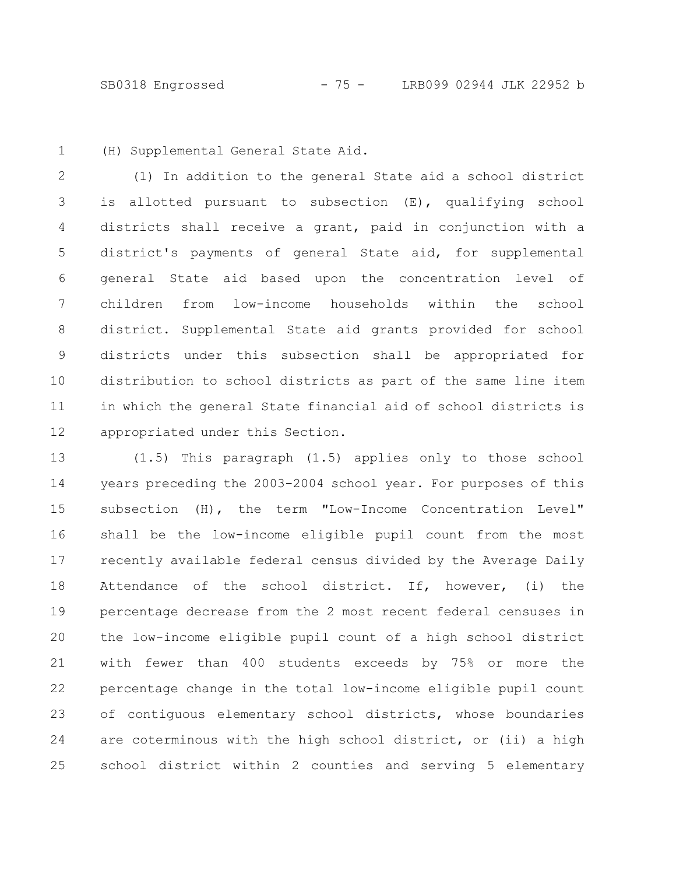SB0318 Engrossed - 75 - LRB099 02944 JLK 22952 b

(H) Supplemental General State Aid. 1

(1) In addition to the general State aid a school district is allotted pursuant to subsection (E), qualifying school districts shall receive a grant, paid in conjunction with a district's payments of general State aid, for supplemental general State aid based upon the concentration level of children from low-income households within the school district. Supplemental State aid grants provided for school districts under this subsection shall be appropriated for distribution to school districts as part of the same line item in which the general State financial aid of school districts is appropriated under this Section. 2 3 4 5 6 7 8 9 10 11 12

(1.5) This paragraph (1.5) applies only to those school years preceding the 2003-2004 school year. For purposes of this subsection (H), the term "Low-Income Concentration Level" shall be the low-income eligible pupil count from the most recently available federal census divided by the Average Daily Attendance of the school district. If, however, (i) the percentage decrease from the 2 most recent federal censuses in the low-income eligible pupil count of a high school district with fewer than 400 students exceeds by 75% or more the percentage change in the total low-income eligible pupil count of contiguous elementary school districts, whose boundaries are coterminous with the high school district, or (ii) a high school district within 2 counties and serving 5 elementary 13 14 15 16 17 18 19 20 21 22 23 24 25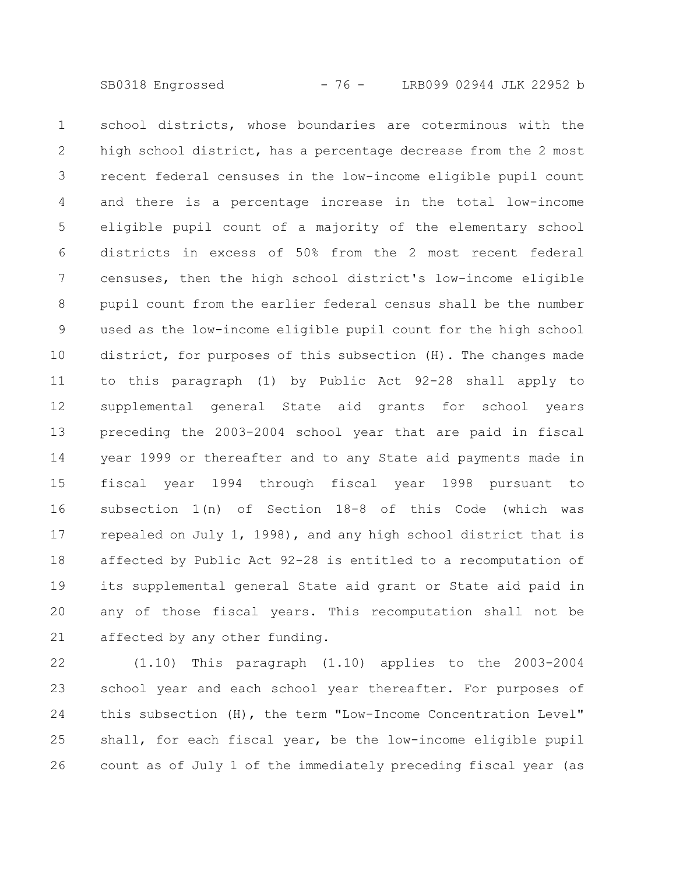school districts, whose boundaries are coterminous with the high school district, has a percentage decrease from the 2 most recent federal censuses in the low-income eligible pupil count and there is a percentage increase in the total low-income eligible pupil count of a majority of the elementary school districts in excess of 50% from the 2 most recent federal censuses, then the high school district's low-income eligible pupil count from the earlier federal census shall be the number used as the low-income eligible pupil count for the high school district, for purposes of this subsection (H). The changes made to this paragraph (1) by Public Act 92-28 shall apply to supplemental general State aid grants for school years preceding the 2003-2004 school year that are paid in fiscal year 1999 or thereafter and to any State aid payments made in fiscal year 1994 through fiscal year 1998 pursuant to subsection 1(n) of Section 18-8 of this Code (which was repealed on July 1, 1998), and any high school district that is affected by Public Act 92-28 is entitled to a recomputation of its supplemental general State aid grant or State aid paid in any of those fiscal years. This recomputation shall not be affected by any other funding. 1 2 3 4 5 6 7 8 9 10 11 12 13 14 15 16 17 18 19 20 21

(1.10) This paragraph (1.10) applies to the 2003-2004 school year and each school year thereafter. For purposes of this subsection (H), the term "Low-Income Concentration Level" shall, for each fiscal year, be the low-income eligible pupil count as of July 1 of the immediately preceding fiscal year (as 22 23 24 25 26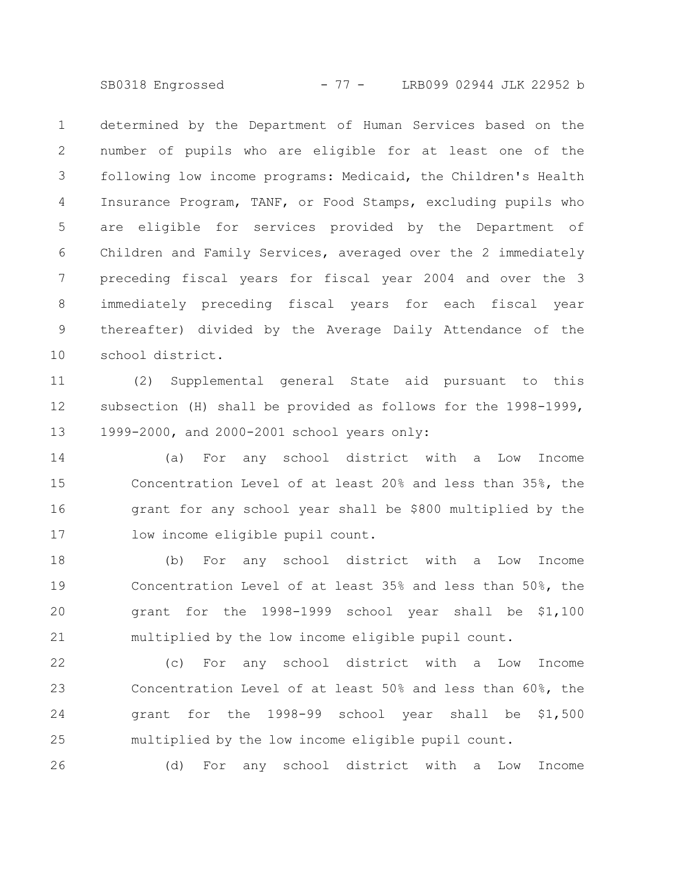SB0318 Engrossed - 77 - LRB099 02944 JLK 22952 b

determined by the Department of Human Services based on the number of pupils who are eligible for at least one of the following low income programs: Medicaid, the Children's Health Insurance Program, TANF, or Food Stamps, excluding pupils who are eligible for services provided by the Department of Children and Family Services, averaged over the 2 immediately preceding fiscal years for fiscal year 2004 and over the 3 immediately preceding fiscal years for each fiscal year thereafter) divided by the Average Daily Attendance of the school district. 1 2 3 4 5 6 7 8 9 10

(2) Supplemental general State aid pursuant to this subsection (H) shall be provided as follows for the 1998-1999, 1999-2000, and 2000-2001 school years only: 11 12 13

(a) For any school district with a Low Income Concentration Level of at least 20% and less than 35%, the grant for any school year shall be \$800 multiplied by the low income eligible pupil count. 14 15 16 17

(b) For any school district with a Low Income Concentration Level of at least 35% and less than 50%, the grant for the 1998-1999 school year shall be \$1,100 multiplied by the low income eligible pupil count. 18 19 20 21

(c) For any school district with a Low Income Concentration Level of at least 50% and less than 60%, the grant for the 1998-99 school year shall be \$1,500 multiplied by the low income eligible pupil count. 22 23 24 25

(d) For any school district with a Low Income

26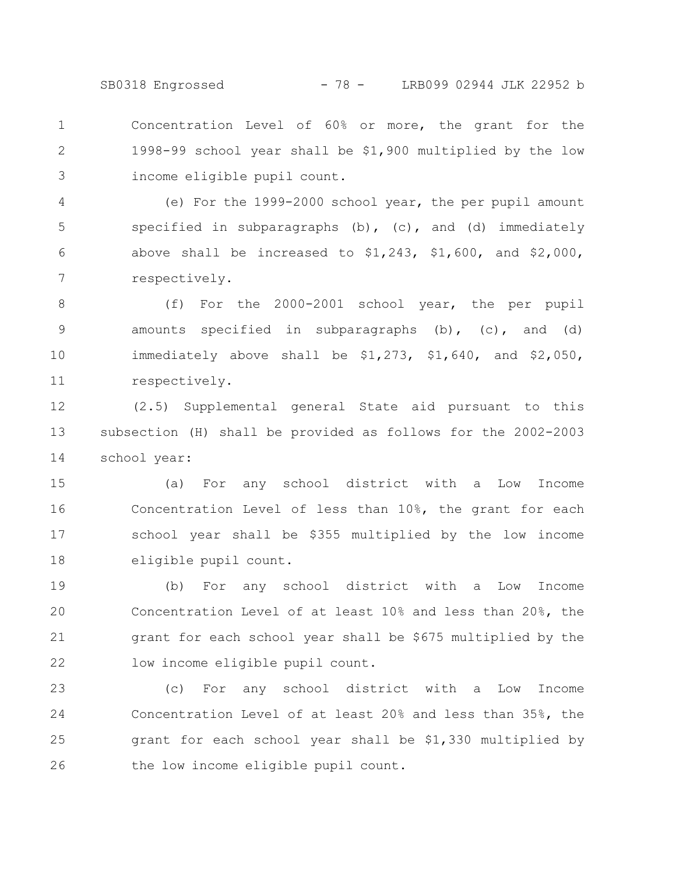SB0318 Engrossed - 78 - LRB099 02944 JLK 22952 b

Concentration Level of 60% or more, the grant for the 1998-99 school year shall be \$1,900 multiplied by the low income eligible pupil count. 1 2 3

(e) For the 1999-2000 school year, the per pupil amount specified in subparagraphs (b),  $(c)$ , and (d) immediately above shall be increased to  $$1,243$ ,  $$1,600$ , and  $$2,000$ , respectively. 4 5 6 7

(f) For the 2000-2001 school year, the per pupil amounts specified in subparagraphs  $(b)$ ,  $(c)$ , and  $(d)$ immediately above shall be \$1,273, \$1,640, and \$2,050, respectively. 8 9 10 11

(2.5) Supplemental general State aid pursuant to this subsection (H) shall be provided as follows for the 2002-2003 school year: 12 13 14

(a) For any school district with a Low Income Concentration Level of less than 10%, the grant for each school year shall be \$355 multiplied by the low income eligible pupil count. 15 16 17 18

(b) For any school district with a Low Income Concentration Level of at least 10% and less than 20%, the grant for each school year shall be \$675 multiplied by the low income eligible pupil count. 19 20 21 22

(c) For any school district with a Low Income Concentration Level of at least 20% and less than 35%, the grant for each school year shall be \$1,330 multiplied by the low income eligible pupil count. 23 24 25 26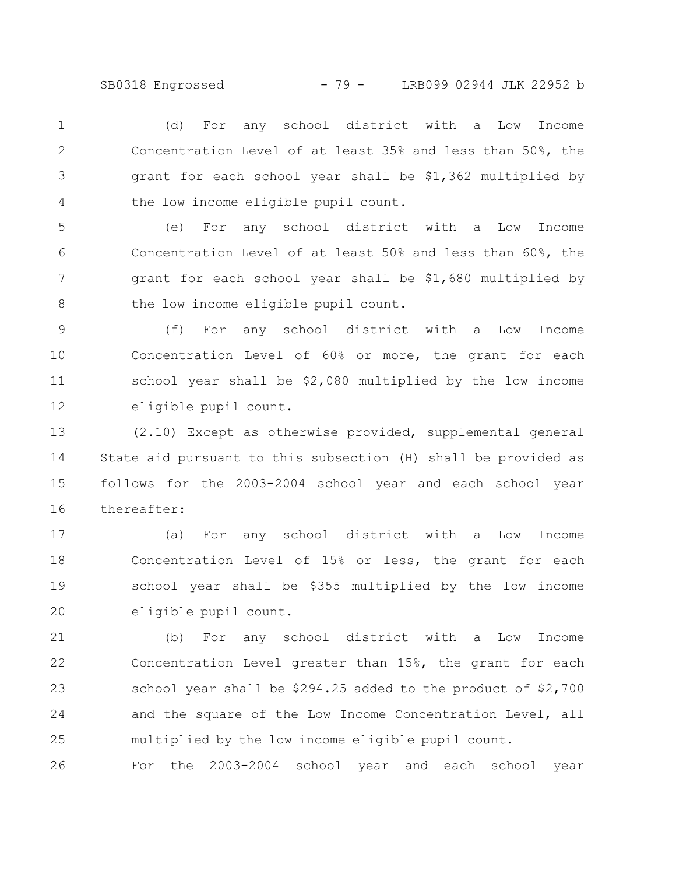(d) For any school district with a Low Income Concentration Level of at least 35% and less than 50%, the grant for each school year shall be \$1,362 multiplied by the low income eligible pupil count. 1 2 3 4

(e) For any school district with a Low Income Concentration Level of at least 50% and less than 60%, the grant for each school year shall be \$1,680 multiplied by the low income eligible pupil count. 5 6 7 8

(f) For any school district with a Low Income Concentration Level of 60% or more, the grant for each school year shall be \$2,080 multiplied by the low income eligible pupil count. 9 10 11 12

(2.10) Except as otherwise provided, supplemental general State aid pursuant to this subsection (H) shall be provided as follows for the 2003-2004 school year and each school year thereafter: 13 14 15 16

(a) For any school district with a Low Income Concentration Level of 15% or less, the grant for each school year shall be \$355 multiplied by the low income eligible pupil count. 17 18 19 20

(b) For any school district with a Low Income Concentration Level greater than 15%, the grant for each school year shall be \$294.25 added to the product of \$2,700 and the square of the Low Income Concentration Level, all multiplied by the low income eligible pupil count. 21 22 23 24 25

For the 2003-2004 school year and each school year 26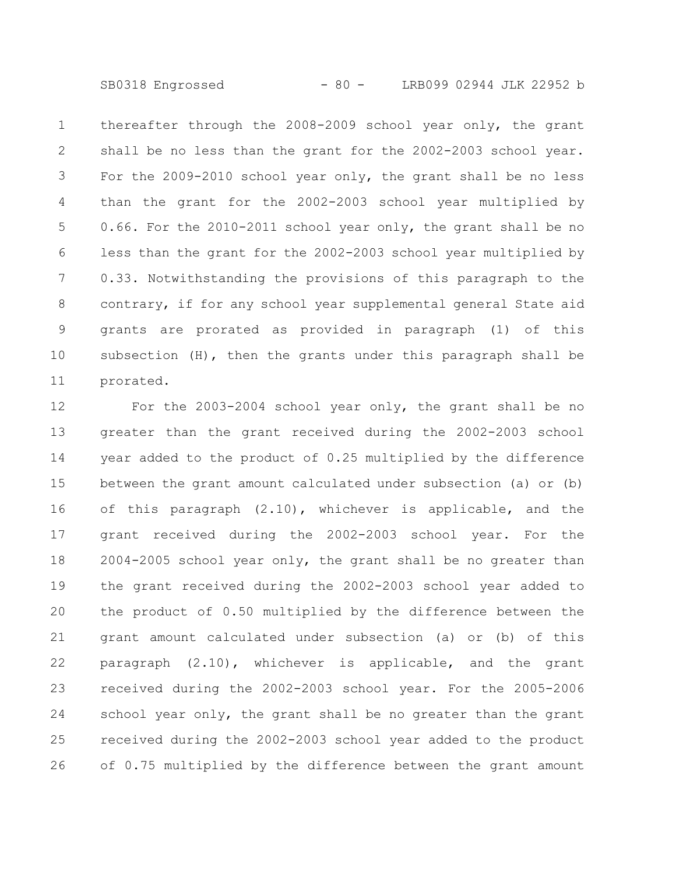SB0318 Engrossed - 80 - LRB099 02944 JLK 22952 b

thereafter through the 2008-2009 school year only, the grant shall be no less than the grant for the 2002-2003 school year. For the 2009-2010 school year only, the grant shall be no less than the grant for the 2002-2003 school year multiplied by 0.66. For the 2010-2011 school year only, the grant shall be no less than the grant for the 2002-2003 school year multiplied by 0.33. Notwithstanding the provisions of this paragraph to the contrary, if for any school year supplemental general State aid grants are prorated as provided in paragraph (1) of this subsection (H), then the grants under this paragraph shall be prorated. 1 2 3 4 5 6 7 8 9 10 11

For the 2003-2004 school year only, the grant shall be no greater than the grant received during the 2002-2003 school year added to the product of 0.25 multiplied by the difference between the grant amount calculated under subsection (a) or (b) of this paragraph (2.10), whichever is applicable, and the grant received during the 2002-2003 school year. For the 2004-2005 school year only, the grant shall be no greater than the grant received during the 2002-2003 school year added to the product of 0.50 multiplied by the difference between the grant amount calculated under subsection (a) or (b) of this paragraph (2.10), whichever is applicable, and the grant received during the 2002-2003 school year. For the 2005-2006 school year only, the grant shall be no greater than the grant received during the 2002-2003 school year added to the product of 0.75 multiplied by the difference between the grant amount 12 13 14 15 16 17 18 19 20 21 22 23 24 25 26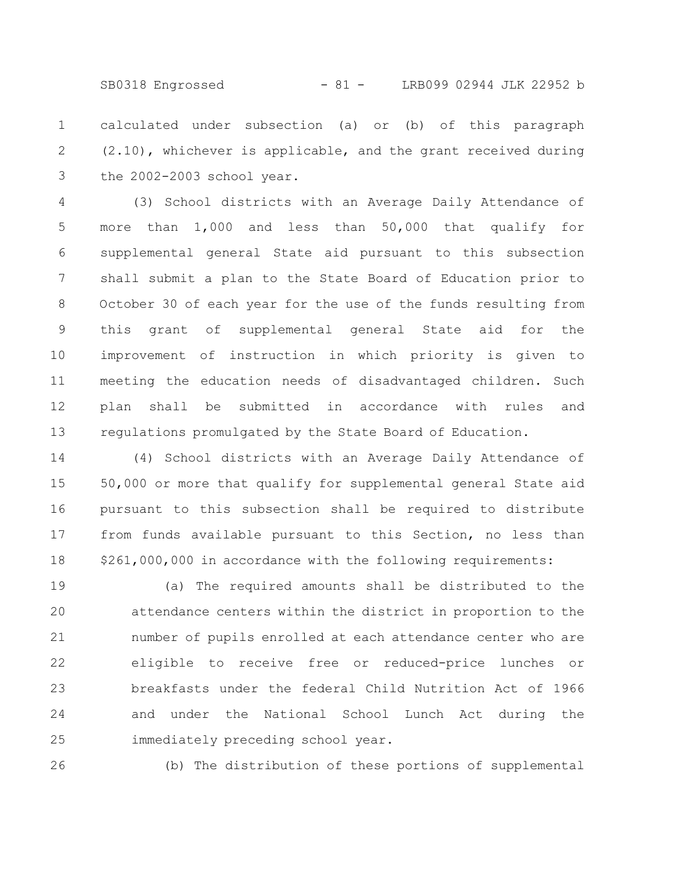SB0318 Engrossed - 81 - LRB099 02944 JLK 22952 b

calculated under subsection (a) or (b) of this paragraph (2.10), whichever is applicable, and the grant received during the 2002-2003 school year. 1 2 3

(3) School districts with an Average Daily Attendance of more than 1,000 and less than 50,000 that qualify for supplemental general State aid pursuant to this subsection shall submit a plan to the State Board of Education prior to October 30 of each year for the use of the funds resulting from this grant of supplemental general State aid for the improvement of instruction in which priority is given to meeting the education needs of disadvantaged children. Such plan shall be submitted in accordance with rules and regulations promulgated by the State Board of Education. 4 5 6 7 8 9 10 11 12 13

(4) School districts with an Average Daily Attendance of 50,000 or more that qualify for supplemental general State aid pursuant to this subsection shall be required to distribute from funds available pursuant to this Section, no less than \$261,000,000 in accordance with the following requirements: 14 15 16 17 18

(a) The required amounts shall be distributed to the attendance centers within the district in proportion to the number of pupils enrolled at each attendance center who are eligible to receive free or reduced-price lunches or breakfasts under the federal Child Nutrition Act of 1966 and under the National School Lunch Act during the immediately preceding school year. 19 20 21 22 23 24 25

26

(b) The distribution of these portions of supplemental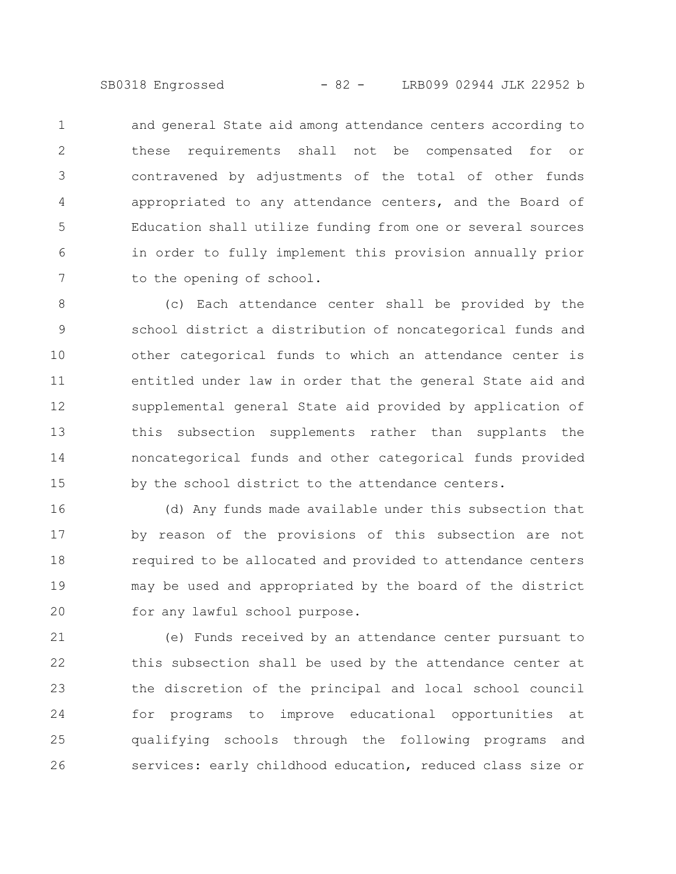SB0318 Engrossed - 82 - LRB099 02944 JLK 22952 b

and general State aid among attendance centers according to these requirements shall not be compensated for or contravened by adjustments of the total of other funds appropriated to any attendance centers, and the Board of Education shall utilize funding from one or several sources in order to fully implement this provision annually prior to the opening of school. 1 2 3 4 5 6 7

(c) Each attendance center shall be provided by the school district a distribution of noncategorical funds and other categorical funds to which an attendance center is entitled under law in order that the general State aid and supplemental general State aid provided by application of this subsection supplements rather than supplants the noncategorical funds and other categorical funds provided by the school district to the attendance centers. 8 9 10 11 12 13 14 15

(d) Any funds made available under this subsection that by reason of the provisions of this subsection are not required to be allocated and provided to attendance centers may be used and appropriated by the board of the district for any lawful school purpose. 16 17 18 19 20

(e) Funds received by an attendance center pursuant to this subsection shall be used by the attendance center at the discretion of the principal and local school council for programs to improve educational opportunities at qualifying schools through the following programs and services: early childhood education, reduced class size or 21 22 23 24 25 26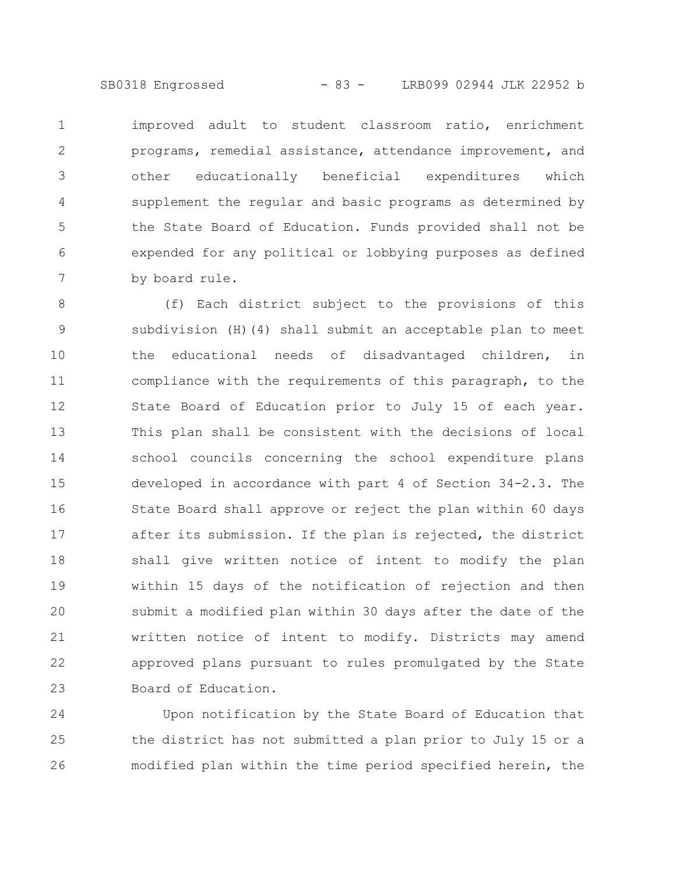SB0318 Engrossed - 83 - LRB099 02944 JLK 22952 b

improved adult to student classroom ratio, enrichment programs, remedial assistance, attendance improvement, and other educationally beneficial expenditures which supplement the regular and basic programs as determined by the State Board of Education. Funds provided shall not be expended for any political or lobbying purposes as defined by board rule. 1 2 3 4 5 6 7

(f) Each district subject to the provisions of this subdivision (H)(4) shall submit an acceptable plan to meet the educational needs of disadvantaged children, in compliance with the requirements of this paragraph, to the State Board of Education prior to July 15 of each year. This plan shall be consistent with the decisions of local school councils concerning the school expenditure plans developed in accordance with part 4 of Section 34-2.3. The State Board shall approve or reject the plan within 60 days after its submission. If the plan is rejected, the district shall give written notice of intent to modify the plan within 15 days of the notification of rejection and then submit a modified plan within 30 days after the date of the written notice of intent to modify. Districts may amend approved plans pursuant to rules promulgated by the State Board of Education. 8 9 10 11 12 13 14 15 16 17 18 19 20 21 22 23

Upon notification by the State Board of Education that the district has not submitted a plan prior to July 15 or a modified plan within the time period specified herein, the 24 25 26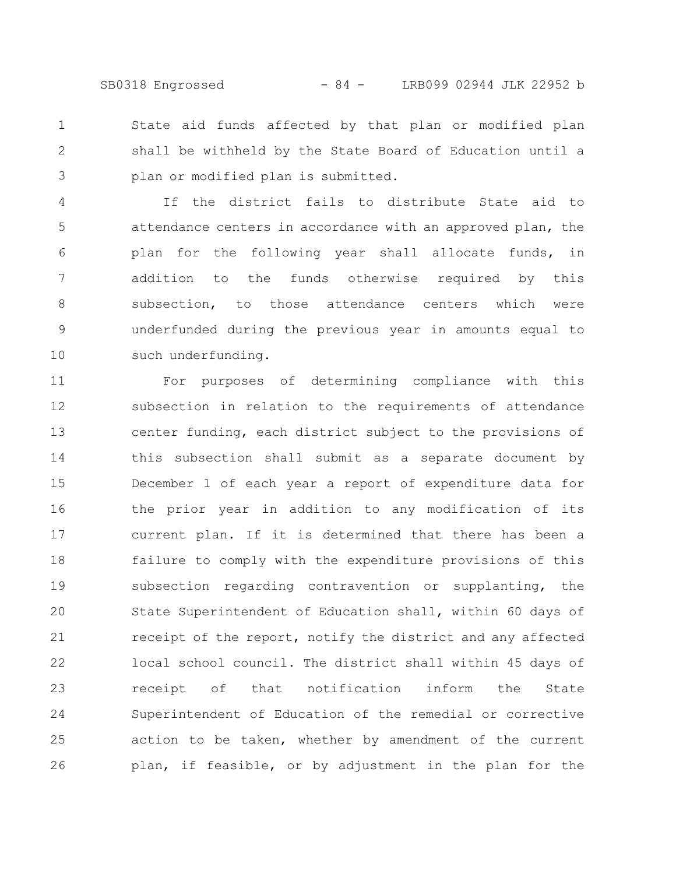State aid funds affected by that plan or modified plan shall be withheld by the State Board of Education until a plan or modified plan is submitted. 1 2 3

If the district fails to distribute State aid to attendance centers in accordance with an approved plan, the plan for the following year shall allocate funds, in addition to the funds otherwise required by this subsection, to those attendance centers which were underfunded during the previous year in amounts equal to such underfunding. 4 5 6 7 8 9 10

For purposes of determining compliance with this subsection in relation to the requirements of attendance center funding, each district subject to the provisions of this subsection shall submit as a separate document by December 1 of each year a report of expenditure data for the prior year in addition to any modification of its current plan. If it is determined that there has been a failure to comply with the expenditure provisions of this subsection regarding contravention or supplanting, the State Superintendent of Education shall, within 60 days of receipt of the report, notify the district and any affected local school council. The district shall within 45 days of receipt of that notification inform the State Superintendent of Education of the remedial or corrective action to be taken, whether by amendment of the current plan, if feasible, or by adjustment in the plan for the 11 12 13 14 15 16 17 18 19 20 21 22 23 24 25 26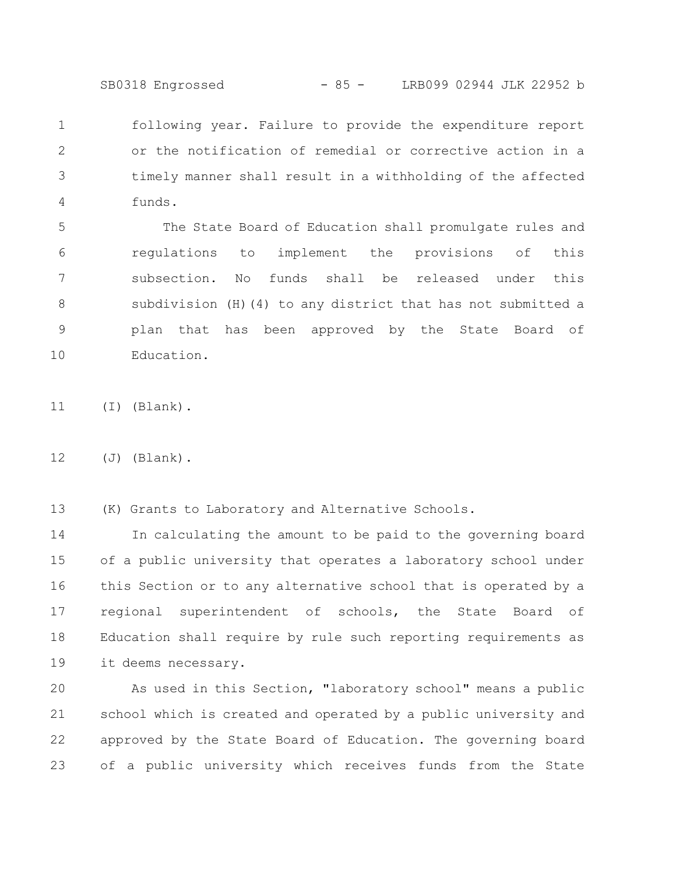SB0318 Engrossed - 85 - LRB099 02944 JLK 22952 b

following year. Failure to provide the expenditure report or the notification of remedial or corrective action in a timely manner shall result in a withholding of the affected funds. 1 2 3 4

The State Board of Education shall promulgate rules and regulations to implement the provisions of this subsection. No funds shall be released under this subdivision (H)(4) to any district that has not submitted a plan that has been approved by the State Board of Education. 5 6 7 8 9 10

(I) (Blank). 11

(J) (Blank). 12

(K) Grants to Laboratory and Alternative Schools. 13

In calculating the amount to be paid to the governing board of a public university that operates a laboratory school under this Section or to any alternative school that is operated by a regional superintendent of schools, the State Board of Education shall require by rule such reporting requirements as it deems necessary. 14 15 16 17 18 19

As used in this Section, "laboratory school" means a public school which is created and operated by a public university and approved by the State Board of Education. The governing board of a public university which receives funds from the State 20 21 22 23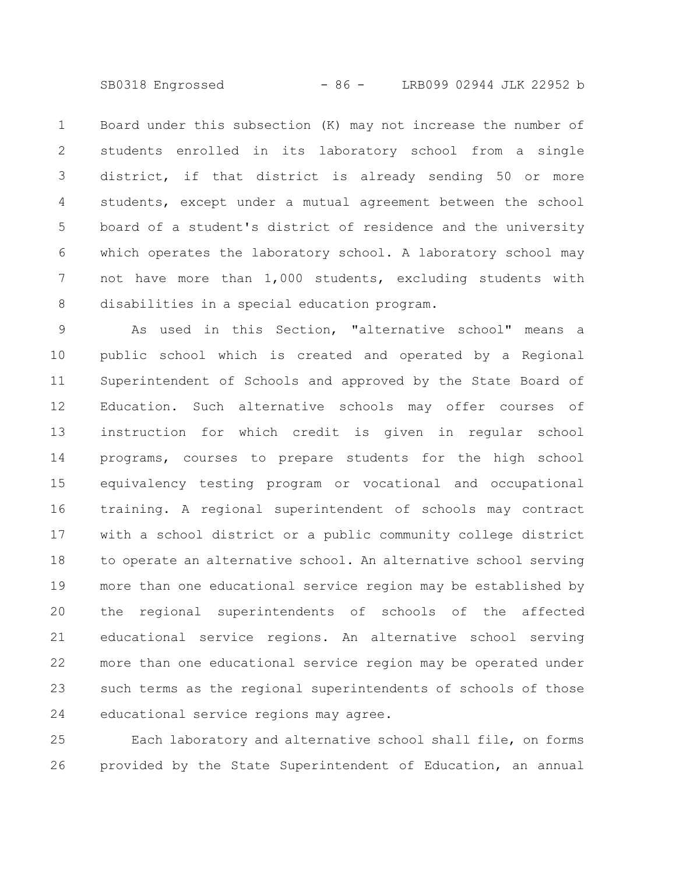SB0318 Engrossed - 86 - LRB099 02944 JLK 22952 b

Board under this subsection (K) may not increase the number of students enrolled in its laboratory school from a single district, if that district is already sending 50 or more students, except under a mutual agreement between the school board of a student's district of residence and the university which operates the laboratory school. A laboratory school may not have more than 1,000 students, excluding students with disabilities in a special education program. 1 2 3 4 5 6 7 8

As used in this Section, "alternative school" means a public school which is created and operated by a Regional Superintendent of Schools and approved by the State Board of Education. Such alternative schools may offer courses of instruction for which credit is given in regular school programs, courses to prepare students for the high school equivalency testing program or vocational and occupational training. A regional superintendent of schools may contract with a school district or a public community college district to operate an alternative school. An alternative school serving more than one educational service region may be established by the regional superintendents of schools of the affected educational service regions. An alternative school serving more than one educational service region may be operated under such terms as the regional superintendents of schools of those educational service regions may agree. 9 10 11 12 13 14 15 16 17 18 19 20 21 22 23 24

Each laboratory and alternative school shall file, on forms provided by the State Superintendent of Education, an annual 25 26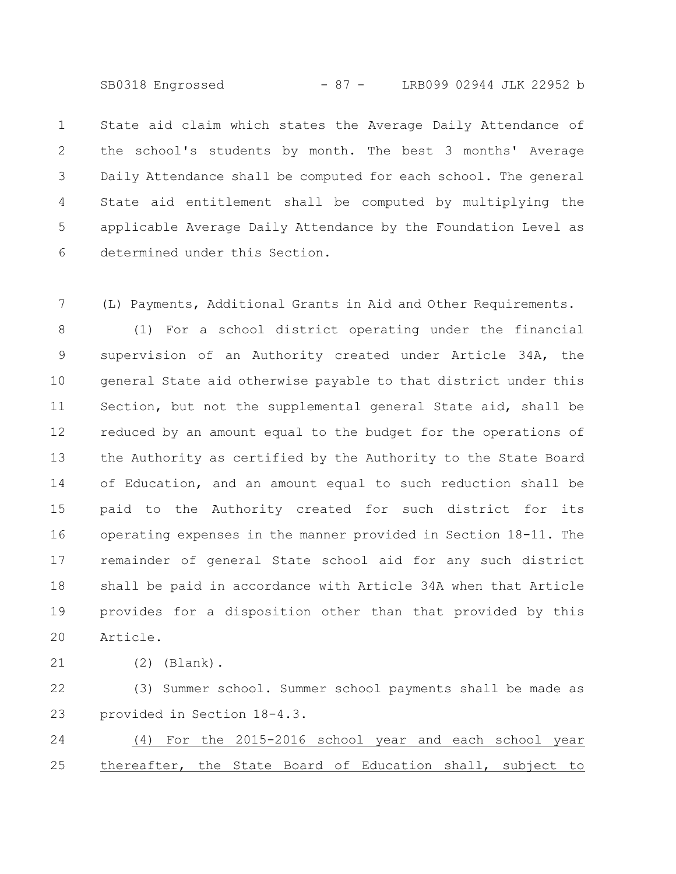SB0318 Engrossed - 87 - LRB099 02944 JLK 22952 b

State aid claim which states the Average Daily Attendance of the school's students by month. The best 3 months' Average Daily Attendance shall be computed for each school. The general State aid entitlement shall be computed by multiplying the applicable Average Daily Attendance by the Foundation Level as determined under this Section. 1 2 3 4 5 6

(L) Payments, Additional Grants in Aid and Other Requirements. 7

(1) For a school district operating under the financial supervision of an Authority created under Article 34A, the general State aid otherwise payable to that district under this Section, but not the supplemental general State aid, shall be reduced by an amount equal to the budget for the operations of the Authority as certified by the Authority to the State Board of Education, and an amount equal to such reduction shall be paid to the Authority created for such district for its operating expenses in the manner provided in Section 18-11. The remainder of general State school aid for any such district shall be paid in accordance with Article 34A when that Article provides for a disposition other than that provided by this Article. 8 9 10 11 12 13 14 15 16 17 18 19 20

21

(2) (Blank).

(3) Summer school. Summer school payments shall be made as provided in Section 18-4.3. 22 23

(4) For the 2015-2016 school year and each school year thereafter, the State Board of Education shall, subject to 24 25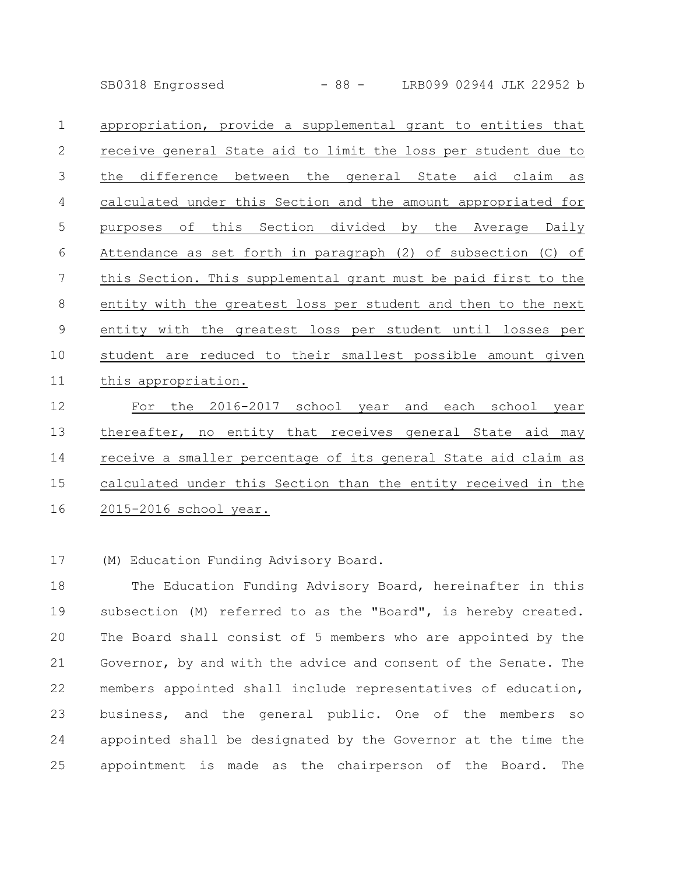SB0318 Engrossed - 88 - LRB099 02944 JLK 22952 b

| appropriation, provide a supplemental grant to entities that    |
|-----------------------------------------------------------------|
| receive general State aid to limit the loss per student due to  |
| difference between the general State aid claim<br>the<br>as     |
| calculated under this Section and the amount appropriated for   |
| of this Section divided by the Average Daily<br>purposes        |
| Attendance as set forth in paragraph (2) of subsection (C) of   |
| this Section. This supplemental grant must be paid first to the |
| entity with the greatest loss per student and then to the next  |
|                                                                 |
| entity with the greatest loss per student until losses per      |
| student are reduced to their smallest possible amount given     |
| this appropriation.                                             |
|                                                                 |

For the 2016-2017 school year and each school year thereafter, no entity that receives general State aid may receive a smaller percentage of its general State aid claim as calculated under this Section than the entity received in the 2015-2016 school year. 12 13 14 15 16

(M) Education Funding Advisory Board. 17

The Education Funding Advisory Board, hereinafter in this subsection (M) referred to as the "Board", is hereby created. The Board shall consist of 5 members who are appointed by the Governor, by and with the advice and consent of the Senate. The members appointed shall include representatives of education, business, and the general public. One of the members so appointed shall be designated by the Governor at the time the appointment is made as the chairperson of the Board. The 18 19 20 21 22 23 24 25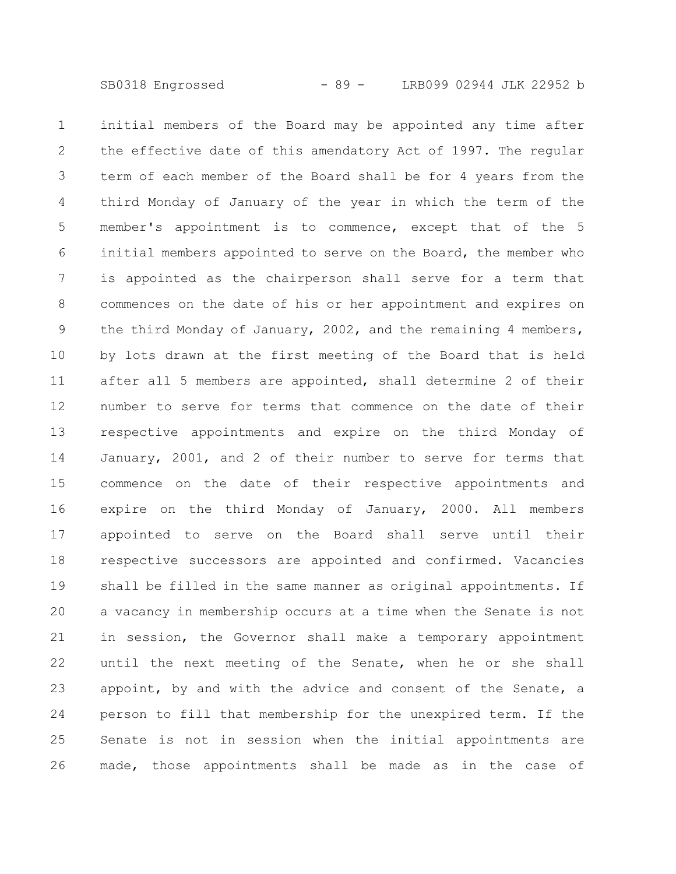initial members of the Board may be appointed any time after the effective date of this amendatory Act of 1997. The regular term of each member of the Board shall be for 4 years from the third Monday of January of the year in which the term of the member's appointment is to commence, except that of the 5 initial members appointed to serve on the Board, the member who is appointed as the chairperson shall serve for a term that commences on the date of his or her appointment and expires on the third Monday of January, 2002, and the remaining 4 members, by lots drawn at the first meeting of the Board that is held after all 5 members are appointed, shall determine 2 of their number to serve for terms that commence on the date of their respective appointments and expire on the third Monday of January, 2001, and 2 of their number to serve for terms that commence on the date of their respective appointments and expire on the third Monday of January, 2000. All members appointed to serve on the Board shall serve until their respective successors are appointed and confirmed. Vacancies shall be filled in the same manner as original appointments. If a vacancy in membership occurs at a time when the Senate is not in session, the Governor shall make a temporary appointment until the next meeting of the Senate, when he or she shall appoint, by and with the advice and consent of the Senate, a person to fill that membership for the unexpired term. If the Senate is not in session when the initial appointments are made, those appointments shall be made as in the case of 1 2 3 4 5 6 7 8 9 10 11 12 13 14 15 16 17 18 19 20 21 22 23 24 25 26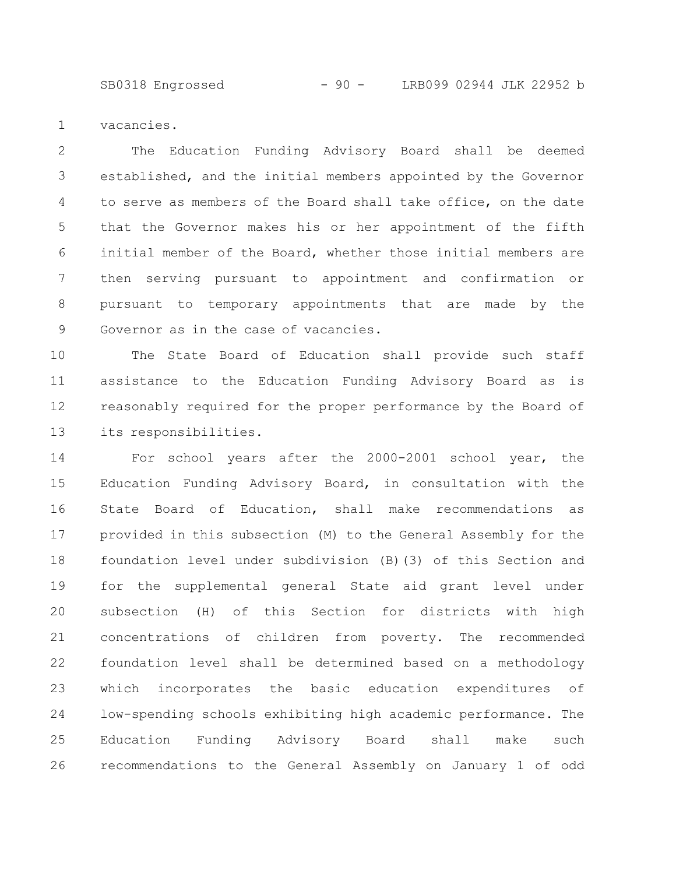SB0318 Engrossed - 90 - LRB099 02944 JLK 22952 b

vacancies. 1

The Education Funding Advisory Board shall be deemed established, and the initial members appointed by the Governor to serve as members of the Board shall take office, on the date that the Governor makes his or her appointment of the fifth initial member of the Board, whether those initial members are then serving pursuant to appointment and confirmation or pursuant to temporary appointments that are made by the Governor as in the case of vacancies. 2 3 4 5 6 7 8 9

The State Board of Education shall provide such staff assistance to the Education Funding Advisory Board as is reasonably required for the proper performance by the Board of its responsibilities. 10 11 12 13

For school years after the 2000-2001 school year, the Education Funding Advisory Board, in consultation with the State Board of Education, shall make recommendations as provided in this subsection (M) to the General Assembly for the foundation level under subdivision (B)(3) of this Section and for the supplemental general State aid grant level under subsection (H) of this Section for districts with high concentrations of children from poverty. The recommended foundation level shall be determined based on a methodology which incorporates the basic education expenditures of low-spending schools exhibiting high academic performance. The Education Funding Advisory Board shall make such recommendations to the General Assembly on January 1 of odd 14 15 16 17 18 19 20 21 22 23 24 25 26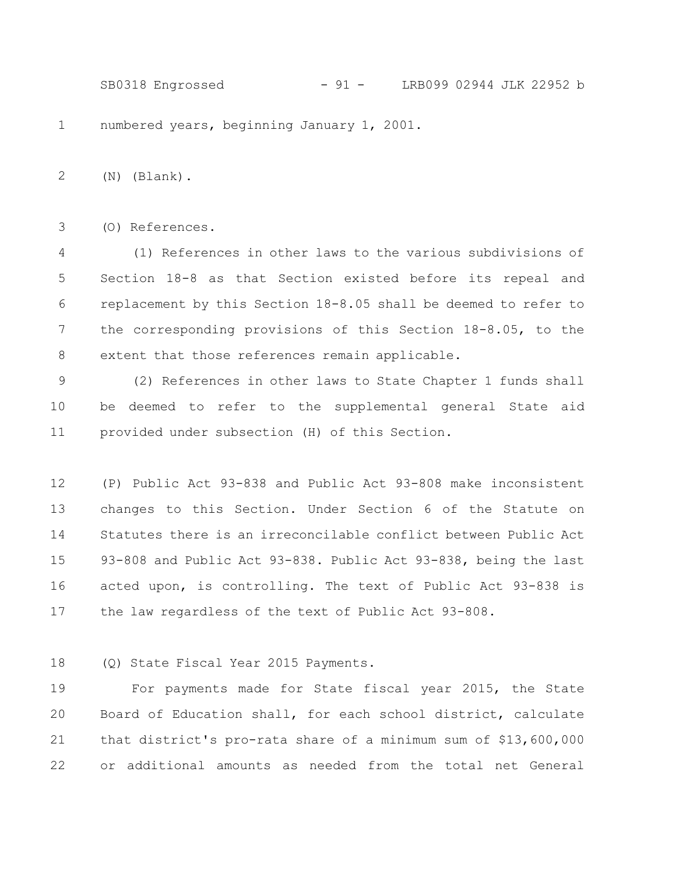numbered years, beginning January 1, 2001. (N) (Blank). (O) References. (1) References in other laws to the various subdivisions of Section 18-8 as that Section existed before its repeal and replacement by this Section 18-8.05 shall be deemed to refer to the corresponding provisions of this Section 18-8.05, to the extent that those references remain applicable. (2) References in other laws to State Chapter 1 funds shall 1 2 3 4 5 6 7 8 9 SB0318 Engrossed - 91 - LRB099 02944 JLK 22952 b

be deemed to refer to the supplemental general State aid provided under subsection (H) of this Section. 10 11

(P) Public Act 93-838 and Public Act 93-808 make inconsistent changes to this Section. Under Section 6 of the Statute on Statutes there is an irreconcilable conflict between Public Act 93-808 and Public Act 93-838. Public Act 93-838, being the last acted upon, is controlling. The text of Public Act 93-838 is the law regardless of the text of Public Act 93-808. 12 13 14 15 16 17

(Q) State Fiscal Year 2015 Payments. 18

For payments made for State fiscal year 2015, the State Board of Education shall, for each school district, calculate that district's pro-rata share of a minimum sum of \$13,600,000 or additional amounts as needed from the total net General 19 20 21 22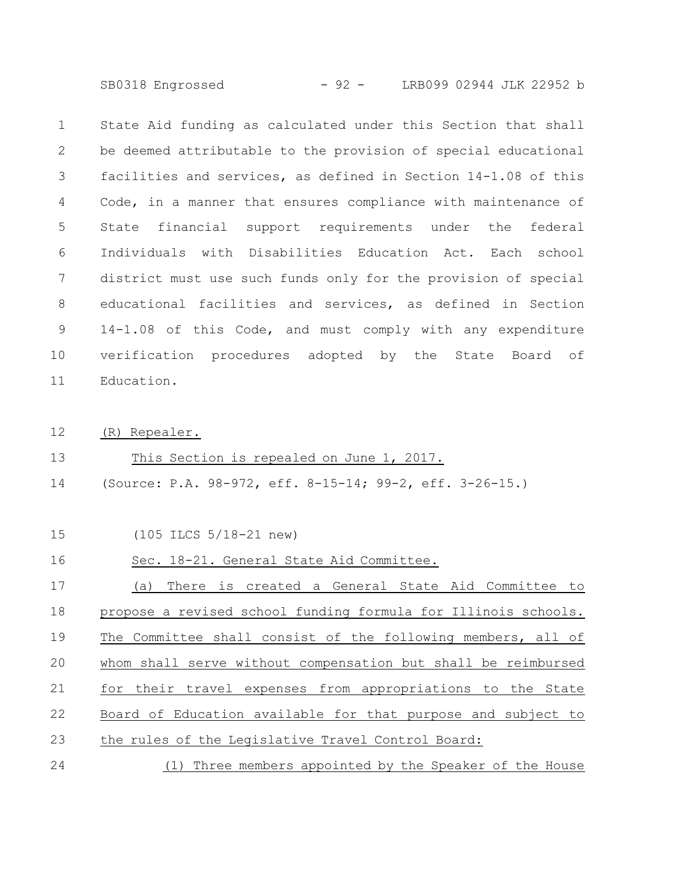SB0318 Engrossed - 92 - LRB099 02944 JLK 22952 b

State Aid funding as calculated under this Section that shall be deemed attributable to the provision of special educational facilities and services, as defined in Section 14-1.08 of this Code, in a manner that ensures compliance with maintenance of State financial support requirements under the federal Individuals with Disabilities Education Act. Each school district must use such funds only for the provision of special educational facilities and services, as defined in Section 14-1.08 of this Code, and must comply with any expenditure verification procedures adopted by the State Board of Education. 1 2 3 4 5 6 7 8 9 10 11

(R) Repealer. 12

## This Section is repealed on June 1, 2017. 13

(Source: P.A. 98-972, eff. 8-15-14; 99-2, eff. 3-26-15.) 14

## (105 ILCS 5/18-21 new) 15

## Sec. 18-21. General State Aid Committee. 16

(a) There is created a General State Aid Committee to propose a revised school funding formula for Illinois schools. The Committee shall consist of the following members, all of whom shall serve without compensation but shall be reimbursed for their travel expenses from appropriations to the State Board of Education available for that purpose and subject to the rules of the Legislative Travel Control Board: (1) Three members appointed by the Speaker of the House 17 18 19 20 21 22 23 24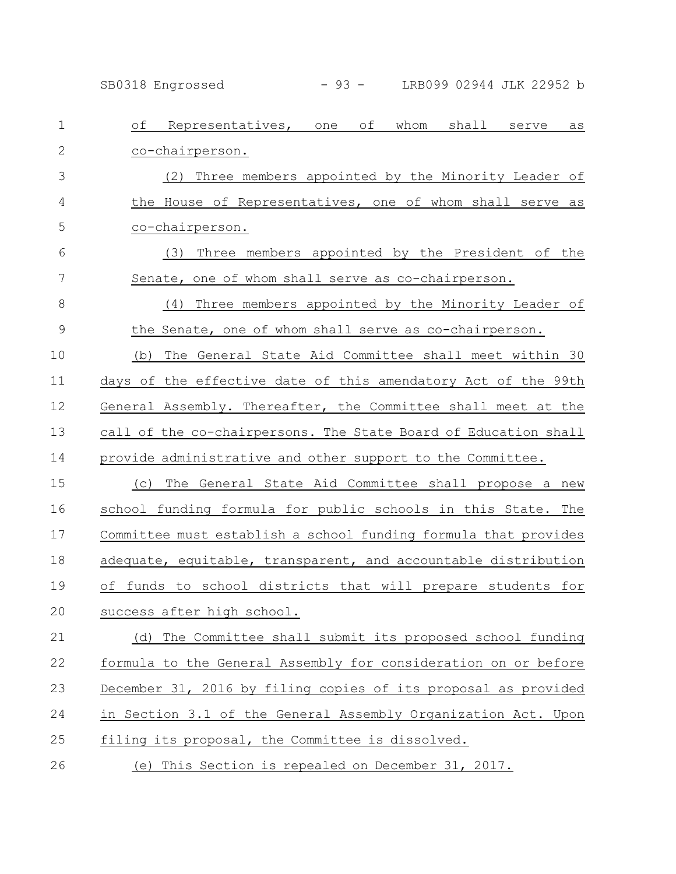SB0318 Engrossed - 93 - LRB099 02944 JLK 22952 b

| $\mathbf 1$   | Representatives, one of whom<br>of<br>shall serve<br>as         |
|---------------|-----------------------------------------------------------------|
| $\mathbf{2}$  | co-chairperson.                                                 |
| 3             | (2) Three members appointed by the Minority Leader of           |
| 4             | the House of Representatives, one of whom shall serve as        |
| 5             | co-chairperson.                                                 |
| 6             | Three members appointed by the President of the<br>(3)          |
| 7             | Senate, one of whom shall serve as co-chairperson.              |
| 8             | Three members appointed by the Minority Leader of<br>(4)        |
| $\mathcal{G}$ | the Senate, one of whom shall serve as co-chairperson.          |
| 10            | The General State Aid Committee shall meet within 30<br>(b)     |
| 11            | days of the effective date of this amendatory Act of the 99th   |
| 12            | General Assembly. Thereafter, the Committee shall meet at the   |
| 13            | call of the co-chairpersons. The State Board of Education shall |
| 14            | provide administrative and other support to the Committee.      |
| 15            | (c) The General State Aid Committee shall propose a new         |
| 16            | school funding formula for public schools in this State. The    |
| 17            | Committee must establish a school funding formula that provides |
| 18            | adequate, equitable, transparent, and accountable distribution  |
| 19            | of funds to school districts that will prepare students for     |
| 20            | success after high school.                                      |
| 21            | (d) The Committee shall submit its proposed school funding      |
| 22            | formula to the General Assembly for consideration on or before  |
| 23            | December 31, 2016 by filing copies of its proposal as provided  |
| 24            | in Section 3.1 of the General Assembly Organization Act. Upon   |
| 25            | filing its proposal, the Committee is dissolved.                |
| 26            | (e) This Section is repealed on December 31, 2017.              |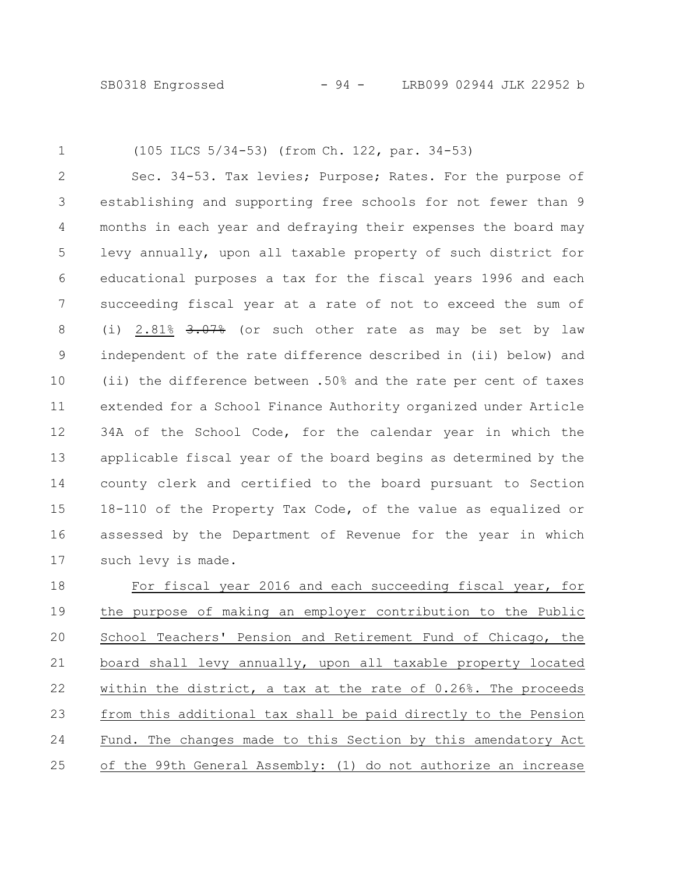1

## (105 ILCS 5/34-53) (from Ch. 122, par. 34-53)

Sec. 34-53. Tax levies; Purpose; Rates. For the purpose of establishing and supporting free schools for not fewer than 9 months in each year and defraying their expenses the board may levy annually, upon all taxable property of such district for educational purposes a tax for the fiscal years 1996 and each succeeding fiscal year at a rate of not to exceed the sum of (i)  $2.81\%$   $3.07\%$  (or such other rate as may be set by law independent of the rate difference described in (ii) below) and (ii) the difference between .50% and the rate per cent of taxes extended for a School Finance Authority organized under Article 34A of the School Code, for the calendar year in which the applicable fiscal year of the board begins as determined by the county clerk and certified to the board pursuant to Section 18-110 of the Property Tax Code, of the value as equalized or assessed by the Department of Revenue for the year in which such levy is made. 2 3 4 5 6 7 8 9 10 11 12 13 14 15 16 17

For fiscal year 2016 and each succeeding fiscal year, for the purpose of making an employer contribution to the Public School Teachers' Pension and Retirement Fund of Chicago, the board shall levy annually, upon all taxable property located within the district, a tax at the rate of 0.26%. The proceeds from this additional tax shall be paid directly to the Pension Fund. The changes made to this Section by this amendatory Act of the 99th General Assembly: (1) do not authorize an increase 18 19 20 21 22 23 24 25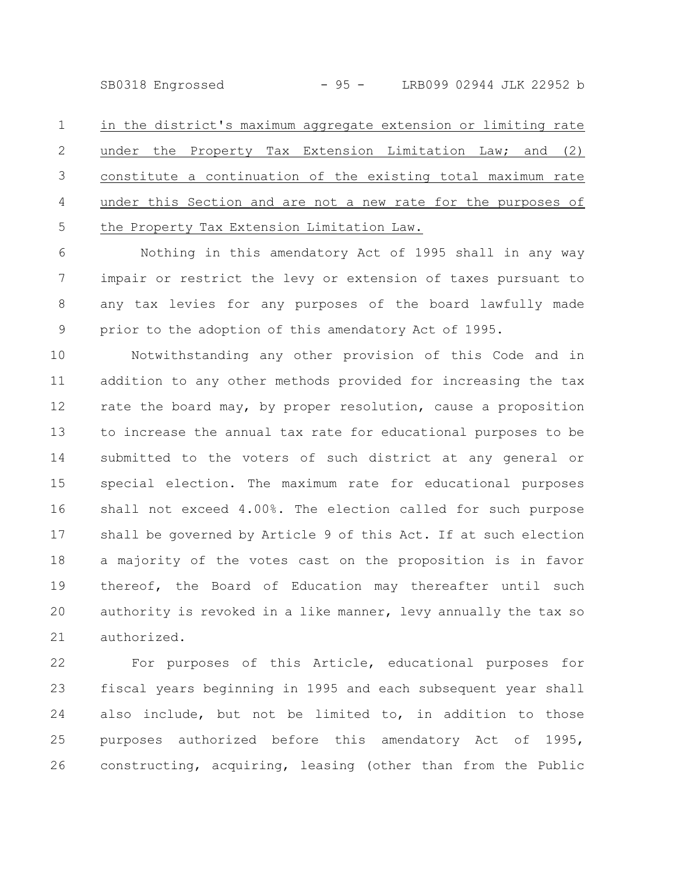SB0318 Engrossed - 95 - LRB099 02944 JLK 22952 b

in the district's maximum aggregate extension or limiting rate under the Property Tax Extension Limitation Law; and (2) constitute a continuation of the existing total maximum rate under this Section and are not a new rate for the purposes of the Property Tax Extension Limitation Law. 1 2 3 4 5

Nothing in this amendatory Act of 1995 shall in any way impair or restrict the levy or extension of taxes pursuant to any tax levies for any purposes of the board lawfully made prior to the adoption of this amendatory Act of 1995. 6 7 8 9

Notwithstanding any other provision of this Code and in addition to any other methods provided for increasing the tax rate the board may, by proper resolution, cause a proposition to increase the annual tax rate for educational purposes to be submitted to the voters of such district at any general or special election. The maximum rate for educational purposes shall not exceed 4.00%. The election called for such purpose shall be governed by Article 9 of this Act. If at such election a majority of the votes cast on the proposition is in favor thereof, the Board of Education may thereafter until such authority is revoked in a like manner, levy annually the tax so authorized. 10 11 12 13 14 15 16 17 18 19 20 21

For purposes of this Article, educational purposes for fiscal years beginning in 1995 and each subsequent year shall also include, but not be limited to, in addition to those purposes authorized before this amendatory Act of 1995, constructing, acquiring, leasing (other than from the Public 22 23 24 25 26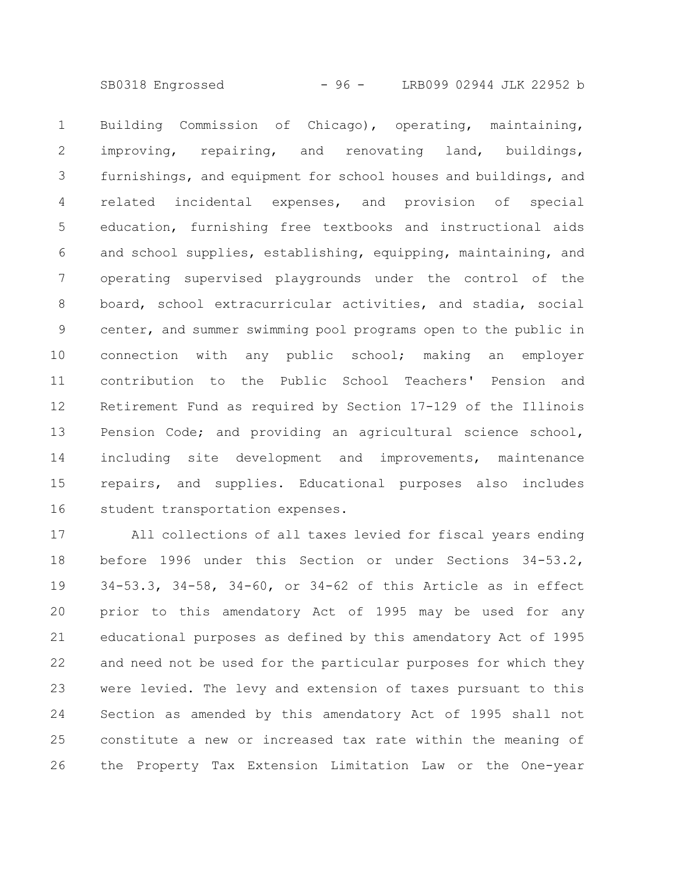SB0318 Engrossed - 96 - LRB099 02944 JLK 22952 b

Building Commission of Chicago), operating, maintaining, improving, repairing, and renovating land, buildings, furnishings, and equipment for school houses and buildings, and related incidental expenses, and provision of special education, furnishing free textbooks and instructional aids and school supplies, establishing, equipping, maintaining, and operating supervised playgrounds under the control of the board, school extracurricular activities, and stadia, social center, and summer swimming pool programs open to the public in connection with any public school; making an employer contribution to the Public School Teachers' Pension and Retirement Fund as required by Section 17-129 of the Illinois Pension Code; and providing an agricultural science school, including site development and improvements, maintenance repairs, and supplies. Educational purposes also includes student transportation expenses. 1 2 3 4 5 6 7 8 9 10 11 12 13 14 15 16

All collections of all taxes levied for fiscal years ending before 1996 under this Section or under Sections 34-53.2, 34-53.3, 34-58, 34-60, or 34-62 of this Article as in effect prior to this amendatory Act of 1995 may be used for any educational purposes as defined by this amendatory Act of 1995 and need not be used for the particular purposes for which they were levied. The levy and extension of taxes pursuant to this Section as amended by this amendatory Act of 1995 shall not constitute a new or increased tax rate within the meaning of the Property Tax Extension Limitation Law or the One-year 17 18 19 20 21 22 23 24 25 26